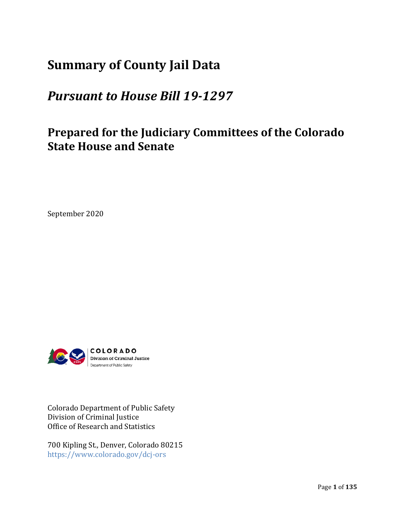# **Summary of County Jail Data**

# *Pursuant to House Bill 19‐1297*

# **Prepared for the Judiciary Committees of the Colorado State House and Senate**

September 2020



Colorado Department of Public Safety Division of Criminal Justice Office of Research and Statistics

700 Kipling St., Denver, Colorado 80215 https://www.colorado.gov/dcj‐ors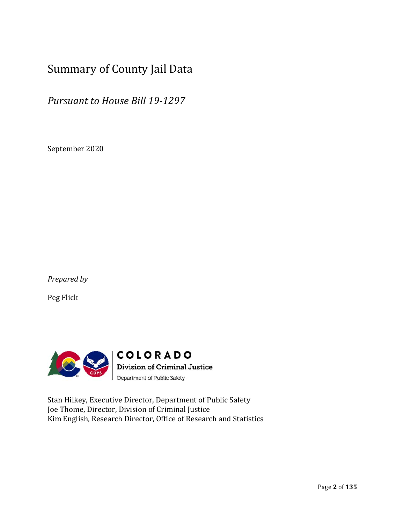# Summary of County Jail Data

*Pursuant to House Bill 19‐1297*

September 2020

*Prepared by*

Peg Flick



Stan Hilkey, Executive Director, Department of Public Safety Joe Thome, Director, Division of Criminal Justice Kim English, Research Director, Office of Research and Statistics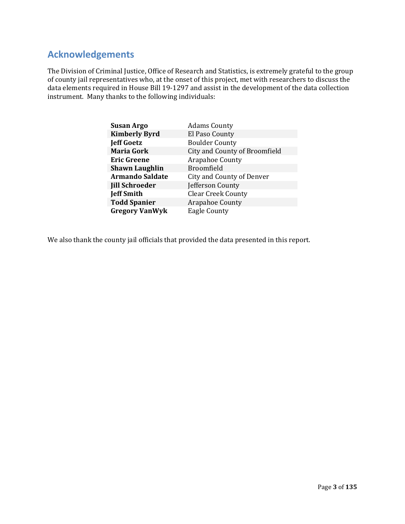## **Acknowledgements**

The Division of Criminal Justice, Office of Research and Statistics, is extremely grateful to the group of county jail representatives who, at the onset of this project, met with researchers to discuss the data elements required in House Bill 19‐1297 and assist in the development of the data collection instrument. Many thanks to the following individuals:

| <b>Susan Argo</b>      | <b>Adams County</b>              |  |
|------------------------|----------------------------------|--|
| <b>Kimberly Byrd</b>   | El Paso County                   |  |
| <b>Jeff Goetz</b>      | <b>Boulder County</b>            |  |
| <b>Maria Gork</b>      | City and County of Broomfield    |  |
| <b>Eric Greene</b>     | Arapahoe County                  |  |
| <b>Shawn Laughlin</b>  | Broomfield                       |  |
| <b>Armando Saldate</b> | <b>City and County of Denver</b> |  |
| <b>Jill Schroeder</b>  | Jefferson County                 |  |
| <b>Jeff Smith</b>      | <b>Clear Creek County</b>        |  |
| <b>Todd Spanier</b>    | Arapahoe County                  |  |
| <b>Gregory VanWyk</b>  | <b>Eagle County</b>              |  |

We also thank the county jail officials that provided the data presented in this report.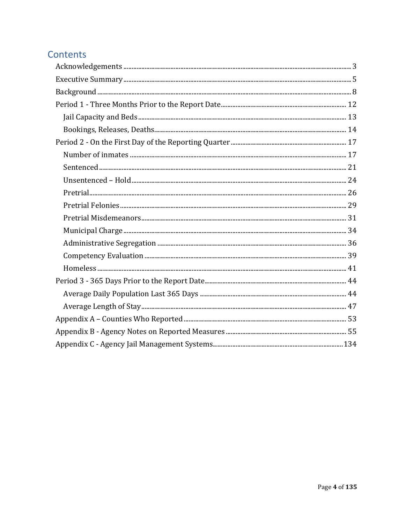# Contents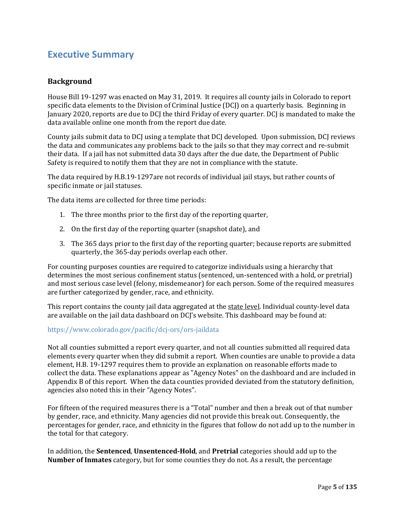### **Executive Summary**

#### **Background**

House Bill 19-1297 was enacted on May 31, 2019. It requires all county jails in Colorado to report specific data elements to the Division of Criminal Justice (DCJ) on a quarterly basis. Beginning in January 2020, reports are due to DCJ the third Friday of every quarter. DCJ is mandated to make the data available online one month from the report due date. 

County jails submit data to DCJ using a template that DCJ developed. Upon submission, DCJ reviews the data and communicates any problems back to the jails so that they may correct and re‐submit their data. If a jail has not submitted data 30 days after the due date, the Department of Public Safety is required to notify them that they are not in compliance with the statute.

The data required by H.B.19‐1297are not records of individual jail stays, but rather counts of specific inmate or jail statuses. 

The data items are collected for three time periods:

- 1. The three months prior to the first day of the reporting quarter,
- 2. On the first day of the reporting quarter (snapshot date), and
- 3. The 365 days prior to the first day of the reporting quarter; because reports are submitted quarterly, the 365‐day periods overlap each other.

For counting purposes counties are required to categorize individuals using a hierarchy that determines the most serious confinement status (sentenced, un-sentenced with a hold, or pretrial) and most serious case level (felony, misdemeanor) for each person. Some of the required measures are further categorized by gender, race, and ethnicity. 

This report contains the county jail data aggregated at the state level. Individual county-level data are available on the jail data dashboard on DCJ's website. This dashboard may be found at:

#### https://www.colorado.gov/pacific/dcj‐ors/ors‐jaildata

Not all counties submitted a report every quarter, and not all counties submitted all required data elements every quarter when they did submit a report. When counties are unable to provide a data element, H.B. 19‐1297 requires them to provide an explanation on reasonable efforts made to collect the data. These explanations appear as "Agency Notes" on the dashboard and are included in Appendix B of this report. When the data counties provided deviated from the statutory definition, agencies also noted this in their "Agency Notes". 

For fifteen of the required measures there is a "Total" number and then a break out of that number by gender, race, and ethnicity. Many agencies did not provide this break out. Consequently, the percentages for gender, race, and ethnicity in the figures that follow do not add up to the number in the total for that category. 

In addition, the **Sentenced**, **Unsentenced‐Hold**, and **Pretrial** categories should add up to the **Number of Inmates** category, but for some counties they do not. As a result, the percentage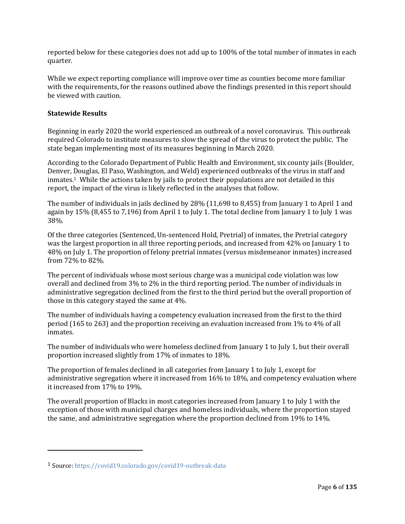reported below for these categories does not add up to 100% of the total number of inmates in each quarter.

While we expect reporting compliance will improve over time as counties become more familiar with the requirements, for the reasons outlined above the findings presented in this report should be viewed with caution.

#### **Statewide Results**

Beginning in early 2020 the world experienced an outbreak of a novel coronavirus. This outbreak required Colorado to institute measures to slow the spread of the virus to protect the public. The state began implementing most of its measures beginning in March 2020. 

According to the Colorado Department of Public Health and Environment, six county jails (Boulder, Denver, Douglas, El Paso, Washington, and Weld) experienced outbreaks of the virus in staff and  $imates<sup>1</sup>$  While the actions taken by jails to protect their populations are not detailed in this report, the impact of the virus is likely reflected in the analyses that follow.

The number of individuals in jails declined by 28% (11,698 to 8,455) from January 1 to April 1 and again by 15% (8,455 to 7,196) from April 1 to July 1. The total decline from January 1 to July 1 was 38%.

Of the three categories (Sentenced, Un‐sentenced Hold, Pretrial) of inmates, the Pretrial category was the largest proportion in all three reporting periods, and increased from 42% on January 1 to 48% on July 1. The proportion of felony pretrial inmates (versus misdemeanor inmates) increased from 72% to 82%.

The percent of individuals whose most serious charge was a municipal code violation was low overall and declined from 3% to 2% in the third reporting period. The number of individuals in administrative segregation declined from the first to the third period but the overall proportion of those in this category stayed the same at 4%.

The number of individuals having a competency evaluation increased from the first to the third period (165 to 263) and the proportion receiving an evaluation increased from 1% to 4% of all inmates.

The number of individuals who were homeless declined from January 1 to July 1, but their overall proportion increased slightly from 17% of inmates to 18%.

The proportion of females declined in all categories from January 1 to July 1, except for administrative segregation where it increased from 16% to 18%, and competency evaluation where it increased from 17% to 19%.

The overall proportion of Blacks in most categories increased from January 1 to July 1 with the exception of those with municipal charges and homeless individuals, where the proportion stayed the same, and administrative segregation where the proportion declined from 19% to 14%.

 

<sup>1</sup> Source: https://covid19.colorado.gov/covid19‐outbreak‐data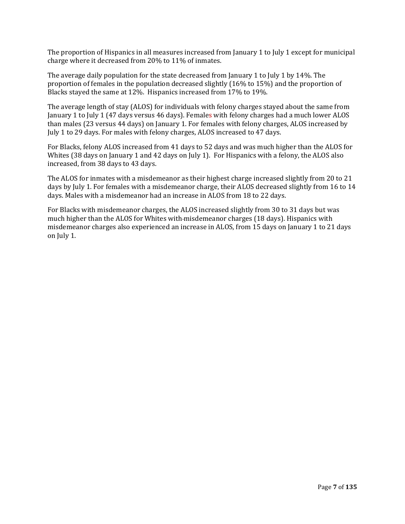The proportion of Hispanics in all measures increased from January 1 to July 1 except for municipal charge where it decreased from 20% to 11% of inmates.

The average daily population for the state decreased from January 1 to July 1 by 14%. The proportion of females in the population decreased slightly (16% to 15%) and the proportion of Blacks stayed the same at 12%. Hispanics increased from 17% to 19%.

The average length of stay (ALOS) for individuals with felony charges stayed about the same from January 1 to July 1 (47 days versus 46 days). Females with felony charges had a much lower ALOS than males (23 versus 44 days) on January 1. For females with felony charges, ALOS increased by July 1 to 29 days. For males with felony charges, ALOS increased to 47 days.

For Blacks, felony ALOS increased from 41 days to 52 days and was much higher than the ALOS for Whites (38 days on January 1 and 42 days on July 1). For Hispanics with a felony, the ALOS also increased, from 38 days to 43 days. 

The ALOS for inmates with a misdemeanor as their highest charge increased slightly from 20 to 21 days by July 1. For females with a misdemeanor charge, their ALOS decreased slightly from 16 to 14 days. Males with a misdemeanor had an increase in ALOS from 18 to 22 days.

For Blacks with misdemeanor charges, the ALOS increased slightly from 30 to 31 days but was much higher than the ALOS for Whites with misdemeanor charges (18 days). Hispanics with misdemeanor charges also experienced an increase in ALOS, from 15 days on January 1 to 21 days on July 1.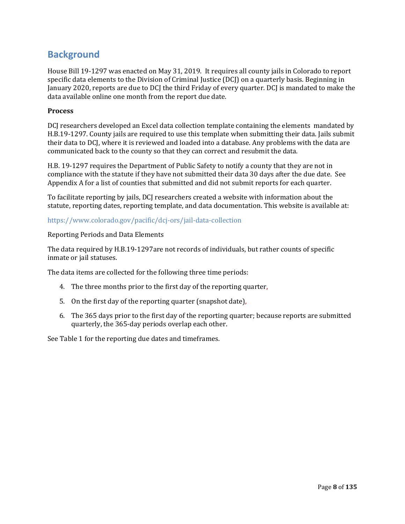## **Background**

House Bill 19-1297 was enacted on May 31, 2019. It requires all county jails in Colorado to report specific data elements to the Division of Criminal Justice (DCJ) on a quarterly basis. Beginning in January 2020, reports are due to DCJ the third Friday of every quarter. DCJ is mandated to make the data available online one month from the report due date. 

#### **Process**

DCJ researchers developed an Excel data collection template containing the elements mandated by H.B.19‐1297. County jails are required to use this template when submitting their data. Jails submit their data to DCJ, where it is reviewed and loaded into a database. Any problems with the data are communicated back to the county so that they can correct and resubmit the data.

H.B. 19‐1297 requires the Department of Public Safety to notify a county that they are not in compliance with the statute if they have not submitted their data 30 days after the due date. See Appendix A for a list of counties that submitted and did not submit reports for each quarter.

To facilitate reporting by jails, DCJ researchers created a website with information about the statute, reporting dates, reporting template, and data documentation. This website is available at:

#### https://www.colorado.gov/pacific/dcj‐ors/jail‐data‐collection

#### Reporting Periods and Data Elements

The data required by H.B.19‐1297are not records of individuals, but rather counts of specific inmate or jail statuses. 

The data items are collected for the following three time periods:

- 4. The three months prior to the first day of the reporting quarter,
- 5. On the first day of the reporting quarter (snapshot date),
- 6. The 365 days prior to the first day of the reporting quarter; because reports are submitted quarterly, the 365‐day periods overlap each other.

See Table 1 for the reporting due dates and timeframes.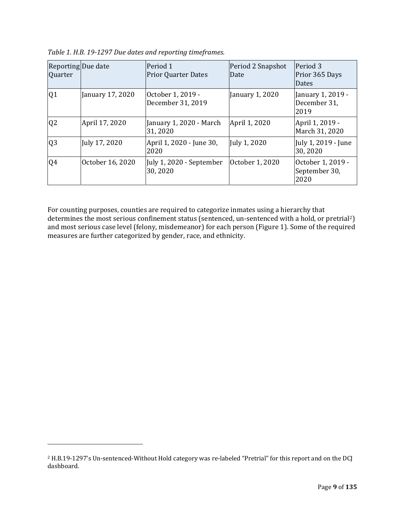| Reporting Due date<br>Quarter |                  | Period 1<br><b>Prior Quarter Dates</b> | Period 2 Snapshot<br>Date | Period 3<br>Prior 365 Days<br>Dates        |
|-------------------------------|------------------|----------------------------------------|---------------------------|--------------------------------------------|
| Q1                            | January 17, 2020 | October 1, 2019 -<br>December 31, 2019 | January 1, 2020           | January 1, 2019 -<br>December 31,<br>2019  |
| Q <sub>2</sub>                | April 17, 2020   | January 1, 2020 - March<br>31,2020     | April 1, 2020             | April 1, 2019 -<br>March 31, 2020          |
| Q <sub>3</sub>                | July 17, 2020    | April 1, 2020 - June 30,<br>2020       | July 1, 2020              | July 1, 2019 - June<br>30,2020             |
| Q4                            | October 16, 2020 | July 1, 2020 - September<br>30,2020    | October 1, 2020           | October 1, 2019 -<br>September 30,<br>2020 |

*Table 1. H.B. 19‐1297 Due dates and reporting timeframes.*

For counting purposes, counties are required to categorize inmates using a hierarchy that determines the most serious confinement status (sentenced, un-sentenced with a hold, or pretrial<sup>2</sup>) and most serious case level (felony, misdemeanor) for each person (Figure 1). Some of the required measures are further categorized by gender, race, and ethnicity. 

 

<sup>&</sup>lt;sup>2</sup> H.B.19-1297's Un-sentenced-Without Hold category was re-labeled "Pretrial" for this report and on the DCJ dashboard.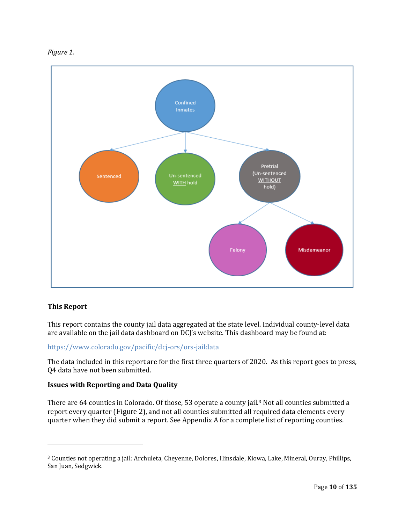



#### **This Report**

This report contains the county jail data aggregated at the state level. Individual county-level data are available on the jail data dashboard on DCJ's website. This dashboard may be found at:

#### https://www.colorado.gov/pacific/dcj‐ors/ors‐jaildata

The data included in this report are for the first three quarters of 2020. As this report goes to press, Q4 data have not been submitted.

#### **Issues with Reporting and Data Quality**

 

There are 64 counties in Colorado. Of those, 53 operate a county jail.3 Not all counties submitted a report every quarter (Figure 2), and not all counties submitted all required data elements every quarter when they did submit a report. See Appendix A for a complete list of reporting counties. 

<sup>3</sup> Counties not operating a jail: Archuleta, Cheyenne, Dolores, Hinsdale, Kiowa, Lake, Mineral, Ouray, Phillips, San Juan, Sedgwick.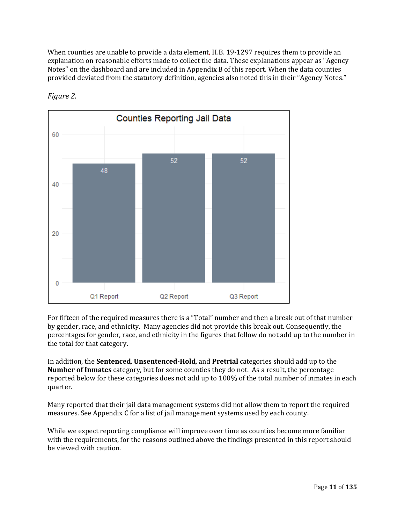When counties are unable to provide a data element, H.B. 19-1297 requires them to provide an explanation on reasonable efforts made to collect the data. These explanations appear as "Agency Notes" on the dashboard and are included in Appendix B of this report. When the data counties provided deviated from the statutory definition, agencies also noted this in their "Agency Notes." 



*Figure 2.*

For fifteen of the required measures there is a "Total" number and then a break out of that number by gender, race, and ethnicity. Many agencies did not provide this break out. Consequently, the percentages for gender, race, and ethnicity in the figures that follow do not add up to the number in the total for that category. 

In addition, the **Sentenced**, **Unsentenced‐Hold**, and **Pretrial** categories should add up to the **Number of Inmates** category, but for some counties they do not. As a result, the percentage reported below for these categories does not add up to 100% of the total number of inmates in each quarter.

Many reported that their jail data management systems did not allow them to report the required measures. See Appendix C for a list of jail management systems used by each county.

While we expect reporting compliance will improve over time as counties become more familiar with the requirements, for the reasons outlined above the findings presented in this report should be viewed with caution.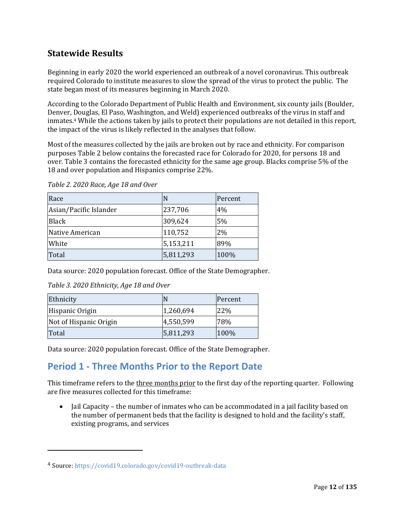### **Statewide Results**

Beginning in early 2020 the world experienced an outbreak of a novel coronavirus. This outbreak required Colorado to institute measures to slow the spread of the virus to protect the public. The state began most of its measures beginning in March 2020. 

According to the Colorado Department of Public Health and Environment, six county jails (Boulder, Denver, Douglas, El Paso, Washington, and Weld) experienced outbreaks of the virus in staff and inmates.4 While the actions taken by jails to protect their populations are not detailed in this report, the impact of the virus is likely reflected in the analyses that follow.

Most of the measures collected by the jails are broken out by race and ethnicity. For comparison purposes Table 2 below contains the forecasted race for Colorado for 2020, for persons 18 and over. Table 3 contains the forecasted ethnicity for the same age group. Blacks comprise 5% of the 18 and over population and Hispanics comprise 22%. 

| Race                   | N         | Percent |
|------------------------|-----------|---------|
| Asian/Pacific Islander | 237,706   | 4%      |
| <b>Black</b>           | 309,624   | 5%      |
| Native American        | 110,752   | 2%      |
| White                  | 5,153,211 | 89%     |
| Total                  | 5,811,293 | 100%    |

*Table 2. 2020 Race, Age 18 and Over*

Data source: 2020 population forecast. Office of the State Demographer.

*Table 3. 2020 Ethnicity, Age 18 and Over*

| Ethnicity              |           | Percent |
|------------------------|-----------|---------|
| Hispanic Origin        | 1,260,694 | 22%     |
| Not of Hispanic Origin | 4,550,599 | 78%     |
| Total                  | 5,811,293 | 100%    |

Data source: 2020 population forecast. Office of the State Demographer.

## **Period 1 ‐ Three Months Prior to the Report Date**

This timeframe refers to the three months prior to the first day of the reporting quarter. Following are five measures collected for this timeframe:

• Jail Capacity – the number of inmates who can be accommodated in a jail facility based on the number of permanent beds that the facility is designed to hold and the facility's staff, existing programs, and services

 

<sup>4</sup> Source: https://covid19.colorado.gov/covid19‐outbreak‐data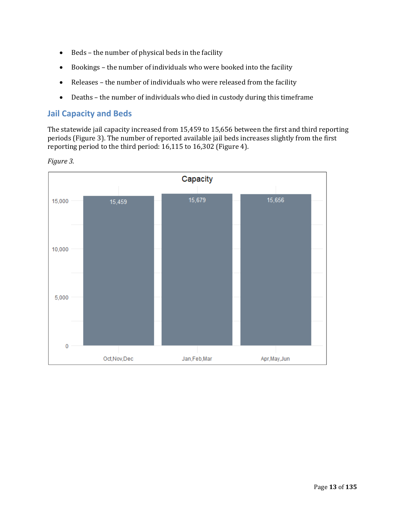- Beds the number of physical beds in the facility
- Bookings the number of individuals who were booked into the facility
- Releases the number of individuals who were released from the facility
- Deaths the number of individuals who died in custody during this timeframe

#### **Jail Capacity and Beds**

The statewide jail capacity increased from 15,459 to 15,656 between the first and third reporting periods (Figure 3). The number of reported available jail beds increases slightly from the first reporting period to the third period: 16,115 to 16,302 (Figure 4). 



*Figure 3.*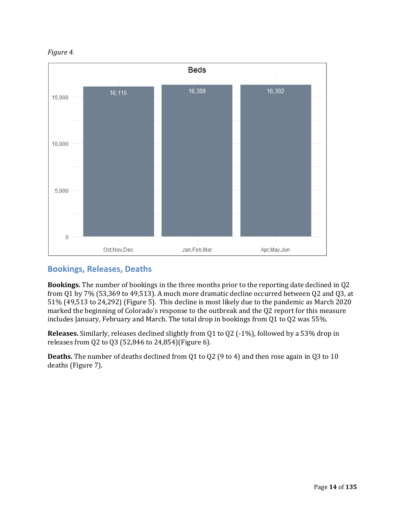



### **Bookings, Releases, Deaths**

**Bookings.** The number of bookings in the three months prior to the reporting date declined in Q2 from Q1 by 7% (53,369 to 49,513). A much more dramatic decline occurred between Q2 and Q3, at 51% (49,513 to 24,292) (Figure 5). This decline is most likely due to the pandemic as March 2020 marked the beginning of Colorado's response to the outbreak and the Q2 report for this measure includes January, February and March. The total drop in bookings from Q1 to Q2 was 55%.

**Releases.** Similarly, releases declined slightly from Q1 to Q2 (‐1%), followed by a 53% drop in releases from Q2 to Q3 (52,846 to 24,854)(Figure 6). 

**Deaths.** The number of deaths declined from Q1 to Q2 (9 to 4) and then rose again in Q3 to 10 deaths (Figure 7).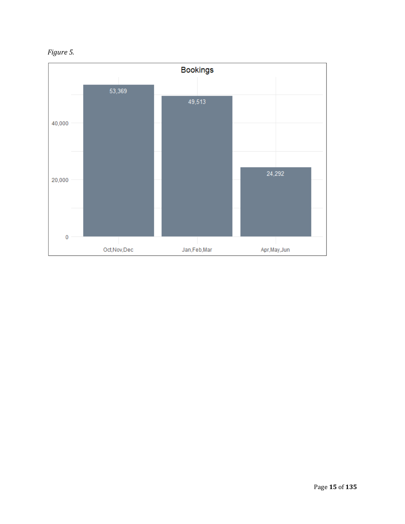

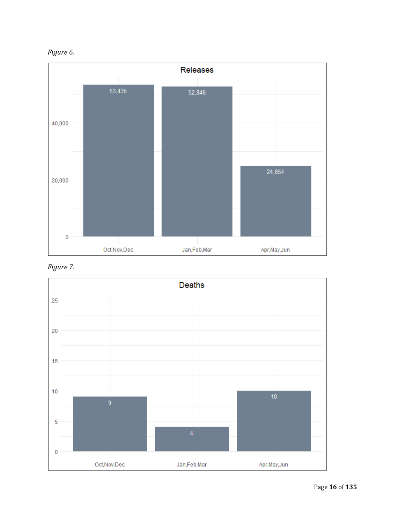





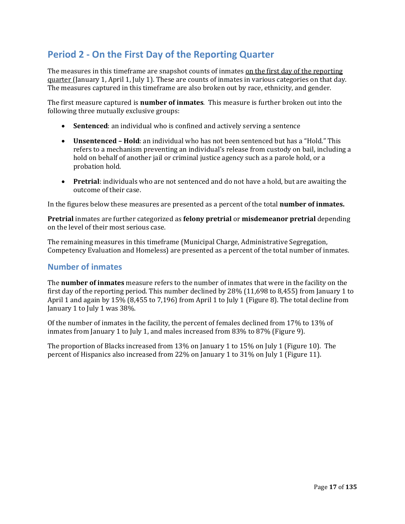# **Period 2 ‐ On the First Day of the Reporting Quarter**

The measures in this timeframe are snapshot counts of inmates on the first day of the reporting quarter (January 1, April 1, July 1). These are counts of inmates in various categories on that day. The measures captured in this timeframe are also broken out by race, ethnicity, and gender.

The first measure captured is **number of inmates**. This measure is further broken out into the following three mutually exclusive groups:

- **Sentenced**: an individual who is confined and actively serving a sentence
- **Unsentenced – Hold**: an individual who has not been sentenced but has a "Hold." This refers to a mechanism preventing an individual's release from custody on bail, including a hold on behalf of another jail or criminal justice agency such as a parole hold, or a probation hold.
- **Pretrial**: individuals who are not sentenced and do not have a hold, but are awaiting the outcome of their case.

In the figures below these measures are presented as a percent of the total **number of inmates.**

**Pretrial** inmates are further categorized as **felony pretrial** or **misdemeanor pretrial** depending on the level of their most serious case.

The remaining measures in this timeframe (Municipal Charge, Administrative Segregation, Competency Evaluation and Homeless) are presented as a percent of the total number of inmates.

#### **Number of inmates**

The **number of inmates** measure refers to the number of inmates that were in the facility on the first day of the reporting period. This number declined by 28% (11,698 to 8,455) from January 1 to April 1 and again by 15% (8,455 to 7,196) from April 1 to July 1 (Figure 8). The total decline from January 1 to July 1 was 38%.

Of the number of inmates in the facility, the percent of females declined from 17% to 13% of inmates from January 1 to July 1, and males increased from 83% to 87% (Figure 9).

The proportion of Blacks increased from 13% on January 1 to 15% on July 1 (Figure 10). The percent of Hispanics also increased from 22% on January 1 to 31% on July 1 (Figure 11).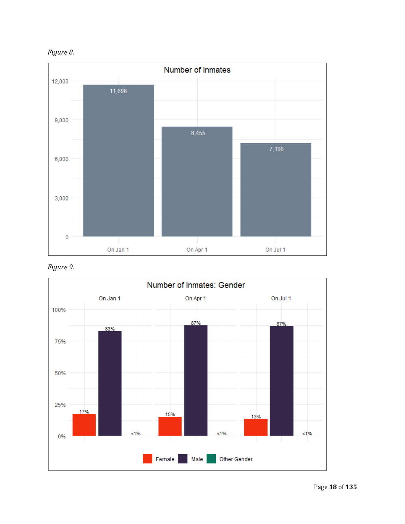



*Figure 9.*

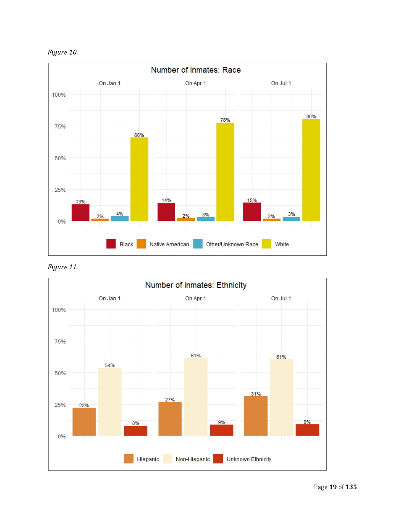



*Figure 11.*

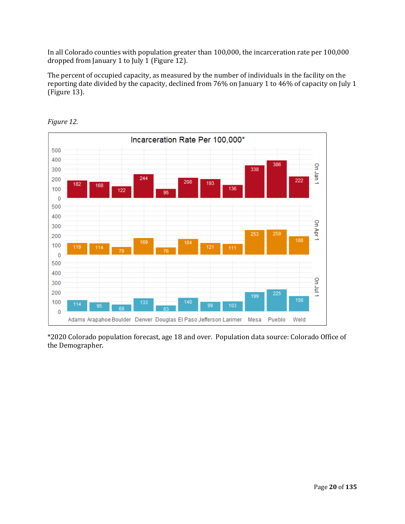In all Colorado counties with population greater than 100,000, the incarceration rate per 100,000 dropped from January 1 to July 1 (Figure 12).

The percent of occupied capacity, as measured by the number of individuals in the facility on the reporting date divided by the capacity, declined from 76% on January 1 to 46% of capacity on July 1 (Figure 13).



*Figure 12.*

\*2020 Colorado population forecast, age 18 and over. Population data source: Colorado Office of the Demographer.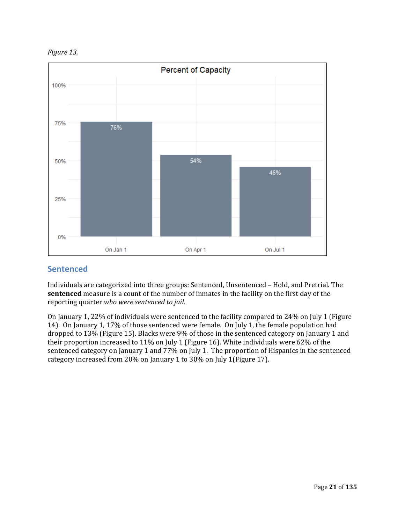



#### **Sentenced**

Individuals are categorized into three groups: Sentenced, Unsentenced – Hold, and Pretrial. The **sentenced** measure is a count of the number of inmates in the facility on the first day of the reporting quarter *who were sentenced to jail*. 

On January 1, 22% of individuals were sentenced to the facility compared to 24% on July 1 (Figure 14). On January 1, 17% of those sentenced were female. On July 1, the female population had dropped to 13% (Figure 15). Blacks were 9% of those in the sentenced category on January 1 and their proportion increased to 11% on July 1 (Figure 16). White individuals were 62% of the sentenced category on January 1 and 77% on July 1. The proportion of Hispanics in the sentenced category increased from 20% on January 1 to 30% on July 1(Figure 17).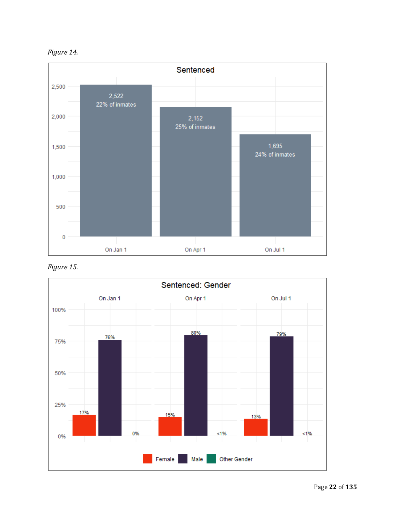



*Figure 15.*

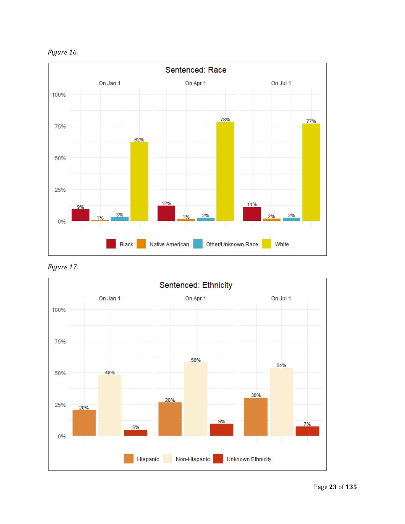



*Figure 17.*

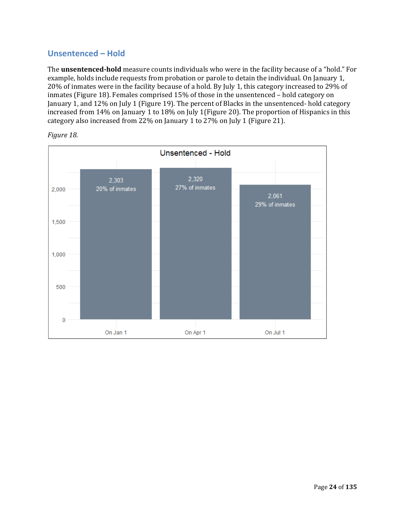### **Unsentenced – Hold**

The **unsentenced‐hold** measure counts individuals who were in the facility because of a "hold." For example, holds include requests from probation or parole to detain the individual. On January 1, 20% of inmates were in the facility because of a hold. By July 1, this category increased to 29% of inmates (Figure 18). Females comprised 15% of those in the unsentenced – hold category on January 1, and 12% on July 1 (Figure 19). The percent of Blacks in the unsentenced- hold category increased from 14% on January 1 to 18% on July 1(Figure 20). The proportion of Hispanics in this category also increased from 22% on January 1 to 27% on July 1 (Figure 21).



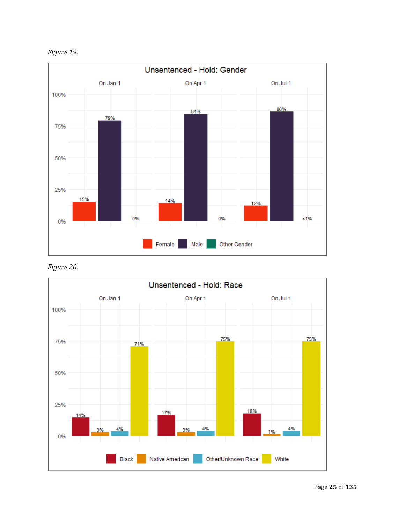



*Figure 20.*

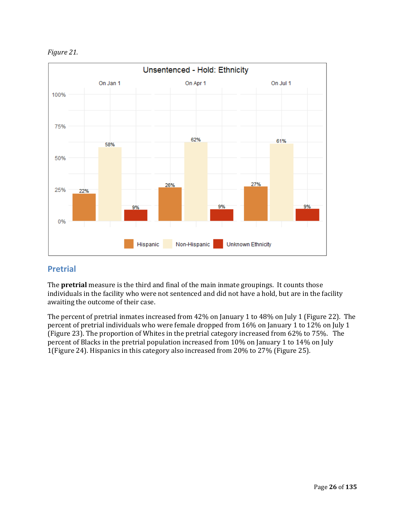*Figure 21.*



#### **Pretrial**

The **pretrial** measure is the third and final of the main inmate groupings. It counts those individuals in the facility who were not sentenced and did not have a hold, but are in the facility awaiting the outcome of their case. 

The percent of pretrial inmates increased from 42% on January 1 to 48% on July 1 (Figure 22). The percent of pretrial individuals who were female dropped from 16% on January 1 to 12% on July 1 (Figure 23). The proportion of Whites in the pretrial category increased from 62% to 75%. The percent of Blacks in the pretrial population increased from 10% on January 1 to 14% on July 1(Figure 24). Hispanics in this category also increased from 20% to 27% (Figure 25).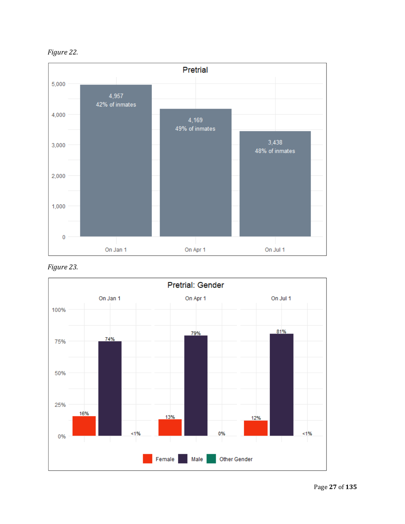



*Figure 23.*

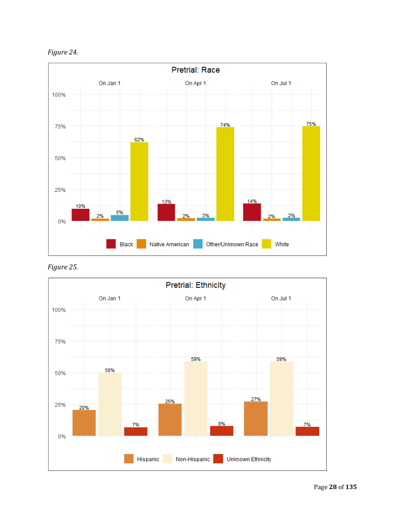



*Figure 25.*

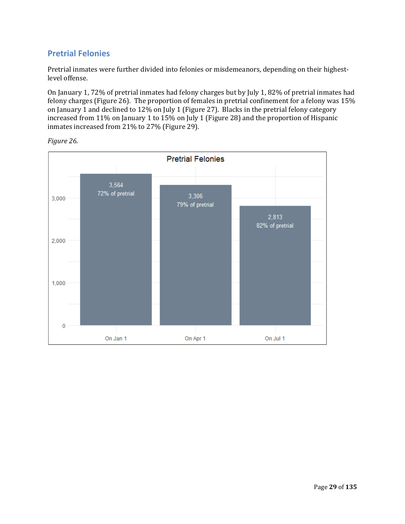### **Pretrial Felonies**

Pretrial inmates were further divided into felonies or misdemeanors, depending on their highestlevel offense. 

On January 1, 72% of pretrial inmates had felony charges but by July 1, 82% of pretrial inmates had felony charges (Figure 26). The proportion of females in pretrial confinement for a felony was 15% on January 1 and declined to 12% on July 1 (Figure 27). Blacks in the pretrial felony category increased from 11% on January 1 to 15% on July 1 (Figure 28) and the proportion of Hispanic inmates increased from 21% to 27% (Figure 29).



*Figure 26.*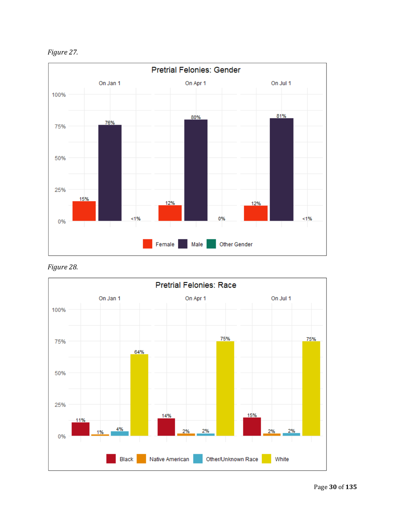*Figure 27.*



*Figure 28.*

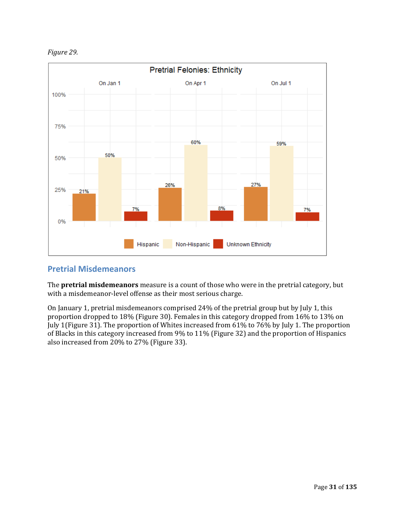



#### **Pretrial Misdemeanors**

The **pretrial misdemeanors** measure is a count of those who were in the pretrial category, but with a misdemeanor-level offense as their most serious charge.

On January 1, pretrial misdemeanors comprised 24% of the pretrial group but by July 1, this proportion dropped to 18% (Figure 30). Females in this category dropped from 16% to 13% on July 1(Figure 31). The proportion of Whites increased from 61% to 76% by July 1. The proportion of Blacks in this category increased from 9% to 11% (Figure 32) and the proportion of Hispanics also increased from 20% to 27% (Figure 33).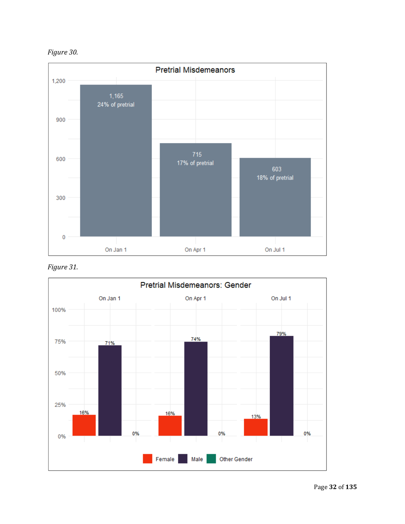



*Figure 31.*

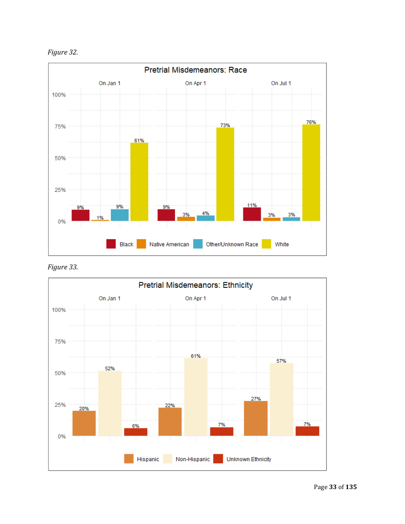



*Figure 33.*

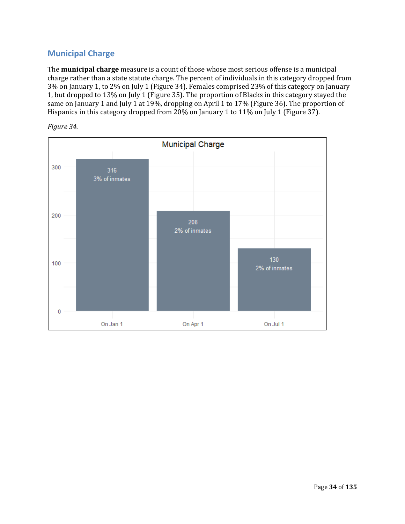### **Municipal Charge**

The **municipal charge** measure is a count of those whose most serious offense is a municipal charge rather than a state statute charge. The percent of individuals in this category dropped from 3% on January 1, to 2% on July 1 (Figure 34). Females comprised 23% of this category on January 1, but dropped to 13% on July 1 (Figure 35). The proportion of Blacks in this category stayed the same on January 1 and July 1 at 19%, dropping on April 1 to 17% (Figure 36). The proportion of Hispanics in this category dropped from 20% on January 1 to 11% on July 1 (Figure 37).



*Figure 34.*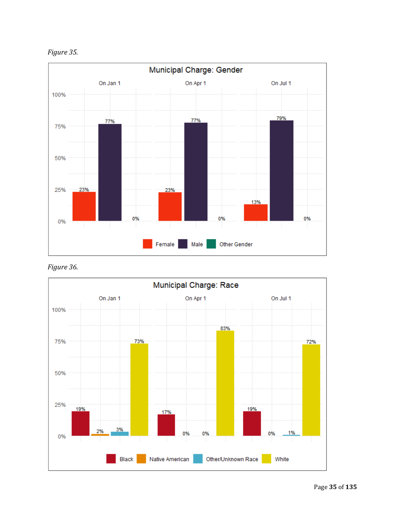



*Figure 36.*

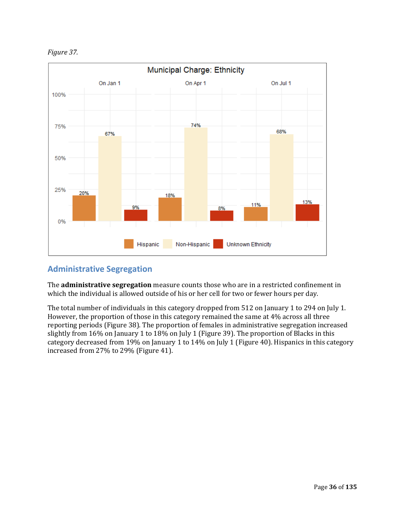*Figure 37.*



### **Administrative Segregation**

The **administrative segregation** measure counts those who are in a restricted confinement in which the individual is allowed outside of his or her cell for two or fewer hours per day. 

The total number of individuals in this category dropped from 512 on January 1 to 294 on July 1. However, the proportion of those in this category remained the same at 4% across all three reporting periods (Figure 38). The proportion of females in administrative segregation increased slightly from 16% on January 1 to 18% on July 1 (Figure 39). The proportion of Blacks in this category decreased from 19% on January 1 to 14% on July 1 (Figure 40). Hispanics in this category increased from 27% to 29% (Figure 41).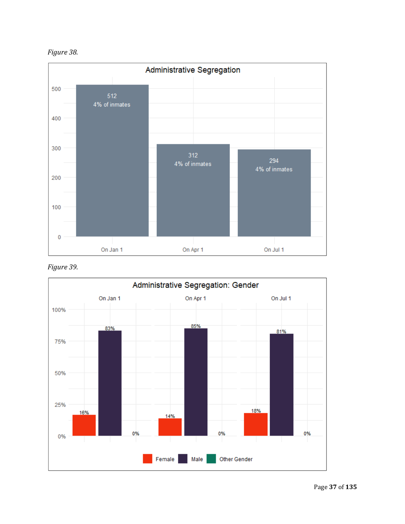



*Figure 39.*

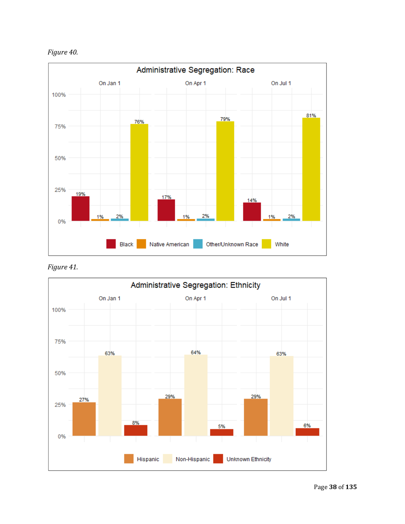



*Figure 41.*

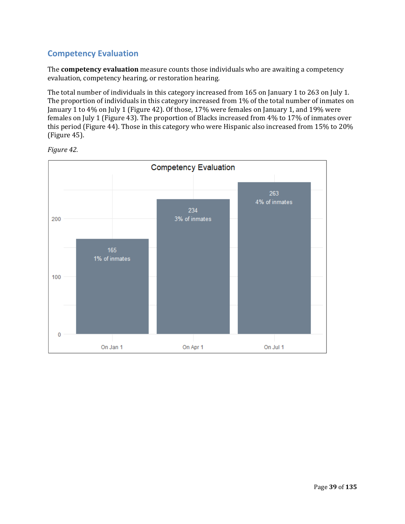### **Competency Evaluation**

The **competency evaluation** measure counts those individuals who are awaiting a competency evaluation, competency hearing, or restoration hearing. 

The total number of individuals in this category increased from 165 on January 1 to 263 on July 1. The proportion of individuals in this category increased from 1% of the total number of inmates on January 1 to 4% on July 1 (Figure 42). Of those, 17% were females on January 1, and 19% were females on July 1 (Figure 43). The proportion of Blacks increased from 4% to 17% of inmates over this period (Figure 44). Those in this category who were Hispanic also increased from 15% to 20% (Figure 45).



*Figure 42.*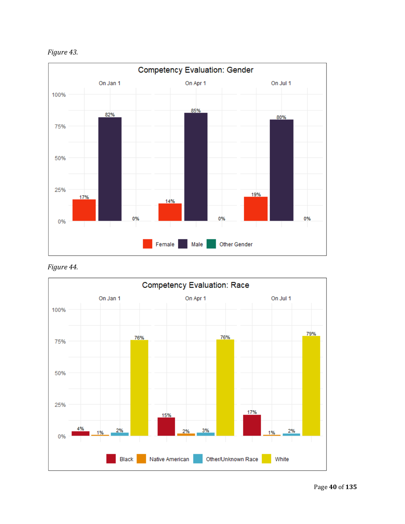*Figure 43.*



*Figure 44.*

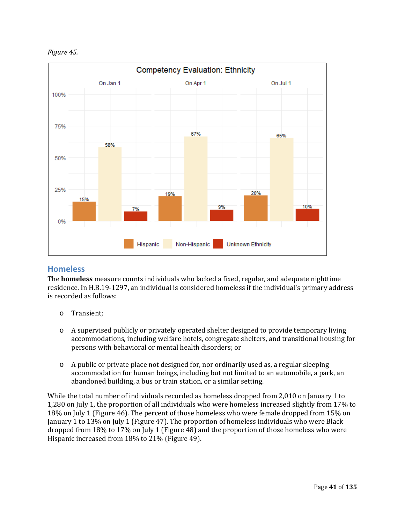*Figure 45.*



#### **Homeless**

The **homeless** measure counts individuals who lacked a fixed, regular, and adequate nighttime residence. In H.B.19‐1297, an individual is considered homeless if the individual's primary address is recorded as follows:

- o Transient;
- o A supervised publicly or privately operated shelter designed to provide temporary living accommodations, including welfare hotels, congregate shelters, and transitional housing for persons with behavioral or mental health disorders; or
- o A public or private place not designed for, nor ordinarily used as, a regular sleeping accommodation for human beings, including but not limited to an automobile, a park, an abandoned building, a bus or train station, or a similar setting.

While the total number of individuals recorded as homeless dropped from 2,010 on January 1 to 1,280 on July 1, the proportion of all individuals who were homeless increased slightly from 17% to 18% on July 1 (Figure 46). The percent of those homeless who were female dropped from 15% on January 1 to 13% on July 1 (Figure 47). The proportion of homeless individuals who were Black dropped from 18% to 17% on July 1 (Figure 48) and the proportion of those homeless who were Hispanic increased from 18% to 21% (Figure 49).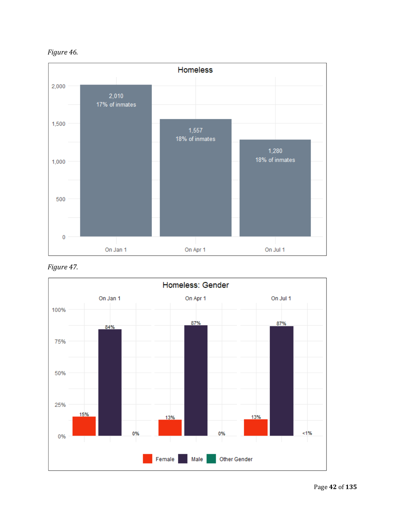



*Figure 47.*

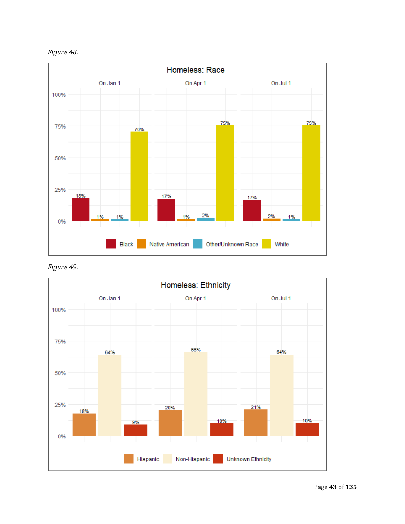



*Figure 49.*

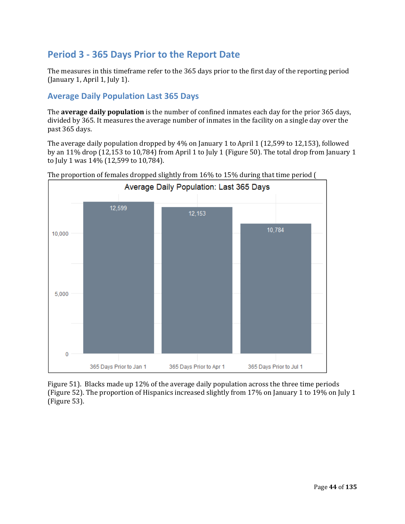## **Period 3 ‐ 365 Days Prior to the Report Date**

The measures in this timeframe refer to the 365 days prior to the first day of the reporting period (January 1, April 1, July 1).

## **Average Daily Population Last 365 Days**

The **average daily population** is the number of confined inmates each day for the prior 365 days, divided by 365. It measures the average number of inmates in the facility on a single day over the past 365 days.

The average daily population dropped by 4% on January 1 to April 1 (12,599 to 12,153), followed by an 11% drop (12,153 to 10,784) from April 1 to July 1 (Figure 50). The total drop from January 1 to July 1 was 14% (12,599 to 10,784).





Figure 51). Blacks made up 12% of the average daily population across the three time periods (Figure 52). The proportion of Hispanics increased slightly from 17% on January 1 to 19% on July 1 (Figure 53).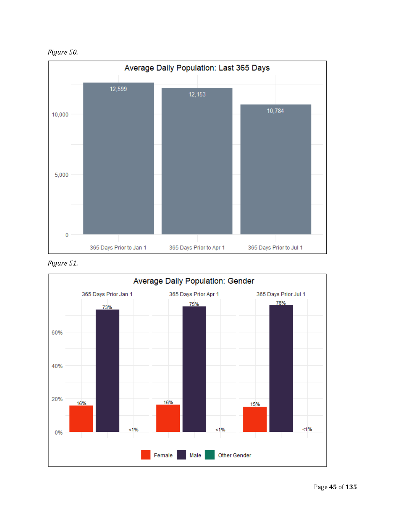*Figure 50.*



*Figure 51.*

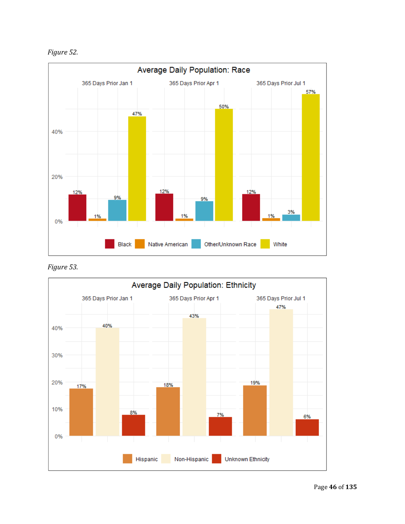*Figure 52.*



*Figure 53.*

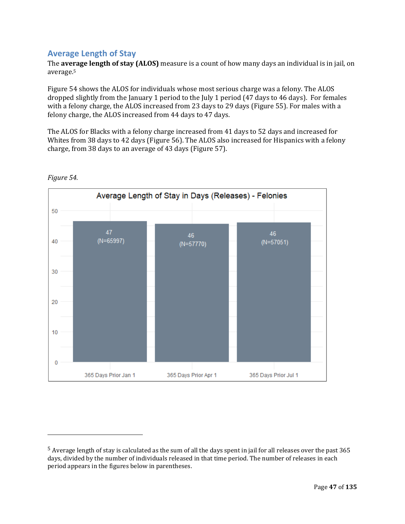#### **Average Length of Stay**

 

The **average length of stay (ALOS)** measure is a count of how many days an individual is in jail, on average.5

Figure 54 shows the ALOS for individuals whose most serious charge was a felony. The ALOS dropped slightly from the January 1 period to the July 1 period (47 days to 46 days). For females with a felony charge, the ALOS increased from 23 days to 29 days (Figure 55). For males with a felony charge, the ALOS increased from 44 days to 47 days. 

The ALOS for Blacks with a felony charge increased from 41 days to 52 days and increased for Whites from 38 days to 42 days (Figure 56). The ALOS also increased for Hispanics with a felony charge, from 38 days to an average of 43 days (Figure 57). 



#### *Figure 54.*

<sup>5</sup> Average length of stay is calculated as the sum of all the days spent in jail for all releases over the past 365 days, divided by the number of individuals released in that time period. The number of releases in each period appears in the figures below in parentheses.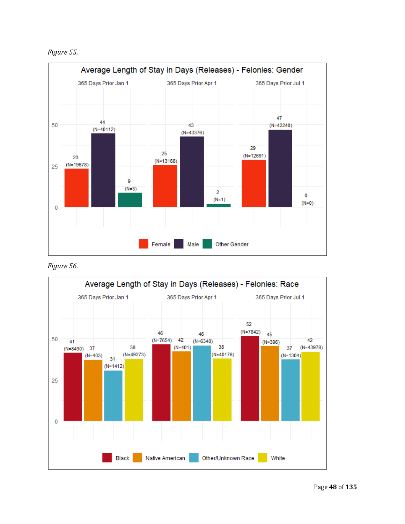*Figure 55.*



*Figure 56.*

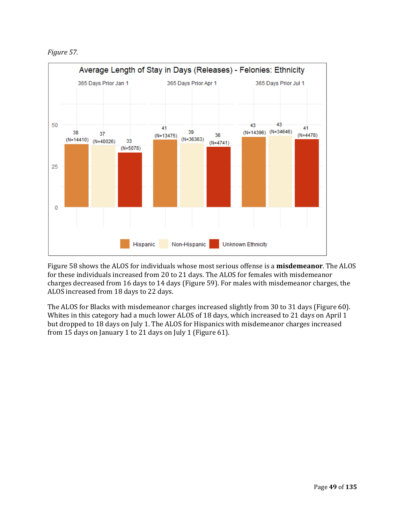*Figure 57.*



Figure 58 shows the ALOS for individuals whose most serious offense is a **misdemeanor**. The ALOS for these individuals increased from 20 to 21 days. The ALOS for females with misdemeanor charges decreased from 16 days to 14 days (Figure 59). For males with misdemeanor charges, the ALOS increased from 18 days to 22 days. 

The ALOS for Blacks with misdemeanor charges increased slightly from 30 to 31 days (Figure 60). Whites in this category had a much lower ALOS of 18 days, which increased to 21 days on April 1 but dropped to 18 days on July 1. The ALOS for Hispanics with misdemeanor charges increased from 15 days on January 1 to 21 days on July 1 (Figure 61).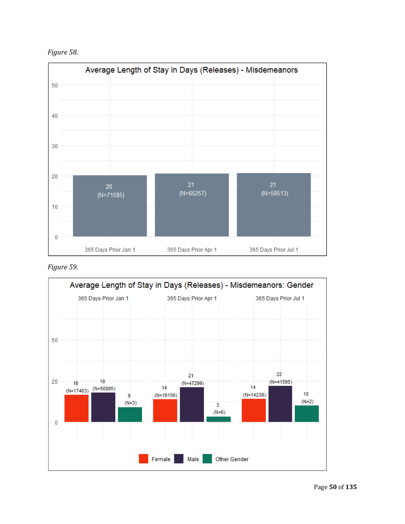*Figure 58.*



*Figure 59.*

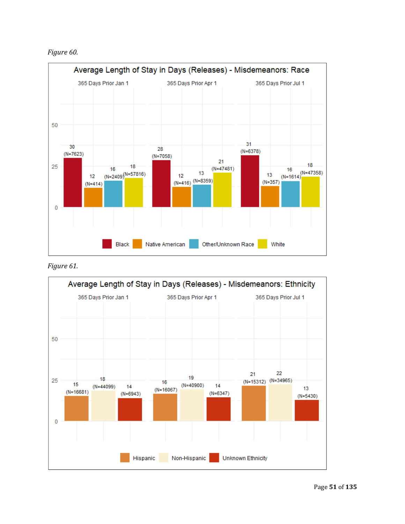*Figure 60.*





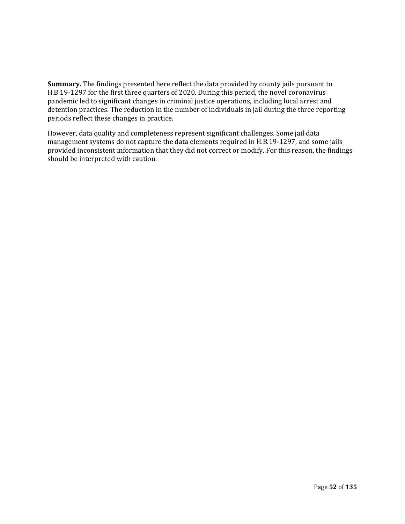**Summary.** The findings presented here reflect the data provided by county jails pursuant to H.B.19-1297 for the first three quarters of 2020. During this period, the novel coronavirus pandemic led to significant changes in criminal justice operations, including local arrest and detention practices. The reduction in the number of individuals in jail during the three reporting periods reflect these changes in practice.

However, data quality and completeness represent significant challenges. Some jail data management systems do not capture the data elements required in H.B.19-1297, and some jails provided inconsistent information that they did not correct or modify. For this reason, the findings should be interpreted with caution.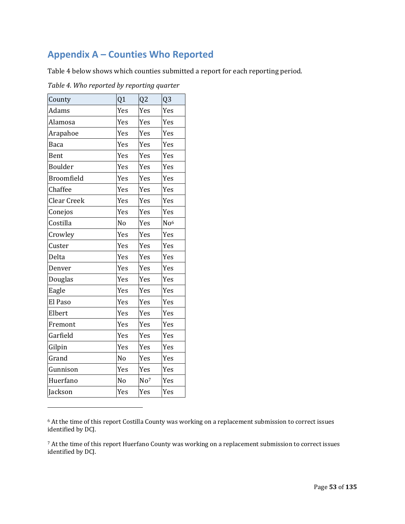# **Appendix A – Counties Who Reported**

Table 4 below shows which counties submitted a report for each reporting period. 

| County            | Q1             | Q <sub>2</sub>  | Q <sub>3</sub>  |
|-------------------|----------------|-----------------|-----------------|
| Adams             | Yes            | Yes             | Yes             |
| Alamosa           | Yes            | Yes             | Yes             |
| Arapahoe          | Yes            | Yes             | Yes             |
| <b>Baca</b>       | Yes            | Yes             | Yes             |
| Bent              | Yes            | Yes             | Yes             |
| Boulder           | Yes            | Yes             | Yes             |
| <b>Broomfield</b> | Yes            | Yes             | Yes             |
| Chaffee           | Yes            | Yes             | Yes             |
| Clear Creek       | Yes            | Yes             | Yes             |
| Conejos           | Yes            | Yes             | Yes             |
| Costilla          | No             | Yes             | No <sup>6</sup> |
| Crowley           | Yes            | Yes             | Yes             |
| Custer            | Yes            | Yes             | Yes             |
| Delta             | Yes            | Yes             | Yes             |
| Denver            | Yes            | Yes             | Yes             |
| Douglas           | Yes            | Yes             | Yes             |
| Eagle             | Yes            | Yes             | Yes             |
| El Paso           | Yes            | Yes             | Yes             |
| Elbert            | Yes            | Yes             | Yes             |
| Fremont           | Yes            | Yes             | Yes             |
| Garfield          | Yes            | Yes             | Yes             |
| Gilpin            | Yes            | Yes             | Yes             |
| Grand             | No             | Yes             | Yes             |
| Gunnison          | Yes            | Yes             | Yes             |
| Huerfano          | N <sub>o</sub> | No <sup>7</sup> | Yes             |
| Jackson           | Yes            | Yes             | Yes             |

 

*Table 4. Who reported by reporting quarter*

<sup>6</sup> At the time of this report Costilla County was working on a replacement submission to correct issues identified by DCJ.

<sup>7</sup> At the time of this report Huerfano County was working on a replacement submission to correct issues identified by DCJ.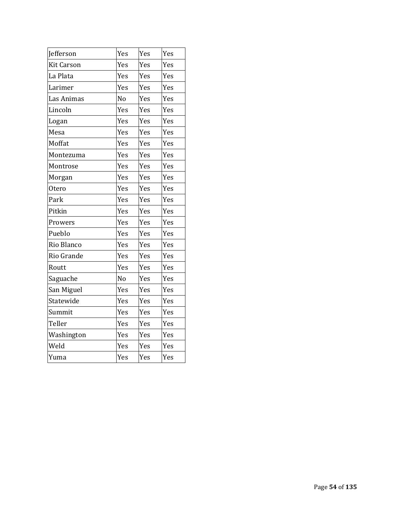| Jefferson         | Yes            | Yes | Yes |
|-------------------|----------------|-----|-----|
| <b>Kit Carson</b> | Yes            | Yes | Yes |
| La Plata          | Yes            | Yes | Yes |
| Larimer           | Yes            | Yes | Yes |
| Las Animas        | N <sub>o</sub> | Yes | Yes |
| Lincoln           | Yes            | Yes | Yes |
| Logan             | Yes            | Yes | Yes |
| Mesa              | Yes            | Yes | Yes |
| Moffat            | Yes            | Yes | Yes |
| Montezuma         | Yes            | Yes | Yes |
| Montrose          | Yes            | Yes | Yes |
| Morgan            | Yes            | Yes | Yes |
| Otero             | Yes            | Yes | Yes |
| Park              | Yes            | Yes | Yes |
| Pitkin            | Yes            | Yes | Yes |
| Prowers           | Yes            | Yes | Yes |
| Pueblo            | Yes            | Yes | Yes |
| Rio Blanco        | Yes            | Yes | Yes |
| Rio Grande        | Yes            | Yes | Yes |
| Routt             | Yes            | Yes | Yes |
| Saguache          | N <sub>o</sub> | Yes | Yes |
| San Miguel        | Yes            | Yes | Yes |
| Statewide         | Yes            | Yes | Yes |
| Summit            | Yes            | Yes | Yes |
| Teller            | Yes            | Yes | Yes |
| Washington        | Yes            | Yes | Yes |
| Weld              | Yes            | Yes | Yes |
| Yuma              | Yes            | Yes | Yes |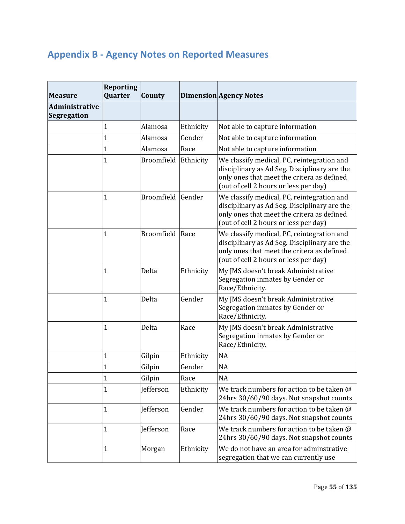# **Appendix B ‐ Agency Notes on Reported Measures**

| <b>Measure</b>                              | <b>Reporting</b><br><b>Quarter</b> | <b>County</b>   |           | <b>Dimension Agency Notes</b>                                                                                                                                                     |
|---------------------------------------------|------------------------------------|-----------------|-----------|-----------------------------------------------------------------------------------------------------------------------------------------------------------------------------------|
| <b>Administrative</b><br><b>Segregation</b> |                                    |                 |           |                                                                                                                                                                                   |
|                                             | 1                                  | Alamosa         | Ethnicity | Not able to capture information                                                                                                                                                   |
|                                             | $\mathbf 1$                        | Alamosa         | Gender    | Not able to capture information                                                                                                                                                   |
|                                             | 1                                  | Alamosa         | Race      | Not able to capture information                                                                                                                                                   |
|                                             | $\mathbf 1$                        | Broomfield      | Ethnicity | We classify medical, PC, reintegration and<br>disciplinary as Ad Seg. Disciplinary are the<br>only ones that meet the critera as defined<br>(out of cell 2 hours or less per day) |
|                                             | $\overline{1}$                     | Broomfield      | Gender    | We classify medical, PC, reintegration and<br>disciplinary as Ad Seg. Disciplinary are the<br>only ones that meet the critera as defined<br>(out of cell 2 hours or less per day) |
|                                             | 1                                  | Broomfield Race |           | We classify medical, PC, reintegration and<br>disciplinary as Ad Seg. Disciplinary are the<br>only ones that meet the critera as defined<br>(out of cell 2 hours or less per day) |
|                                             | 1                                  | Delta           | Ethnicity | My JMS doesn't break Administrative<br>Segregation inmates by Gender or<br>Race/Ethnicity.                                                                                        |
|                                             | 1                                  | Delta           | Gender    | My JMS doesn't break Administrative<br>Segregation inmates by Gender or<br>Race/Ethnicity.                                                                                        |
|                                             | 1                                  | Delta           | Race      | My JMS doesn't break Administrative<br>Segregation inmates by Gender or<br>Race/Ethnicity.                                                                                        |
|                                             | 1                                  | Gilpin          | Ethnicity | <b>NA</b>                                                                                                                                                                         |
|                                             | 1                                  | Gilpin          | Gender    | <b>NA</b>                                                                                                                                                                         |
|                                             | 1<br>T                             | Gilpin          | Race      | <b>NA</b>                                                                                                                                                                         |
|                                             | 1                                  | Jefferson       | Ethnicity | We track numbers for action to be taken @<br>24hrs 30/60/90 days. Not snapshot counts                                                                                             |
|                                             | 1                                  | Jefferson       | Gender    | We track numbers for action to be taken @<br>24hrs 30/60/90 days. Not snapshot counts                                                                                             |
|                                             | 1                                  | Jefferson       | Race      | We track numbers for action to be taken @<br>24hrs 30/60/90 days. Not snapshot counts                                                                                             |
|                                             | 1                                  | Morgan          | Ethnicity | We do not have an area for adminstrative<br>segregation that we can currently use                                                                                                 |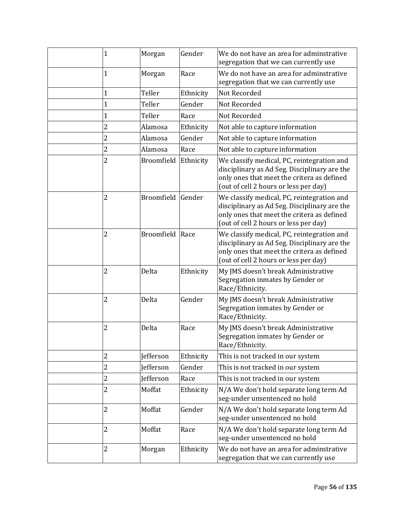| $\mathbf{1}$   | Morgan            | Gender    | We do not have an area for adminstrative<br>segregation that we can currently use                                                                                                 |
|----------------|-------------------|-----------|-----------------------------------------------------------------------------------------------------------------------------------------------------------------------------------|
| 1              | Morgan            | Race      | We do not have an area for adminstrative<br>segregation that we can currently use                                                                                                 |
| 1              | Teller            | Ethnicity | Not Recorded                                                                                                                                                                      |
| $\mathbf{1}$   | Teller            | Gender    | Not Recorded                                                                                                                                                                      |
| $\mathbf{1}$   | Teller            | Race      | Not Recorded                                                                                                                                                                      |
| $\overline{2}$ | Alamosa           | Ethnicity | Not able to capture information                                                                                                                                                   |
| $\overline{c}$ | Alamosa           | Gender    | Not able to capture information                                                                                                                                                   |
| $\overline{c}$ | Alamosa           | Race      | Not able to capture information                                                                                                                                                   |
| 2              | Broomfield        | Ethnicity | We classify medical, PC, reintegration and<br>disciplinary as Ad Seg. Disciplinary are the<br>only ones that meet the critera as defined<br>(out of cell 2 hours or less per day) |
| $\overline{2}$ | <b>Broomfield</b> | Gender    | We classify medical, PC, reintegration and<br>disciplinary as Ad Seg. Disciplinary are the<br>only ones that meet the critera as defined<br>(out of cell 2 hours or less per day) |
| $\overline{2}$ | <b>Broomfield</b> | Race      | We classify medical, PC, reintegration and<br>disciplinary as Ad Seg. Disciplinary are the<br>only ones that meet the critera as defined<br>(out of cell 2 hours or less per day) |
| 2              | Delta             | Ethnicity | My JMS doesn't break Administrative<br>Segregation inmates by Gender or<br>Race/Ethnicity.                                                                                        |
| 2              | Delta             | Gender    | My JMS doesn't break Administrative<br>Segregation inmates by Gender or<br>Race/Ethnicity.                                                                                        |
| 2              | Delta             | Race      | My JMS doesn't break Administrative<br>Segregation inmates by Gender or<br>Race/Ethnicity.                                                                                        |
| 2              | Jefferson         | Ethnicity | This is not tracked in our system                                                                                                                                                 |
| $\overline{c}$ | Jefferson         | Gender    | This is not tracked in our system                                                                                                                                                 |
| $\overline{c}$ | Jefferson         | Race      | This is not tracked in our system                                                                                                                                                 |
| $\overline{2}$ | Moffat            | Ethnicity | N/A We don't hold separate long term Ad<br>seg-under unsentenced no hold                                                                                                          |
| 2              | Moffat            | Gender    | N/A We don't hold separate long term Ad<br>seg-under unsentenced no hold                                                                                                          |
| $\overline{2}$ | Moffat            | Race      | N/A We don't hold separate long term Ad<br>seg-under unsentenced no hold                                                                                                          |
| $\overline{2}$ | Morgan            | Ethnicity | We do not have an area for adminstrative<br>segregation that we can currently use                                                                                                 |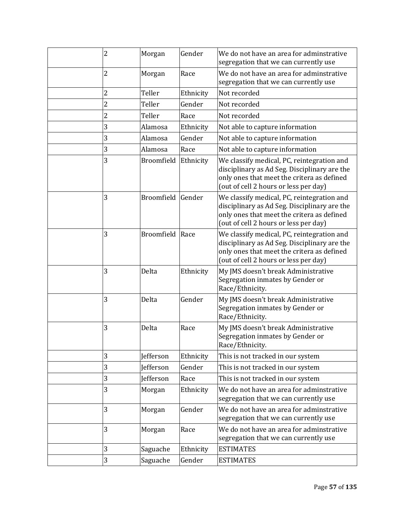| 2              | Morgan            | Gender    | We do not have an area for adminstrative<br>segregation that we can currently use                                                                                                 |
|----------------|-------------------|-----------|-----------------------------------------------------------------------------------------------------------------------------------------------------------------------------------|
| 2              | Morgan            | Race      | We do not have an area for adminstrative<br>segregation that we can currently use                                                                                                 |
| 2              | Teller            | Ethnicity | Not recorded                                                                                                                                                                      |
| $\overline{c}$ | Teller            | Gender    | Not recorded                                                                                                                                                                      |
| $\overline{2}$ | Teller            | Race      | Not recorded                                                                                                                                                                      |
| 3              | Alamosa           | Ethnicity | Not able to capture information                                                                                                                                                   |
| 3              | Alamosa           | Gender    | Not able to capture information                                                                                                                                                   |
| 3              | Alamosa           | Race      | Not able to capture information                                                                                                                                                   |
| 3              | Broomfield        | Ethnicity | We classify medical, PC, reintegration and<br>disciplinary as Ad Seg. Disciplinary are the<br>only ones that meet the critera as defined<br>(out of cell 2 hours or less per day) |
| 3              | <b>Broomfield</b> | Gender    | We classify medical, PC, reintegration and<br>disciplinary as Ad Seg. Disciplinary are the<br>only ones that meet the critera as defined<br>(out of cell 2 hours or less per day) |
| 3              | <b>Broomfield</b> | Race      | We classify medical, PC, reintegration and<br>disciplinary as Ad Seg. Disciplinary are the<br>only ones that meet the critera as defined<br>(out of cell 2 hours or less per day) |
| 3              | Delta             | Ethnicity | My JMS doesn't break Administrative<br>Segregation inmates by Gender or<br>Race/Ethnicity.                                                                                        |
| 3              | Delta             | Gender    | My JMS doesn't break Administrative<br>Segregation inmates by Gender or<br>Race/Ethnicity.                                                                                        |
| 3              | Delta             | Race      | My JMS doesn't break Administrative<br>Segregation inmates by Gender or<br>Race/Ethnicity.                                                                                        |
| 3              | Jefferson         | Ethnicity | This is not tracked in our system                                                                                                                                                 |
| 3              | Jefferson         | Gender    | This is not tracked in our system                                                                                                                                                 |
| 3              | <b>Jefferson</b>  | Race      | This is not tracked in our system                                                                                                                                                 |
| 3              | Morgan            | Ethnicity | We do not have an area for adminstrative<br>segregation that we can currently use                                                                                                 |
| 3              | Morgan            | Gender    | We do not have an area for adminstrative<br>segregation that we can currently use                                                                                                 |
| 3              | Morgan            | Race      | We do not have an area for adminstrative<br>segregation that we can currently use                                                                                                 |
| 3              | Saguache          | Ethnicity | <b>ESTIMATES</b>                                                                                                                                                                  |
| 3              | Saguache          | Gender    | <b>ESTIMATES</b>                                                                                                                                                                  |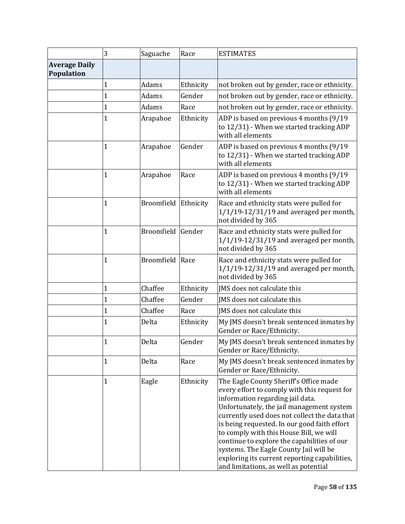|                                    | 3              | Saguache             | Race      | <b>ESTIMATES</b>                                                                                                                                                                                                                                                                                                                                                                                                                                                                                       |
|------------------------------------|----------------|----------------------|-----------|--------------------------------------------------------------------------------------------------------------------------------------------------------------------------------------------------------------------------------------------------------------------------------------------------------------------------------------------------------------------------------------------------------------------------------------------------------------------------------------------------------|
| <b>Average Daily</b><br>Population |                |                      |           |                                                                                                                                                                                                                                                                                                                                                                                                                                                                                                        |
|                                    | 1              | Adams                | Ethnicity | not broken out by gender, race or ethnicity.                                                                                                                                                                                                                                                                                                                                                                                                                                                           |
|                                    | $\mathbf 1$    | Adams                | Gender    | not broken out by gender, race or ethnicity.                                                                                                                                                                                                                                                                                                                                                                                                                                                           |
|                                    | 1              | Adams                | Race      | not broken out by gender, race or ethnicity.                                                                                                                                                                                                                                                                                                                                                                                                                                                           |
|                                    | 1              | Arapahoe             | Ethnicity | ADP is based on previous 4 months (9/19<br>to 12/31) - When we started tracking ADP<br>with all elements                                                                                                                                                                                                                                                                                                                                                                                               |
|                                    | 1              | Arapahoe             | Gender    | ADP is based on previous 4 months (9/19)<br>to 12/31) - When we started tracking ADP<br>with all elements                                                                                                                                                                                                                                                                                                                                                                                              |
|                                    | 1              | Arapahoe             | Race      | ADP is based on previous 4 months (9/19<br>to 12/31) - When we started tracking ADP<br>with all elements                                                                                                                                                                                                                                                                                                                                                                                               |
|                                    | 1              | Broomfield Ethnicity |           | Race and ethnicity stats were pulled for<br>$1/1/19 - 12/31/19$ and averaged per month,<br>not divided by 365                                                                                                                                                                                                                                                                                                                                                                                          |
|                                    | 1              | Broomfield Gender    |           | Race and ethnicity stats were pulled for<br>$1/1/19 - 12/31/19$ and averaged per month,<br>not divided by 365                                                                                                                                                                                                                                                                                                                                                                                          |
|                                    | 1              | Broomfield           | Race      | Race and ethnicity stats were pulled for<br>$1/1/19 - 12/31/19$ and averaged per month,<br>not divided by 365                                                                                                                                                                                                                                                                                                                                                                                          |
|                                    | $\mathbf 1$    | Chaffee              | Ethnicity | JMS does not calculate this                                                                                                                                                                                                                                                                                                                                                                                                                                                                            |
|                                    | 1              | Chaffee              | Gender    | JMS does not calculate this                                                                                                                                                                                                                                                                                                                                                                                                                                                                            |
|                                    | $\mathbf{1}$   | Chaffee              | Race      | IMS does not calculate this                                                                                                                                                                                                                                                                                                                                                                                                                                                                            |
|                                    | 1              | Delta                | Ethnicity | My JMS doesn't break sentenced inmates by<br>Gender or Race/Ethnicity.                                                                                                                                                                                                                                                                                                                                                                                                                                 |
|                                    | 1              | Delta                | Gender    | My JMS doesn't break sentenced inmates by<br>Gender or Race/Ethnicity.                                                                                                                                                                                                                                                                                                                                                                                                                                 |
|                                    | 1              | Delta                | Race      | My JMS doesn't break sentenced inmates by<br>Gender or Race/Ethnicity.                                                                                                                                                                                                                                                                                                                                                                                                                                 |
|                                    | $\overline{1}$ | Eagle                | Ethnicity | The Eagle County Sheriff's Office made<br>every effort to comply with this request for<br>information regarding jail data.<br>Unfortunately, the jail management system<br>currently used does not collect the data that<br>is being requested. In our good faith effort<br>to comply with this House Bill, we will<br>continue to explore the capabilities of our<br>systems. The Eagle County Jail will be<br>exploring its current reporting capabilities,<br>and limitations, as well as potential |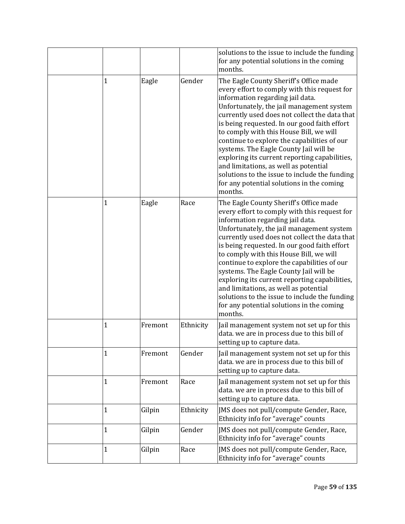|              |         |           | solutions to the issue to include the funding<br>for any potential solutions in the coming<br>months.                                                                                                                                                                                                                                                                                                                                                                                                                                                                                                           |
|--------------|---------|-----------|-----------------------------------------------------------------------------------------------------------------------------------------------------------------------------------------------------------------------------------------------------------------------------------------------------------------------------------------------------------------------------------------------------------------------------------------------------------------------------------------------------------------------------------------------------------------------------------------------------------------|
| $\mathbf{1}$ | Eagle   | Gender    | The Eagle County Sheriff's Office made<br>every effort to comply with this request for<br>information regarding jail data.<br>Unfortunately, the jail management system<br>currently used does not collect the data that<br>is being requested. In our good faith effort<br>to comply with this House Bill, we will<br>continue to explore the capabilities of our<br>systems. The Eagle County Jail will be<br>exploring its current reporting capabilities,<br>and limitations, as well as potential<br>solutions to the issue to include the funding<br>for any potential solutions in the coming<br>months. |
| 1            | Eagle   | Race      | The Eagle County Sheriff's Office made<br>every effort to comply with this request for<br>information regarding jail data.<br>Unfortunately, the jail management system<br>currently used does not collect the data that<br>is being requested. In our good faith effort<br>to comply with this House Bill, we will<br>continue to explore the capabilities of our<br>systems. The Eagle County Jail will be<br>exploring its current reporting capabilities,<br>and limitations, as well as potential<br>solutions to the issue to include the funding<br>for any potential solutions in the coming<br>months. |
| 1            | Fremont | Ethnicity | Jail management system not set up for this<br>data. we are in process due to this bill of<br>setting up to capture data.                                                                                                                                                                                                                                                                                                                                                                                                                                                                                        |
| 1            | Fremont | Gender    | Jail management system not set up for this<br>data. we are in process due to this bill of<br>setting up to capture data.                                                                                                                                                                                                                                                                                                                                                                                                                                                                                        |
| 1            | Fremont | Race      | Jail management system not set up for this<br>data. we are in process due to this bill of<br>setting up to capture data.                                                                                                                                                                                                                                                                                                                                                                                                                                                                                        |
| $\mathbf{1}$ | Gilpin  | Ethnicity | JMS does not pull/compute Gender, Race,<br>Ethnicity info for "average" counts                                                                                                                                                                                                                                                                                                                                                                                                                                                                                                                                  |
| $\mathbf{1}$ | Gilpin  | Gender    | JMS does not pull/compute Gender, Race,<br>Ethnicity info for "average" counts                                                                                                                                                                                                                                                                                                                                                                                                                                                                                                                                  |
| 1            | Gilpin  | Race      | JMS does not pull/compute Gender, Race,<br>Ethnicity info for "average" counts                                                                                                                                                                                                                                                                                                                                                                                                                                                                                                                                  |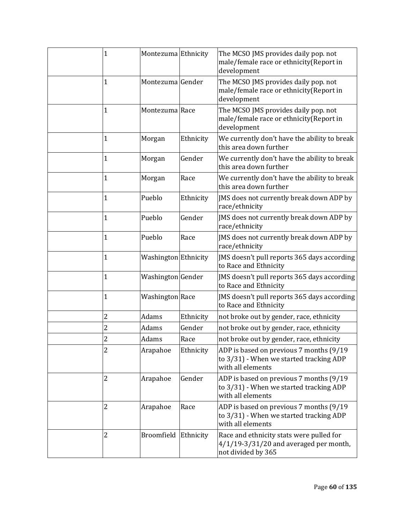| $\mathbf{1}$   | Montezuma Ethnicity    |           | The MCSO JMS provides daily pop. not<br>male/female race or ethnicity(Report in<br>development               |
|----------------|------------------------|-----------|--------------------------------------------------------------------------------------------------------------|
| $\mathbf{1}$   | Montezuma Gender       |           | The MCSO JMS provides daily pop. not<br>male/female race or ethnicity(Report in<br>development               |
| $\mathbf 1$    | Montezuma Race         |           | The MCSO JMS provides daily pop. not<br>male/female race or ethnicity(Report in<br>development               |
| 1              | Morgan                 | Ethnicity | We currently don't have the ability to break<br>this area down further                                       |
| $\mathbf{1}$   | Morgan                 | Gender    | We currently don't have the ability to break<br>this area down further                                       |
| 1              | Morgan                 | Race      | We currently don't have the ability to break<br>this area down further                                       |
| $\mathbf{1}$   | Pueblo                 | Ethnicity | JMS does not currently break down ADP by<br>race/ethnicity                                                   |
| 1              | Pueblo                 | Gender    | JMS does not currently break down ADP by<br>race/ethnicity                                                   |
| $\mathbf{1}$   | Pueblo                 | Race      | JMS does not currently break down ADP by<br>race/ethnicity                                                   |
| $\mathbf{1}$   | Washington Ethnicity   |           | JMS doesn't pull reports 365 days according<br>to Race and Ethnicity                                         |
| $\mathbf{1}$   | Washington Gender      |           | JMS doesn't pull reports 365 days according<br>to Race and Ethnicity                                         |
| $\mathbf 1$    | <b>Washington</b> Race |           | JMS doesn't pull reports 365 days according<br>to Race and Ethnicity                                         |
| $\overline{c}$ | Adams                  | Ethnicity | not broke out by gender, race, ethnicity                                                                     |
| $\overline{c}$ | Adams                  | Gender    | not broke out by gender, race, ethnicity                                                                     |
| $\overline{c}$ | Adams                  | Race      | not broke out by gender, race, ethnicity                                                                     |
| 2              | Arapahoe               | Ethnicity | ADP is based on previous 7 months (9/19<br>to 3/31) - When we started tracking ADP<br>with all elements      |
| 2              | Arapahoe               | Gender    | ADP is based on previous 7 months (9/19<br>to 3/31) - When we started tracking ADP<br>with all elements      |
| 2              | Arapahoe               | Race      | ADP is based on previous 7 months (9/19<br>to 3/31) - When we started tracking ADP<br>with all elements      |
| $\overline{c}$ | Broomfield Ethnicity   |           | Race and ethnicity stats were pulled for<br>$4/1/19 - 3/31/20$ and averaged per month,<br>not divided by 365 |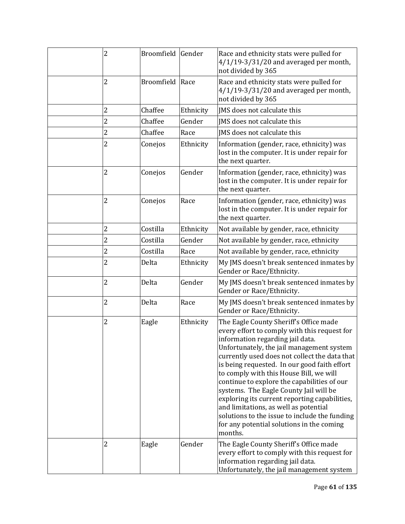| 2              | Broomfield Gender |           | Race and ethnicity stats were pulled for<br>$4/1/19 - 3/31/20$ and averaged per month,<br>not divided by 365                                                                                                                                                                                                                                                                                                                                                                                                                                                                                                    |
|----------------|-------------------|-----------|-----------------------------------------------------------------------------------------------------------------------------------------------------------------------------------------------------------------------------------------------------------------------------------------------------------------------------------------------------------------------------------------------------------------------------------------------------------------------------------------------------------------------------------------------------------------------------------------------------------------|
| 2              | <b>Broomfield</b> | Race      | Race and ethnicity stats were pulled for<br>$4/1/19 - 3/31/20$ and averaged per month,<br>not divided by 365                                                                                                                                                                                                                                                                                                                                                                                                                                                                                                    |
| 2              | Chaffee           | Ethnicity | JMS does not calculate this                                                                                                                                                                                                                                                                                                                                                                                                                                                                                                                                                                                     |
| $\overline{c}$ | Chaffee           | Gender    | JMS does not calculate this                                                                                                                                                                                                                                                                                                                                                                                                                                                                                                                                                                                     |
| $\overline{c}$ | Chaffee           | Race      | IMS does not calculate this                                                                                                                                                                                                                                                                                                                                                                                                                                                                                                                                                                                     |
| 2              | Conejos           | Ethnicity | Information (gender, race, ethnicity) was<br>lost in the computer. It is under repair for<br>the next quarter.                                                                                                                                                                                                                                                                                                                                                                                                                                                                                                  |
| 2              | Conejos           | Gender    | Information (gender, race, ethnicity) was<br>lost in the computer. It is under repair for<br>the next quarter.                                                                                                                                                                                                                                                                                                                                                                                                                                                                                                  |
| 2              | Conejos           | Race      | Information (gender, race, ethnicity) was<br>lost in the computer. It is under repair for<br>the next quarter.                                                                                                                                                                                                                                                                                                                                                                                                                                                                                                  |
| $\overline{2}$ | Costilla          | Ethnicity | Not available by gender, race, ethnicity                                                                                                                                                                                                                                                                                                                                                                                                                                                                                                                                                                        |
| 2              | Costilla          | Gender    | Not available by gender, race, ethnicity                                                                                                                                                                                                                                                                                                                                                                                                                                                                                                                                                                        |
| $\overline{c}$ | Costilla          | Race      | Not available by gender, race, ethnicity                                                                                                                                                                                                                                                                                                                                                                                                                                                                                                                                                                        |
| 2              | Delta             | Ethnicity | My JMS doesn't break sentenced inmates by<br>Gender or Race/Ethnicity.                                                                                                                                                                                                                                                                                                                                                                                                                                                                                                                                          |
| 2              | Delta             | Gender    | My JMS doesn't break sentenced inmates by<br>Gender or Race/Ethnicity.                                                                                                                                                                                                                                                                                                                                                                                                                                                                                                                                          |
| 2              | Delta             | Race      | My JMS doesn't break sentenced inmates by<br>Gender or Race/Ethnicity.                                                                                                                                                                                                                                                                                                                                                                                                                                                                                                                                          |
| $\overline{c}$ | Eagle             | Ethnicity | The Eagle County Sheriff's Office made<br>every effort to comply with this request for<br>information regarding jail data.<br>Unfortunately, the jail management system<br>currently used does not collect the data that<br>is being requested. In our good faith effort<br>to comply with this House Bill, we will<br>continue to explore the capabilities of our<br>systems. The Eagle County Jail will be<br>exploring its current reporting capabilities,<br>and limitations, as well as potential<br>solutions to the issue to include the funding<br>for any potential solutions in the coming<br>months. |
| 2              | Eagle             | Gender    | The Eagle County Sheriff's Office made<br>every effort to comply with this request for<br>information regarding jail data.<br>Unfortunately, the jail management system                                                                                                                                                                                                                                                                                                                                                                                                                                         |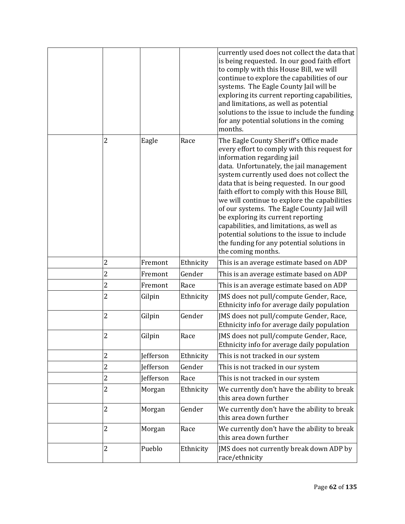|                |           |           | currently used does not collect the data that<br>is being requested. In our good faith effort<br>to comply with this House Bill, we will<br>continue to explore the capabilities of our<br>systems. The Eagle County Jail will be<br>exploring its current reporting capabilities,<br>and limitations, as well as potential<br>solutions to the issue to include the funding<br>for any potential solutions in the coming<br>months.                                                                                                                                                                            |
|----------------|-----------|-----------|-----------------------------------------------------------------------------------------------------------------------------------------------------------------------------------------------------------------------------------------------------------------------------------------------------------------------------------------------------------------------------------------------------------------------------------------------------------------------------------------------------------------------------------------------------------------------------------------------------------------|
| 2              | Eagle     | Race      | The Eagle County Sheriff's Office made<br>every effort to comply with this request for<br>information regarding jail<br>data. Unfortunately, the jail management<br>system currently used does not collect the<br>data that is being requested. In our good<br>faith effort to comply with this House Bill,<br>we will continue to explore the capabilities<br>of our systems. The Eagle County Jail will<br>be exploring its current reporting<br>capabilities, and limitations, as well as<br>potential solutions to the issue to include<br>the funding for any potential solutions in<br>the coming months. |
| 2              | Fremont   | Ethnicity | This is an average estimate based on ADP                                                                                                                                                                                                                                                                                                                                                                                                                                                                                                                                                                        |
| $\overline{c}$ | Fremont   | Gender    | This is an average estimate based on ADP                                                                                                                                                                                                                                                                                                                                                                                                                                                                                                                                                                        |
| $\overline{c}$ | Fremont   | Race      | This is an average estimate based on ADP                                                                                                                                                                                                                                                                                                                                                                                                                                                                                                                                                                        |
| 2              | Gilpin    | Ethnicity | JMS does not pull/compute Gender, Race,<br>Ethnicity info for average daily population                                                                                                                                                                                                                                                                                                                                                                                                                                                                                                                          |
| 2              | Gilpin    | Gender    | JMS does not pull/compute Gender, Race,<br>Ethnicity info for average daily population                                                                                                                                                                                                                                                                                                                                                                                                                                                                                                                          |
| 2              | Gilpin    | Race      | JMS does not pull/compute Gender, Race,<br>Ethnicity info for average daily population                                                                                                                                                                                                                                                                                                                                                                                                                                                                                                                          |
| 2              | Jefferson | Ethnicity | This is not tracked in our system                                                                                                                                                                                                                                                                                                                                                                                                                                                                                                                                                                               |
| 2              | Jefferson | Gender    | This is not tracked in our system                                                                                                                                                                                                                                                                                                                                                                                                                                                                                                                                                                               |
| 2              | Jefferson | Race      | This is not tracked in our system                                                                                                                                                                                                                                                                                                                                                                                                                                                                                                                                                                               |
| 2              | Morgan    | Ethnicity | We currently don't have the ability to break<br>this area down further                                                                                                                                                                                                                                                                                                                                                                                                                                                                                                                                          |
| $\overline{2}$ | Morgan    | Gender    | We currently don't have the ability to break<br>this area down further                                                                                                                                                                                                                                                                                                                                                                                                                                                                                                                                          |
| 2              | Morgan    | Race      | We currently don't have the ability to break<br>this area down further                                                                                                                                                                                                                                                                                                                                                                                                                                                                                                                                          |
| 2              | Pueblo    | Ethnicity | JMS does not currently break down ADP by<br>race/ethnicity                                                                                                                                                                                                                                                                                                                                                                                                                                                                                                                                                      |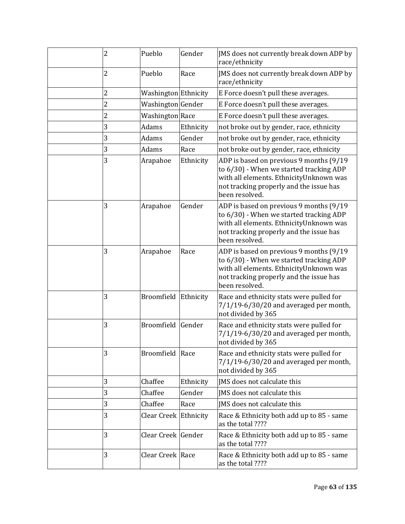| 2 | Pueblo                | Gender    | JMS does not currently break down ADP by<br>race/ethnicity                                                                                                                                 |
|---|-----------------------|-----------|--------------------------------------------------------------------------------------------------------------------------------------------------------------------------------------------|
| 2 | Pueblo                | Race      | JMS does not currently break down ADP by<br>race/ethnicity                                                                                                                                 |
| 2 | Washington Ethnicity  |           | E Force doesn't pull these averages.                                                                                                                                                       |
| 2 | Washington Gender     |           | E Force doesn't pull these averages.                                                                                                                                                       |
| 2 | Washington Race       |           | E Force doesn't pull these averages.                                                                                                                                                       |
| 3 | Adams                 | Ethnicity | not broke out by gender, race, ethnicity                                                                                                                                                   |
| 3 | Adams                 | Gender    | not broke out by gender, race, ethnicity                                                                                                                                                   |
| 3 | Adams                 | Race      | not broke out by gender, race, ethnicity                                                                                                                                                   |
| 3 | Arapahoe              | Ethnicity | ADP is based on previous 9 months (9/19<br>to 6/30) - When we started tracking ADP<br>with all elements. EthnicityUnknown was<br>not tracking properly and the issue has<br>been resolved. |
| 3 | Arapahoe              | Gender    | ADP is based on previous 9 months (9/19<br>to 6/30) - When we started tracking ADP<br>with all elements. EthnicityUnknown was<br>not tracking properly and the issue has<br>been resolved. |
| 3 | Arapahoe              | Race      | ADP is based on previous 9 months (9/19<br>to 6/30) - When we started tracking ADP<br>with all elements. EthnicityUnknown was<br>not tracking properly and the issue has<br>been resolved. |
| 3 | Broomfield Ethnicity  |           | Race and ethnicity stats were pulled for<br>7/1/19-6/30/20 and averaged per month,<br>not divided by 365                                                                                   |
| 3 | Broomfield Gender     |           | Race and ethnicity stats were pulled for<br>7/1/19-6/30/20 and averaged per month,<br>not divided by 365                                                                                   |
| 3 | Broomfield Race       |           | Race and ethnicity stats were pulled for<br>7/1/19-6/30/20 and averaged per month,<br>not divided by 365                                                                                   |
| 3 | Chaffee               | Ethnicity | JMS does not calculate this                                                                                                                                                                |
| 3 | Chaffee               | Gender    | JMS does not calculate this                                                                                                                                                                |
| 3 | Chaffee               | Race      | JMS does not calculate this                                                                                                                                                                |
| 3 | Clear Creek Ethnicity |           | Race & Ethnicity both add up to 85 - same<br>as the total ????                                                                                                                             |
| 3 | Clear Creek Gender    |           | Race & Ethnicity both add up to 85 - same<br>as the total ????                                                                                                                             |
| 3 | Clear Creek Race      |           | Race & Ethnicity both add up to 85 - same<br>as the total ????                                                                                                                             |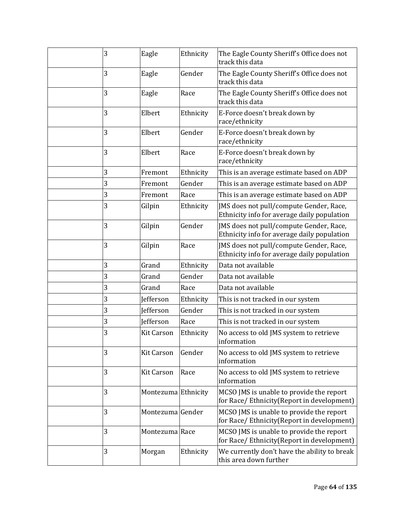| 3 | Eagle               | Ethnicity | The Eagle County Sheriff's Office does not<br>track this data                          |
|---|---------------------|-----------|----------------------------------------------------------------------------------------|
| 3 | Eagle               | Gender    | The Eagle County Sheriff's Office does not<br>track this data                          |
| 3 | Eagle               | Race      | The Eagle County Sheriff's Office does not<br>track this data                          |
| 3 | Elbert              | Ethnicity | E-Force doesn't break down by<br>race/ethnicity                                        |
| 3 | Elbert              | Gender    | E-Force doesn't break down by<br>race/ethnicity                                        |
| 3 | Elbert              | Race      | E-Force doesn't break down by<br>race/ethnicity                                        |
| 3 | Fremont             | Ethnicity | This is an average estimate based on ADP                                               |
| 3 | Fremont             | Gender    | This is an average estimate based on ADP                                               |
| 3 | Fremont             | Race      | This is an average estimate based on ADP                                               |
| 3 | Gilpin              | Ethnicity | JMS does not pull/compute Gender, Race,<br>Ethnicity info for average daily population |
| 3 | Gilpin              | Gender    | JMS does not pull/compute Gender, Race,<br>Ethnicity info for average daily population |
| 3 | Gilpin              | Race      | JMS does not pull/compute Gender, Race,<br>Ethnicity info for average daily population |
| 3 | Grand               | Ethnicity | Data not available                                                                     |
| 3 | Grand               | Gender    | Data not available                                                                     |
| 3 | Grand               | Race      | Data not available                                                                     |
| 3 | Jefferson           | Ethnicity | This is not tracked in our system                                                      |
| 3 | Jefferson           | Gender    | This is not tracked in our system                                                      |
| 3 | <b>Jefferson</b>    | Race      | This is not tracked in our system                                                      |
| 3 | <b>Kit Carson</b>   | Ethnicity | No access to old JMS system to retrieve<br>information                                 |
| 3 | <b>Kit Carson</b>   | Gender    | No access to old JMS system to retrieve<br>information                                 |
| 3 | <b>Kit Carson</b>   | Race      | No access to old JMS system to retrieve<br>information                                 |
| 3 | Montezuma Ethnicity |           | MCSO JMS is unable to provide the report<br>for Race/ Ethnicity(Report in development) |
| 3 | Montezuma Gender    |           | MCSO JMS is unable to provide the report<br>for Race/ Ethnicity(Report in development) |
| 3 | Montezuma Race      |           | MCSO JMS is unable to provide the report<br>for Race/ Ethnicity(Report in development) |
| 3 | Morgan              | Ethnicity | We currently don't have the ability to break<br>this area down further                 |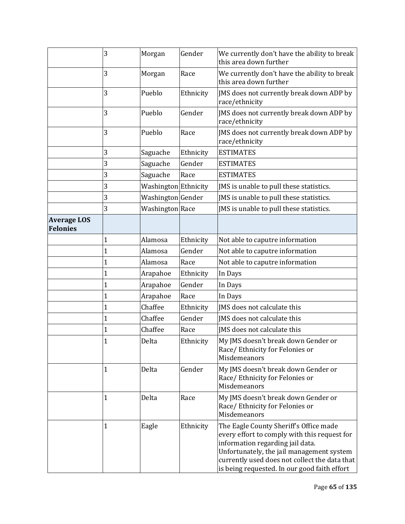|                                | 3            | Morgan               | Gender    | We currently don't have the ability to break<br>this area down further                                                                                                                                                                                                   |
|--------------------------------|--------------|----------------------|-----------|--------------------------------------------------------------------------------------------------------------------------------------------------------------------------------------------------------------------------------------------------------------------------|
|                                | 3            | Morgan               | Race      | We currently don't have the ability to break<br>this area down further                                                                                                                                                                                                   |
|                                | 3            | Pueblo               | Ethnicity | JMS does not currently break down ADP by<br>race/ethnicity                                                                                                                                                                                                               |
|                                | 3            | Pueblo               | Gender    | JMS does not currently break down ADP by<br>race/ethnicity                                                                                                                                                                                                               |
|                                | 3            | Pueblo               | Race      | JMS does not currently break down ADP by<br>race/ethnicity                                                                                                                                                                                                               |
|                                | 3            | Saguache             | Ethnicity | <b>ESTIMATES</b>                                                                                                                                                                                                                                                         |
|                                | 3            | Saguache             | Gender    | <b>ESTIMATES</b>                                                                                                                                                                                                                                                         |
|                                | 3            | Saguache             | Race      | <b>ESTIMATES</b>                                                                                                                                                                                                                                                         |
|                                | 3            | Washington Ethnicity |           | JMS is unable to pull these statistics.                                                                                                                                                                                                                                  |
|                                | 3            | Washington Gender    |           | JMS is unable to pull these statistics.                                                                                                                                                                                                                                  |
|                                | 3            | Washington Race      |           | JMS is unable to pull these statistics.                                                                                                                                                                                                                                  |
| <b>Average LOS</b><br>Felonies |              |                      |           |                                                                                                                                                                                                                                                                          |
|                                | $\mathbf 1$  | Alamosa              | Ethnicity | Not able to caputre information                                                                                                                                                                                                                                          |
|                                | 1            | Alamosa              | Gender    | Not able to caputre information                                                                                                                                                                                                                                          |
|                                | $\mathbf{1}$ | Alamosa              | Race      | Not able to caputre information                                                                                                                                                                                                                                          |
|                                | 1            | Arapahoe             | Ethnicity | In Days                                                                                                                                                                                                                                                                  |
|                                | $\mathbf{1}$ | Arapahoe             | Gender    | In Days                                                                                                                                                                                                                                                                  |
|                                | 1            | Arapahoe             | Race      | In Days                                                                                                                                                                                                                                                                  |
|                                | $\mathbf{1}$ | Chaffee              | Ethnicity | JMS does not calculate this                                                                                                                                                                                                                                              |
|                                | $\mathbf{1}$ | Chaffee              | Gender    | JMS does not calculate this                                                                                                                                                                                                                                              |
|                                | 1            | Chaffee              | Race      | IMS does not calculate this                                                                                                                                                                                                                                              |
|                                | $\mathbf{1}$ | Delta                | Ethnicity | My JMS doesn't break down Gender or<br>Race/ Ethnicity for Felonies or<br>Misdemeanors                                                                                                                                                                                   |
|                                | 1            | Delta                | Gender    | My JMS doesn't break down Gender or<br>Race/ Ethnicity for Felonies or<br>Misdemeanors                                                                                                                                                                                   |
|                                | $\mathbf{1}$ | Delta                | Race      | My JMS doesn't break down Gender or<br>Race/Ethnicity for Felonies or<br>Misdemeanors                                                                                                                                                                                    |
|                                | $\mathbf{1}$ | Eagle                | Ethnicity | The Eagle County Sheriff's Office made<br>every effort to comply with this request for<br>information regarding jail data.<br>Unfortunately, the jail management system<br>currently used does not collect the data that<br>is being requested. In our good faith effort |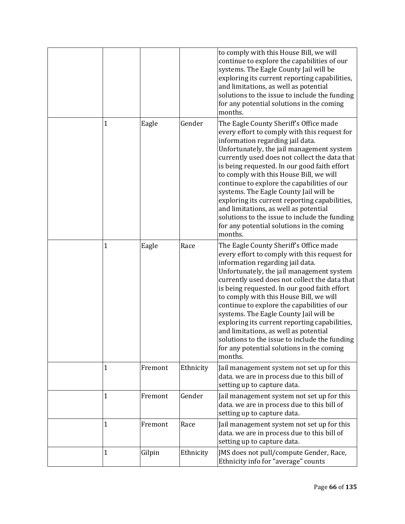|   |         |           | to comply with this House Bill, we will<br>continue to explore the capabilities of our<br>systems. The Eagle County Jail will be<br>exploring its current reporting capabilities,<br>and limitations, as well as potential<br>solutions to the issue to include the funding<br>for any potential solutions in the coming<br>months.                                                                                                                                                                                                                                                                             |
|---|---------|-----------|-----------------------------------------------------------------------------------------------------------------------------------------------------------------------------------------------------------------------------------------------------------------------------------------------------------------------------------------------------------------------------------------------------------------------------------------------------------------------------------------------------------------------------------------------------------------------------------------------------------------|
| 1 | Eagle   | Gender    | The Eagle County Sheriff's Office made<br>every effort to comply with this request for<br>information regarding jail data.<br>Unfortunately, the jail management system<br>currently used does not collect the data that<br>is being requested. In our good faith effort<br>to comply with this House Bill, we will<br>continue to explore the capabilities of our<br>systems. The Eagle County Jail will be<br>exploring its current reporting capabilities,<br>and limitations, as well as potential<br>solutions to the issue to include the funding<br>for any potential solutions in the coming<br>months. |
| 1 | Eagle   | Race      | The Eagle County Sheriff's Office made<br>every effort to comply with this request for<br>information regarding jail data.<br>Unfortunately, the jail management system<br>currently used does not collect the data that<br>is being requested. In our good faith effort<br>to comply with this House Bill, we will<br>continue to explore the capabilities of our<br>systems. The Eagle County Jail will be<br>exploring its current reporting capabilities,<br>and limitations, as well as potential<br>solutions to the issue to include the funding<br>for any potential solutions in the coming<br>months. |
| 1 | Fremont | Ethnicity | Jail management system not set up for this<br>data. we are in process due to this bill of<br>setting up to capture data.                                                                                                                                                                                                                                                                                                                                                                                                                                                                                        |
| 1 | Fremont | Gender    | Jail management system not set up for this<br>data. we are in process due to this bill of<br>setting up to capture data.                                                                                                                                                                                                                                                                                                                                                                                                                                                                                        |
| 1 | Fremont | Race      | Jail management system not set up for this<br>data. we are in process due to this bill of<br>setting up to capture data.                                                                                                                                                                                                                                                                                                                                                                                                                                                                                        |
| 1 | Gilpin  | Ethnicity | JMS does not pull/compute Gender, Race,<br>Ethnicity info for "average" counts                                                                                                                                                                                                                                                                                                                                                                                                                                                                                                                                  |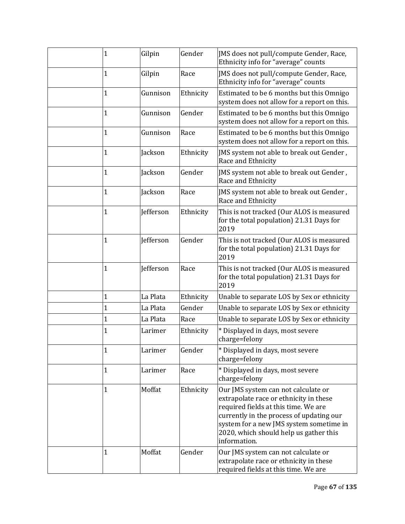| $\mathbf{1}$ | Gilpin           | Gender    | JMS does not pull/compute Gender, Race,<br>Ethnicity info for "average" counts                                                                                                                                                                                         |
|--------------|------------------|-----------|------------------------------------------------------------------------------------------------------------------------------------------------------------------------------------------------------------------------------------------------------------------------|
| $\mathbf{1}$ | Gilpin           | Race      | JMS does not pull/compute Gender, Race,<br>Ethnicity info for "average" counts                                                                                                                                                                                         |
| $\mathbf{1}$ | Gunnison         | Ethnicity | Estimated to be 6 months but this Omnigo<br>system does not allow for a report on this.                                                                                                                                                                                |
| $\mathbf{1}$ | Gunnison         | Gender    | Estimated to be 6 months but this Omnigo<br>system does not allow for a report on this.                                                                                                                                                                                |
| $\mathbf{1}$ | Gunnison         | Race      | Estimated to be 6 months but this Omnigo<br>system does not allow for a report on this.                                                                                                                                                                                |
| $\mathbf{1}$ | Jackson          | Ethnicity | JMS system not able to break out Gender,<br>Race and Ethnicity                                                                                                                                                                                                         |
| $\mathbf{1}$ | <b>Jackson</b>   | Gender    | JMS system not able to break out Gender,<br>Race and Ethnicity                                                                                                                                                                                                         |
| $\mathbf{1}$ | Jackson          | Race      | JMS system not able to break out Gender,<br>Race and Ethnicity                                                                                                                                                                                                         |
| $\mathbf{1}$ | <b>Jefferson</b> | Ethnicity | This is not tracked (Our ALOS is measured<br>for the total population) 21.31 Days for<br>2019                                                                                                                                                                          |
| $\mathbf{1}$ | Jefferson        | Gender    | This is not tracked (Our ALOS is measured<br>for the total population) 21.31 Days for<br>2019                                                                                                                                                                          |
| $\mathbf{1}$ | Jefferson        | Race      | This is not tracked (Our ALOS is measured<br>for the total population) 21.31 Days for<br>2019                                                                                                                                                                          |
| $\mathbf{1}$ | La Plata         | Ethnicity | Unable to separate LOS by Sex or ethnicity                                                                                                                                                                                                                             |
| $\mathbf{1}$ | La Plata         | Gender    | Unable to separate LOS by Sex or ethnicity                                                                                                                                                                                                                             |
| $\mathbf{1}$ | La Plata         | Race      | Unable to separate LOS by Sex or ethnicity                                                                                                                                                                                                                             |
| $\mathbf{1}$ | Larimer          | Ethnicity | * Displayed in days, most severe<br>charge=felony                                                                                                                                                                                                                      |
| $\mathbf{1}$ | Larimer          | Gender    | * Displayed in days, most severe<br>charge=felony                                                                                                                                                                                                                      |
| $\mathbf{1}$ | Larimer          | Race      | * Displayed in days, most severe<br>charge=felony                                                                                                                                                                                                                      |
| $\mathbf{1}$ | Moffat           | Ethnicity | Our JMS system can not calculate or<br>extrapolate race or ethnicity in these<br>required fields at this time. We are<br>currently in the process of updating our<br>system for a new JMS system sometime in<br>2020, which should help us gather this<br>information. |
| $\mathbf{1}$ | Moffat           | Gender    | Our JMS system can not calculate or<br>extrapolate race or ethnicity in these<br>required fields at this time. We are                                                                                                                                                  |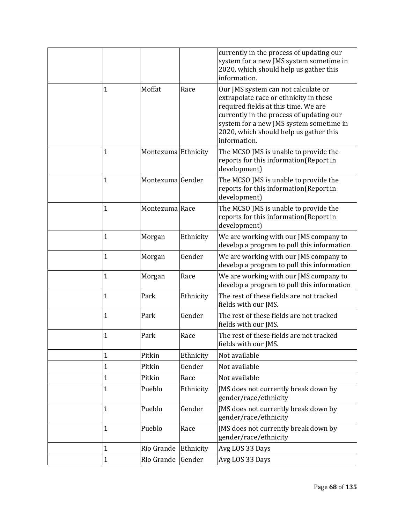|              |                     |           | currently in the process of updating our<br>system for a new JMS system sometime in<br>2020, which should help us gather this<br>information.                                                                                                                          |
|--------------|---------------------|-----------|------------------------------------------------------------------------------------------------------------------------------------------------------------------------------------------------------------------------------------------------------------------------|
| 1            | Moffat              | Race      | Our JMS system can not calculate or<br>extrapolate race or ethnicity in these<br>required fields at this time. We are<br>currently in the process of updating our<br>system for a new JMS system sometime in<br>2020, which should help us gather this<br>information. |
| 1            | Montezuma Ethnicity |           | The MCSO JMS is unable to provide the<br>reports for this information(Report in<br>development)                                                                                                                                                                        |
| 1            | Montezuma Gender    |           | The MCSO JMS is unable to provide the<br>reports for this information(Report in<br>development)                                                                                                                                                                        |
| 1            | Montezuma Race      |           | The MCSO JMS is unable to provide the<br>reports for this information(Report in<br>development)                                                                                                                                                                        |
| $\mathbf{1}$ | Morgan              | Ethnicity | We are working with our JMS company to<br>develop a program to pull this information                                                                                                                                                                                   |
| 1            | Morgan              | Gender    | We are working with our JMS company to<br>develop a program to pull this information                                                                                                                                                                                   |
| $\mathbf 1$  | Morgan              | Race      | We are working with our JMS company to<br>develop a program to pull this information                                                                                                                                                                                   |
| 1            | Park                | Ethnicity | The rest of these fields are not tracked<br>fields with our JMS.                                                                                                                                                                                                       |
| 1            | Park                | Gender    | The rest of these fields are not tracked<br>fields with our JMS.                                                                                                                                                                                                       |
| 1            | Park                | Race      | The rest of these fields are not tracked<br>fields with our JMS.                                                                                                                                                                                                       |
| 1            | Pitkin              | Ethnicity | Not available                                                                                                                                                                                                                                                          |
| $\mathbf 1$  | Pitkin              | Gender    | Not available                                                                                                                                                                                                                                                          |
| 1            | Pitkin              | Race      | Not available                                                                                                                                                                                                                                                          |
| 1            | Pueblo              | Ethnicity | JMS does not currently break down by<br>gender/race/ethnicity                                                                                                                                                                                                          |
| $\mathbf 1$  | Pueblo              | Gender    | JMS does not currently break down by<br>gender/race/ethnicity                                                                                                                                                                                                          |
| $\mathbf 1$  | Pueblo              | Race      | JMS does not currently break down by<br>gender/race/ethnicity                                                                                                                                                                                                          |
| $\mathbf 1$  | Rio Grande          | Ethnicity | Avg LOS 33 Days                                                                                                                                                                                                                                                        |
| $\mathbf 1$  | Rio Grande          | Gender    | Avg LOS 33 Days                                                                                                                                                                                                                                                        |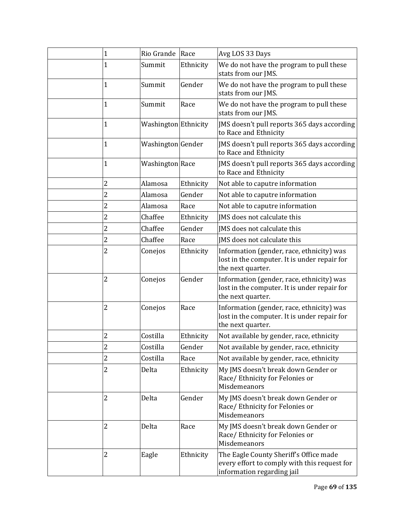| $\mathbf{1}$   | Rio Grande             | Race      | Avg LOS 33 Days                                                                                                      |
|----------------|------------------------|-----------|----------------------------------------------------------------------------------------------------------------------|
| 1              | Summit                 | Ethnicity | We do not have the program to pull these<br>stats from our JMS.                                                      |
| $\mathbf{1}$   | Summit                 | Gender    | We do not have the program to pull these<br>stats from our JMS.                                                      |
| $\mathbf{1}$   | Summit                 | Race      | We do not have the program to pull these<br>stats from our JMS.                                                      |
| $\mathbf{1}$   | Washington Ethnicity   |           | JMS doesn't pull reports 365 days according<br>to Race and Ethnicity                                                 |
| $\mathbf{1}$   | Washington Gender      |           | JMS doesn't pull reports 365 days according<br>to Race and Ethnicity                                                 |
| $\mathbf{1}$   | <b>Washington</b> Race |           | JMS doesn't pull reports 365 days according<br>to Race and Ethnicity                                                 |
| 2              | Alamosa                | Ethnicity | Not able to caputre information                                                                                      |
| $\overline{c}$ | Alamosa                | Gender    | Not able to caputre information                                                                                      |
| $\overline{c}$ | Alamosa                | Race      | Not able to caputre information                                                                                      |
| $\overline{c}$ | Chaffee                | Ethnicity | JMS does not calculate this                                                                                          |
| 2              | Chaffee                | Gender    | IMS does not calculate this                                                                                          |
| $\overline{c}$ | Chaffee                | Race      | IMS does not calculate this                                                                                          |
| 2              | Conejos                | Ethnicity | Information (gender, race, ethnicity) was<br>lost in the computer. It is under repair for<br>the next quarter.       |
| 2              | Conejos                | Gender    | Information (gender, race, ethnicity) was<br>lost in the computer. It is under repair for<br>the next quarter.       |
| $\overline{c}$ | Conejos                | Race      | Information (gender, race, ethnicity) was<br>lost in the computer. It is under repair for<br>the next quarter.       |
| 2              | Costilla               | Ethnicity | Not available by gender, race, ethnicity                                                                             |
| 2              | Costilla               | Gender    | Not available by gender, race, ethnicity                                                                             |
| 2              | Costilla               | Race      | Not available by gender, race, ethnicity                                                                             |
| $\overline{c}$ | Delta                  | Ethnicity | My JMS doesn't break down Gender or<br>Race/Ethnicity for Felonies or<br>Misdemeanors                                |
| 2              | Delta                  | Gender    | My JMS doesn't break down Gender or<br>Race/ Ethnicity for Felonies or<br>Misdemeanors                               |
| 2              | Delta                  | Race      | My JMS doesn't break down Gender or<br>Race/ Ethnicity for Felonies or<br>Misdemeanors                               |
| 2              | Eagle                  | Ethnicity | The Eagle County Sheriff's Office made<br>every effort to comply with this request for<br>information regarding jail |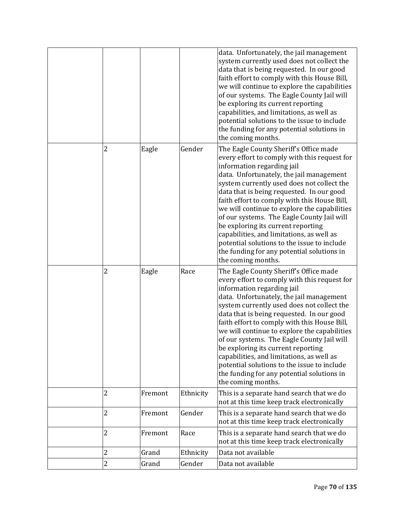|                |         |           | data. Unfortunately, the jail management<br>system currently used does not collect the<br>data that is being requested. In our good<br>faith effort to comply with this House Bill,<br>we will continue to explore the capabilities<br>of our systems. The Eagle County Jail will<br>be exploring its current reporting<br>capabilities, and limitations, as well as<br>potential solutions to the issue to include<br>the funding for any potential solutions in<br>the coming months.                                                                                                                         |
|----------------|---------|-----------|-----------------------------------------------------------------------------------------------------------------------------------------------------------------------------------------------------------------------------------------------------------------------------------------------------------------------------------------------------------------------------------------------------------------------------------------------------------------------------------------------------------------------------------------------------------------------------------------------------------------|
| 2              | Eagle   | Gender    | The Eagle County Sheriff's Office made<br>every effort to comply with this request for<br>information regarding jail<br>data. Unfortunately, the jail management<br>system currently used does not collect the<br>data that is being requested. In our good<br>faith effort to comply with this House Bill,<br>we will continue to explore the capabilities<br>of our systems. The Eagle County Jail will<br>be exploring its current reporting<br>capabilities, and limitations, as well as<br>potential solutions to the issue to include<br>the funding for any potential solutions in<br>the coming months. |
| 2              | Eagle   | Race      | The Eagle County Sheriff's Office made<br>every effort to comply with this request for<br>information regarding jail<br>data. Unfortunately, the jail management<br>system currently used does not collect the<br>data that is being requested. In our good<br>faith effort to comply with this House Bill,<br>we will continue to explore the capabilities<br>of our systems. The Eagle County Jail will<br>be exploring its current reporting<br>capabilities, and limitations, as well as<br>potential solutions to the issue to include<br>the funding for any potential solutions in<br>the coming months. |
| $\overline{c}$ | Fremont | Ethnicity | This is a separate hand search that we do<br>not at this time keep track electronically                                                                                                                                                                                                                                                                                                                                                                                                                                                                                                                         |
| $\overline{c}$ | Fremont | Gender    | This is a separate hand search that we do<br>not at this time keep track electronically                                                                                                                                                                                                                                                                                                                                                                                                                                                                                                                         |
| $\overline{c}$ | Fremont | Race      | This is a separate hand search that we do<br>not at this time keep track electronically                                                                                                                                                                                                                                                                                                                                                                                                                                                                                                                         |
| $\overline{c}$ | Grand   | Ethnicity | Data not available                                                                                                                                                                                                                                                                                                                                                                                                                                                                                                                                                                                              |
| $\overline{c}$ | Grand   | Gender    | Data not available                                                                                                                                                                                                                                                                                                                                                                                                                                                                                                                                                                                              |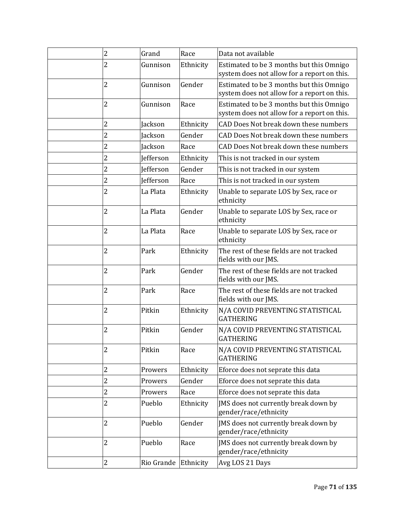| $\overline{2}$ | Grand            | Race      | Data not available                                                                      |
|----------------|------------------|-----------|-----------------------------------------------------------------------------------------|
| 2              | Gunnison         | Ethnicity | Estimated to be 3 months but this Omnigo<br>system does not allow for a report on this. |
| 2              | Gunnison         | Gender    | Estimated to be 3 months but this Omnigo<br>system does not allow for a report on this. |
| 2              | Gunnison         | Race      | Estimated to be 3 months but this Omnigo<br>system does not allow for a report on this. |
| 2              | Jackson          | Ethnicity | CAD Does Not break down these numbers                                                   |
| $\overline{2}$ | <b>Jackson</b>   | Gender    | CAD Does Not break down these numbers                                                   |
| $\overline{2}$ | Jackson          | Race      | CAD Does Not break down these numbers                                                   |
| $\overline{2}$ | <b>Jefferson</b> | Ethnicity | This is not tracked in our system                                                       |
| $\overline{2}$ | Jefferson        | Gender    | This is not tracked in our system                                                       |
| 2              | <b>Jefferson</b> | Race      | This is not tracked in our system                                                       |
| $\overline{c}$ | La Plata         | Ethnicity | Unable to separate LOS by Sex, race or<br>ethnicity                                     |
| 2              | La Plata         | Gender    | Unable to separate LOS by Sex, race or<br>ethnicity                                     |
| $\overline{2}$ | La Plata         | Race      | Unable to separate LOS by Sex, race or<br>ethnicity                                     |
| $\overline{c}$ | Park             | Ethnicity | The rest of these fields are not tracked<br>fields with our JMS.                        |
| $\overline{c}$ | Park             | Gender    | The rest of these fields are not tracked<br>fields with our JMS.                        |
| $\overline{c}$ | Park             | Race      | The rest of these fields are not tracked<br>fields with our JMS.                        |
| 2              | Pitkin           | Ethnicity | N/A COVID PREVENTING STATISTICAL<br><b>GATHERING</b>                                    |
| 2              | Pitkin           | Gender    | N/A COVID PREVENTING STATISTICAL<br><b>GATHERING</b>                                    |
| 2              | Pitkin           | Race      | N/A COVID PREVENTING STATISTICAL<br><b>GATHERING</b>                                    |
| 2              | Prowers          | Ethnicity | Eforce does not seprate this data                                                       |
| $\overline{c}$ | Prowers          | Gender    | Eforce does not seprate this data                                                       |
| $\overline{c}$ | Prowers          | Race      | Eforce does not seprate this data                                                       |
| 2              | Pueblo           | Ethnicity | JMS does not currently break down by<br>gender/race/ethnicity                           |
| $\overline{2}$ | Pueblo           | Gender    | JMS does not currently break down by<br>gender/race/ethnicity                           |
| $\overline{c}$ | Pueblo           | Race      | JMS does not currently break down by<br>gender/race/ethnicity                           |
| $\overline{c}$ | Rio Grande       | Ethnicity | Avg LOS 21 Days                                                                         |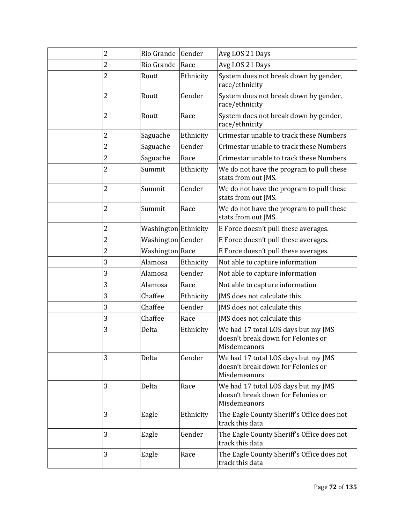| 2              | Rio Grande Gender      |           | Avg LOS 21 Days                                                                           |
|----------------|------------------------|-----------|-------------------------------------------------------------------------------------------|
| 2              | Rio Grande             | Race      | Avg LOS 21 Days                                                                           |
| $\overline{c}$ | Routt                  | Ethnicity | System does not break down by gender,<br>race/ethnicity                                   |
| $\overline{2}$ | Routt                  | Gender    | System does not break down by gender,<br>race/ethnicity                                   |
| $\overline{c}$ | Routt                  | Race      | System does not break down by gender,<br>race/ethnicity                                   |
| 2              | Saguache               | Ethnicity | Crimestar unable to track these Numbers                                                   |
| $\overline{2}$ | Saguache               | Gender    | Crimestar unable to track these Numbers                                                   |
| $\overline{c}$ | Saguache               | Race      | Crimestar unable to track these Numbers                                                   |
| 2              | Summit                 | Ethnicity | We do not have the program to pull these<br>stats from out JMS.                           |
| 2              | Summit                 | Gender    | We do not have the program to pull these<br>stats from out JMS.                           |
| 2              | Summit                 | Race      | We do not have the program to pull these<br>stats from out JMS.                           |
| 2              | Washington Ethnicity   |           | E Force doesn't pull these averages.                                                      |
| $\overline{2}$ | Washington Gender      |           | E Force doesn't pull these averages.                                                      |
| 2              | <b>Washington</b> Race |           | E Force doesn't pull these averages.                                                      |
| 3              | Alamosa                | Ethnicity | Not able to capture information                                                           |
| 3              | Alamosa                | Gender    | Not able to capture information                                                           |
| 3              | Alamosa                | Race      | Not able to capture information                                                           |
| 3              | Chaffee                | Ethnicity | JMS does not calculate this                                                               |
| 3              | Chaffee                | Gender    | IMS does not calculate this                                                               |
| 3              | Chaffee                | Race      | JMS does not calculate this                                                               |
| 3              | Delta                  | Ethnicity | We had 17 total LOS days but my JMS<br>doesn't break down for Felonies or<br>Misdemeanors |
| 3              | Delta                  | Gender    | We had 17 total LOS days but my JMS<br>doesn't break down for Felonies or<br>Misdemeanors |
| 3              | Delta                  | Race      | We had 17 total LOS days but my JMS<br>doesn't break down for Felonies or<br>Misdemeanors |
| 3              | Eagle                  | Ethnicity | The Eagle County Sheriff's Office does not<br>track this data                             |
| 3              | Eagle                  | Gender    | The Eagle County Sheriff's Office does not<br>track this data                             |
| 3              | Eagle                  | Race      | The Eagle County Sheriff's Office does not<br>track this data                             |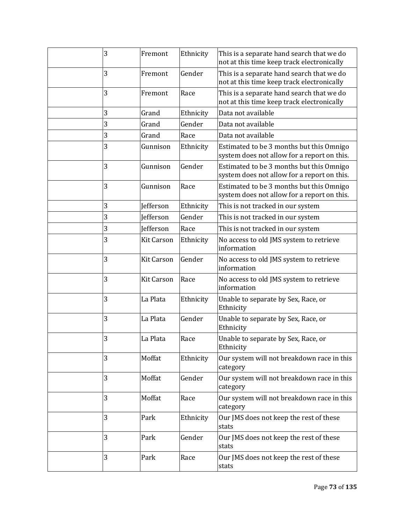| 3 | Fremont           | Ethnicity | This is a separate hand search that we do<br>not at this time keep track electronically |
|---|-------------------|-----------|-----------------------------------------------------------------------------------------|
| 3 | Fremont           | Gender    | This is a separate hand search that we do<br>not at this time keep track electronically |
| 3 | Fremont           | Race      | This is a separate hand search that we do<br>not at this time keep track electronically |
| 3 | Grand             | Ethnicity | Data not available                                                                      |
| 3 | Grand             | Gender    | Data not available                                                                      |
| 3 | Grand             | Race      | Data not available                                                                      |
| 3 | Gunnison          | Ethnicity | Estimated to be 3 months but this Omnigo<br>system does not allow for a report on this. |
| 3 | Gunnison          | Gender    | Estimated to be 3 months but this Omnigo<br>system does not allow for a report on this. |
| 3 | Gunnison          | Race      | Estimated to be 3 months but this Omnigo<br>system does not allow for a report on this. |
| 3 | <b>Jefferson</b>  | Ethnicity | This is not tracked in our system                                                       |
| 3 | <b>Jefferson</b>  | Gender    | This is not tracked in our system                                                       |
| 3 | <b>Jefferson</b>  | Race      | This is not tracked in our system                                                       |
| 3 | <b>Kit Carson</b> | Ethnicity | No access to old JMS system to retrieve<br>information                                  |
| 3 | <b>Kit Carson</b> | Gender    | No access to old JMS system to retrieve<br>information                                  |
| 3 | <b>Kit Carson</b> | Race      | No access to old JMS system to retrieve<br>information                                  |
| 3 | La Plata          | Ethnicity | Unable to separate by Sex, Race, or<br>Ethnicity                                        |
| 3 | La Plata          | Gender    | Unable to separate by Sex, Race, or<br>Ethnicity                                        |
| 3 | La Plata          | Race      | Unable to separate by Sex, Race, or<br>Ethnicity                                        |
| 3 | Moffat            | Ethnicity | Our system will not breakdown race in this<br>category                                  |
| 3 | Moffat            | Gender    | Our system will not breakdown race in this<br>category                                  |
| 3 | Moffat            | Race      | Our system will not breakdown race in this<br>category                                  |
| 3 | Park              | Ethnicity | Our JMS does not keep the rest of these<br>stats                                        |
| 3 | Park              | Gender    | Our JMS does not keep the rest of these<br>stats                                        |
| 3 | Park              | Race      | Our JMS does not keep the rest of these<br>stats                                        |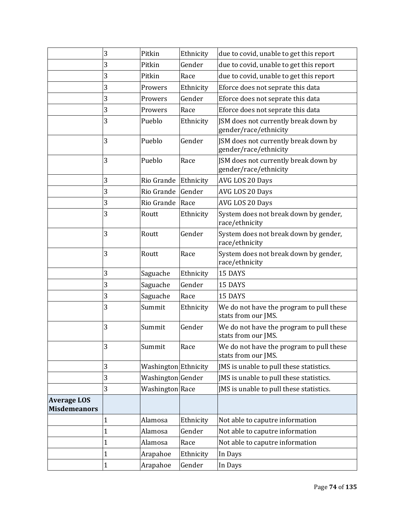|                                           | 3            | Pitkin               | Ethnicity | due to covid, unable to get this report                         |
|-------------------------------------------|--------------|----------------------|-----------|-----------------------------------------------------------------|
|                                           | 3            | Pitkin               | Gender    |                                                                 |
|                                           |              |                      |           | due to covid, unable to get this report                         |
|                                           | 3            | Pitkin               | Race      | due to covid, unable to get this report                         |
|                                           | 3            | Prowers              | Ethnicity | Eforce does not seprate this data                               |
|                                           | 3            | Prowers              | Gender    | Eforce does not seprate this data                               |
|                                           | 3            | Prowers              | Race      | Eforce does not seprate this data                               |
|                                           | 3            | Pueblo               | Ethnicity | JSM does not currently break down by<br>gender/race/ethnicity   |
|                                           | 3            | Pueblo               | Gender    | JSM does not currently break down by<br>gender/race/ethnicity   |
|                                           | 3            | Pueblo               | Race      | JSM does not currently break down by<br>gender/race/ethnicity   |
|                                           | 3            | Rio Grande           | Ethnicity | AVG LOS 20 Days                                                 |
|                                           | 3            | Rio Grande           | Gender    | AVG LOS 20 Days                                                 |
|                                           | 3            | Rio Grande           | Race      | AVG LOS 20 Days                                                 |
|                                           | 3            | Routt                | Ethnicity | System does not break down by gender,<br>race/ethnicity         |
|                                           | 3            | Routt                | Gender    | System does not break down by gender,<br>race/ethnicity         |
|                                           | 3            | Routt                | Race      | System does not break down by gender,<br>race/ethnicity         |
|                                           | 3            | Saguache             | Ethnicity | 15 DAYS                                                         |
|                                           | 3            | Saguache             | Gender    | 15 DAYS                                                         |
|                                           | 3            | Saguache             | Race      | 15 DAYS                                                         |
|                                           | 3            | Summit               | Ethnicity | We do not have the program to pull these<br>stats from our JMS. |
|                                           | 3            | Summit               | Gender    | We do not have the program to pull these<br>stats from our JMS. |
|                                           | 3            | Summit               | Race      | We do not have the program to pull these<br>stats from our JMS. |
|                                           | 3            | Washington Ethnicity |           | JMS is unable to pull these statistics.                         |
|                                           | 3            | Washington Gender    |           | JMS is unable to pull these statistics.                         |
|                                           | 3            | Washington Race      |           | JMS is unable to pull these statistics.                         |
| <b>Average LOS</b><br><b>Misdemeanors</b> |              |                      |           |                                                                 |
|                                           | $\mathbf{1}$ | Alamosa              | Ethnicity | Not able to caputre information                                 |
|                                           | $\mathbf{1}$ | Alamosa              | Gender    | Not able to caputre information                                 |
|                                           | $\mathbf 1$  | Alamosa              | Race      | Not able to caputre information                                 |
|                                           | $\mathbf{1}$ | Arapahoe             | Ethnicity | In Days                                                         |
|                                           | $\mathbf{1}$ | Arapahoe             | Gender    | In Days                                                         |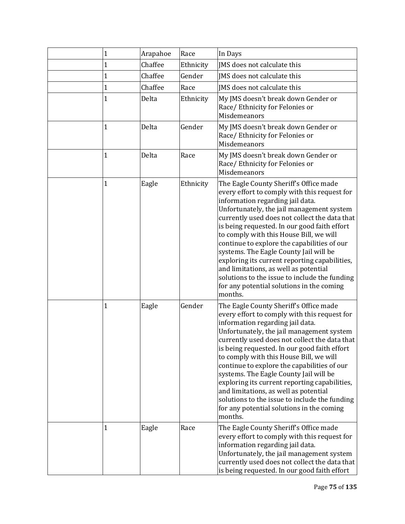| 1           | Arapahoe | Race      | In Days                                                                                                                                                                                                                                                                                                                                                                                                                                                                                                                                                                                                         |
|-------------|----------|-----------|-----------------------------------------------------------------------------------------------------------------------------------------------------------------------------------------------------------------------------------------------------------------------------------------------------------------------------------------------------------------------------------------------------------------------------------------------------------------------------------------------------------------------------------------------------------------------------------------------------------------|
| $\mathbf 1$ | Chaffee  | Ethnicity | JMS does not calculate this                                                                                                                                                                                                                                                                                                                                                                                                                                                                                                                                                                                     |
| 1           | Chaffee  | Gender    | JMS does not calculate this                                                                                                                                                                                                                                                                                                                                                                                                                                                                                                                                                                                     |
| $\mathbf 1$ | Chaffee  | Race      | IMS does not calculate this                                                                                                                                                                                                                                                                                                                                                                                                                                                                                                                                                                                     |
| $\mathbf 1$ | Delta    | Ethnicity | My JMS doesn't break down Gender or<br>Race/ Ethnicity for Felonies or<br>Misdemeanors                                                                                                                                                                                                                                                                                                                                                                                                                                                                                                                          |
| $\mathbf 1$ | Delta    | Gender    | My JMS doesn't break down Gender or<br>Race/ Ethnicity for Felonies or<br>Misdemeanors                                                                                                                                                                                                                                                                                                                                                                                                                                                                                                                          |
| 1           | Delta    | Race      | My JMS doesn't break down Gender or<br>Race/ Ethnicity for Felonies or<br>Misdemeanors                                                                                                                                                                                                                                                                                                                                                                                                                                                                                                                          |
| 1           | Eagle    | Ethnicity | The Eagle County Sheriff's Office made<br>every effort to comply with this request for<br>information regarding jail data.<br>Unfortunately, the jail management system<br>currently used does not collect the data that<br>is being requested. In our good faith effort<br>to comply with this House Bill, we will<br>continue to explore the capabilities of our<br>systems. The Eagle County Jail will be<br>exploring its current reporting capabilities,<br>and limitations, as well as potential<br>solutions to the issue to include the funding<br>for any potential solutions in the coming<br>months. |
| 1           | Eagle    | Gender    | The Eagle County Sheriff's Office made<br>every effort to comply with this request for<br>information regarding jail data.<br>Unfortunately, the jail management system<br>currently used does not collect the data that<br>is being requested. In our good faith effort<br>to comply with this House Bill, we will<br>continue to explore the capabilities of our<br>systems. The Eagle County Jail will be<br>exploring its current reporting capabilities,<br>and limitations, as well as potential<br>solutions to the issue to include the funding<br>for any potential solutions in the coming<br>months. |
| 1           | Eagle    | Race      | The Eagle County Sheriff's Office made<br>every effort to comply with this request for<br>information regarding jail data.<br>Unfortunately, the jail management system<br>currently used does not collect the data that<br>is being requested. In our good faith effort                                                                                                                                                                                                                                                                                                                                        |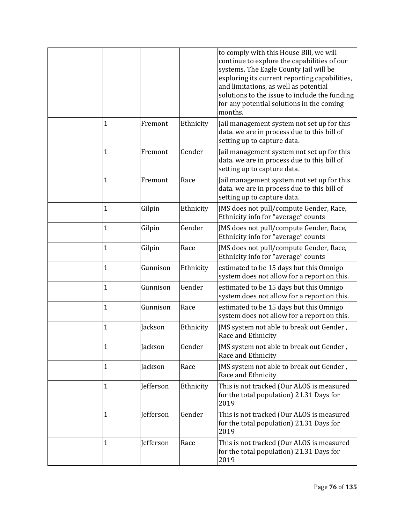|              |           |           | to comply with this House Bill, we will       |
|--------------|-----------|-----------|-----------------------------------------------|
|              |           |           | continue to explore the capabilities of our   |
|              |           |           | systems. The Eagle County Jail will be        |
|              |           |           | exploring its current reporting capabilities, |
|              |           |           | and limitations, as well as potential         |
|              |           |           | solutions to the issue to include the funding |
|              |           |           | for any potential solutions in the coming     |
|              |           |           | months.                                       |
| $\mathbf{1}$ | Fremont   | Ethnicity | Jail management system not set up for this    |
|              |           |           | data. we are in process due to this bill of   |
|              |           |           | setting up to capture data.                   |
| $\mathbf{1}$ | Fremont   | Gender    | Jail management system not set up for this    |
|              |           |           | data. we are in process due to this bill of   |
|              |           |           | setting up to capture data.                   |
| $\mathbf 1$  | Fremont   | Race      | Jail management system not set up for this    |
|              |           |           | data. we are in process due to this bill of   |
|              |           |           | setting up to capture data.                   |
| $\mathbf{1}$ | Gilpin    | Ethnicity | JMS does not pull/compute Gender, Race,       |
|              |           |           | Ethnicity info for "average" counts           |
| $\mathbf{1}$ | Gilpin    | Gender    | JMS does not pull/compute Gender, Race,       |
|              |           |           | Ethnicity info for "average" counts           |
| $\mathbf{1}$ | Gilpin    | Race      | JMS does not pull/compute Gender, Race,       |
|              |           |           | Ethnicity info for "average" counts           |
| $\mathbf{1}$ | Gunnison  | Ethnicity | estimated to be 15 days but this Omnigo       |
|              |           |           | system does not allow for a report on this.   |
| $\mathbf{1}$ | Gunnison  | Gender    | estimated to be 15 days but this Omnigo       |
|              |           |           | system does not allow for a report on this.   |
| $\mathbf{1}$ | Gunnison  | Race      | estimated to be 15 days but this Omnigo       |
|              |           |           | system does not allow for a report on this.   |
|              |           |           |                                               |
| $\mathbf{1}$ | Jackson   | Ethnicity | JMS system not able to break out Gender,      |
|              |           |           | Race and Ethnicity                            |
| 1            | Jackson   | Gender    | JMS system not able to break out Gender,      |
|              |           |           | Race and Ethnicity                            |
| $\mathbf{1}$ | Jackson   | Race      | JMS system not able to break out Gender,      |
|              |           |           | Race and Ethnicity                            |
| $\mathbf 1$  | Jefferson | Ethnicity | This is not tracked (Our ALOS is measured     |
|              |           |           | for the total population) 21.31 Days for      |
|              |           |           | 2019                                          |
| $\mathbf{1}$ | Jefferson | Gender    | This is not tracked (Our ALOS is measured     |
|              |           |           | for the total population) 21.31 Days for      |
|              |           |           | 2019                                          |
| $\mathbf{1}$ | Jefferson | Race      | This is not tracked (Our ALOS is measured     |
|              |           |           | for the total population) 21.31 Days for      |
|              |           |           | 2019                                          |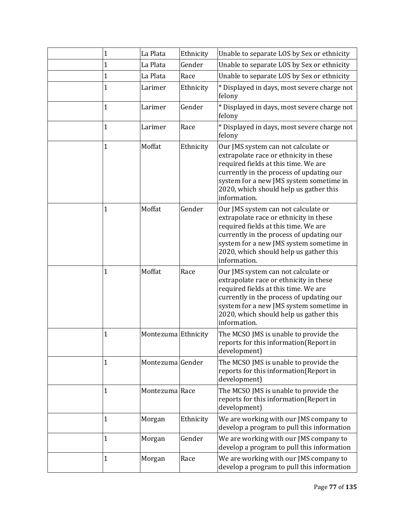| 1            | La Plata            | Ethnicity | Unable to separate LOS by Sex or ethnicity                                                                                                                                                                                                                             |
|--------------|---------------------|-----------|------------------------------------------------------------------------------------------------------------------------------------------------------------------------------------------------------------------------------------------------------------------------|
| $\mathbf{1}$ | La Plata            | Gender    | Unable to separate LOS by Sex or ethnicity                                                                                                                                                                                                                             |
| $\mathbf{1}$ | La Plata            | Race      | Unable to separate LOS by Sex or ethnicity                                                                                                                                                                                                                             |
| 1            | Larimer             | Ethnicity | * Displayed in days, most severe charge not<br>felony                                                                                                                                                                                                                  |
| $\mathbf{1}$ | Larimer             | Gender    | * Displayed in days, most severe charge not<br>felony                                                                                                                                                                                                                  |
| $\mathbf{1}$ | Larimer             | Race      | * Displayed in days, most severe charge not<br>felony                                                                                                                                                                                                                  |
| $\mathbf{1}$ | Moffat              | Ethnicity | Our JMS system can not calculate or<br>extrapolate race or ethnicity in these<br>required fields at this time. We are<br>currently in the process of updating our<br>system for a new JMS system sometime in<br>2020, which should help us gather this<br>information. |
| $\mathbf{1}$ | Moffat              | Gender    | Our JMS system can not calculate or<br>extrapolate race or ethnicity in these<br>required fields at this time. We are<br>currently in the process of updating our<br>system for a new JMS system sometime in<br>2020, which should help us gather this<br>information. |
| 1            | Moffat              | Race      | Our JMS system can not calculate or<br>extrapolate race or ethnicity in these<br>required fields at this time. We are<br>currently in the process of updating our<br>system for a new JMS system sometime in<br>2020, which should help us gather this<br>information. |
| 1            | Montezuma Ethnicity |           | The MCSO JMS is unable to provide the<br>reports for this information(Report in<br>development)                                                                                                                                                                        |
| $\mathbf{1}$ | Montezuma Gender    |           | The MCSO JMS is unable to provide the<br>reports for this information(Report in<br>development)                                                                                                                                                                        |
| 1            | Montezuma Race      |           | The MCSO JMS is unable to provide the<br>reports for this information(Report in<br>development)                                                                                                                                                                        |
| $\mathbf{1}$ | Morgan              | Ethnicity | We are working with our JMS company to<br>develop a program to pull this information                                                                                                                                                                                   |
| 1            | Morgan              | Gender    | We are working with our JMS company to<br>develop a program to pull this information                                                                                                                                                                                   |
| $\mathbf{1}$ | Morgan              | Race      | We are working with our JMS company to<br>develop a program to pull this information                                                                                                                                                                                   |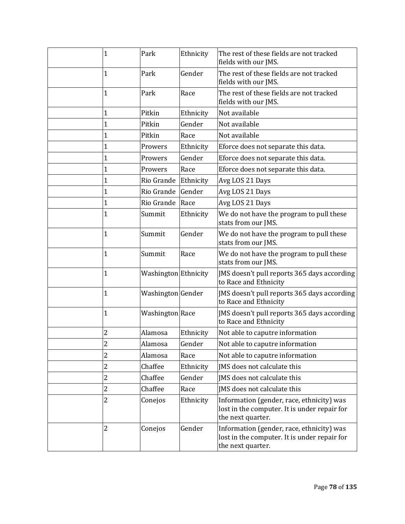| 1              | Park                   | Ethnicity | The rest of these fields are not tracked<br>fields with our JMS.                                               |
|----------------|------------------------|-----------|----------------------------------------------------------------------------------------------------------------|
| 1              | Park                   | Gender    | The rest of these fields are not tracked<br>fields with our JMS.                                               |
| 1              | Park                   | Race      | The rest of these fields are not tracked<br>fields with our JMS.                                               |
| 1              | Pitkin                 | Ethnicity | Not available                                                                                                  |
| 1              | Pitkin                 | Gender    | Not available                                                                                                  |
| 1              | Pitkin                 | Race      | Not available                                                                                                  |
| 1              | Prowers                | Ethnicity | Eforce does not separate this data.                                                                            |
| 1              | Prowers                | Gender    | Eforce does not separate this data.                                                                            |
| 1              | Prowers                | Race      | Eforce does not separate this data.                                                                            |
| 1              | Rio Grande             | Ethnicity | Avg LOS 21 Days                                                                                                |
| 1              | Rio Grande             | Gender    | Avg LOS 21 Days                                                                                                |
| 1              | Rio Grande             | Race      | Avg LOS 21 Days                                                                                                |
| 1              | Summit                 | Ethnicity | We do not have the program to pull these<br>stats from our JMS.                                                |
| 1              | Summit                 | Gender    | We do not have the program to pull these<br>stats from our JMS.                                                |
| 1              | Summit                 | Race      | We do not have the program to pull these<br>stats from our JMS.                                                |
| $\mathbf 1$    | Washington Ethnicity   |           | JMS doesn't pull reports 365 days according<br>to Race and Ethnicity                                           |
| 1              | Washington Gender      |           | JMS doesn't pull reports 365 days according<br>to Race and Ethnicity                                           |
| 1              | <b>Washington</b> Race |           | JMS doesn't pull reports 365 days according<br>to Race and Ethnicity                                           |
| 2              | Alamosa                | Ethnicity | Not able to caputre information                                                                                |
| $\overline{c}$ | Alamosa                | Gender    | Not able to caputre information                                                                                |
| 2              | Alamosa                | Race      | Not able to caputre information                                                                                |
| 2              | Chaffee                | Ethnicity | JMS does not calculate this                                                                                    |
| 2              | Chaffee                | Gender    | JMS does not calculate this                                                                                    |
| $\overline{c}$ | Chaffee                | Race      | JMS does not calculate this                                                                                    |
| 2              | Conejos                | Ethnicity | Information (gender, race, ethnicity) was<br>lost in the computer. It is under repair for<br>the next quarter. |
| 2              | Conejos                | Gender    | Information (gender, race, ethnicity) was<br>lost in the computer. It is under repair for<br>the next quarter. |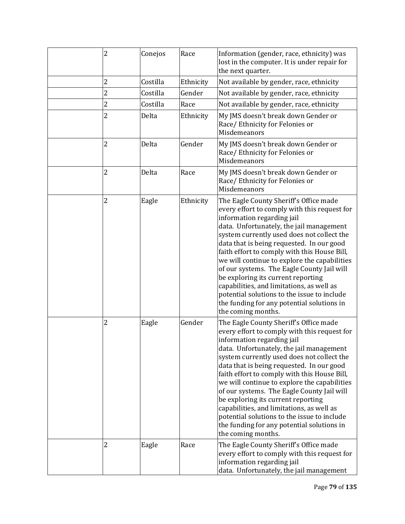| $\overline{c}$ | Conejos  | Race      | Information (gender, race, ethnicity) was<br>lost in the computer. It is under repair for<br>the next quarter.                                                                                                                                                                                                                                                                                                                                                                                                                                                                                                  |
|----------------|----------|-----------|-----------------------------------------------------------------------------------------------------------------------------------------------------------------------------------------------------------------------------------------------------------------------------------------------------------------------------------------------------------------------------------------------------------------------------------------------------------------------------------------------------------------------------------------------------------------------------------------------------------------|
| 2              | Costilla | Ethnicity | Not available by gender, race, ethnicity                                                                                                                                                                                                                                                                                                                                                                                                                                                                                                                                                                        |
| $\overline{c}$ | Costilla | Gender    | Not available by gender, race, ethnicity                                                                                                                                                                                                                                                                                                                                                                                                                                                                                                                                                                        |
| $\overline{c}$ | Costilla | Race      | Not available by gender, race, ethnicity                                                                                                                                                                                                                                                                                                                                                                                                                                                                                                                                                                        |
| $\overline{c}$ | Delta    | Ethnicity | My JMS doesn't break down Gender or<br>Race/ Ethnicity for Felonies or<br>Misdemeanors                                                                                                                                                                                                                                                                                                                                                                                                                                                                                                                          |
| 2              | Delta    | Gender    | My JMS doesn't break down Gender or<br>Race/Ethnicity for Felonies or<br>Misdemeanors                                                                                                                                                                                                                                                                                                                                                                                                                                                                                                                           |
| $\overline{2}$ | Delta    | Race      | My JMS doesn't break down Gender or<br>Race/ Ethnicity for Felonies or<br>Misdemeanors                                                                                                                                                                                                                                                                                                                                                                                                                                                                                                                          |
| 2              | Eagle    | Ethnicity | The Eagle County Sheriff's Office made<br>every effort to comply with this request for<br>information regarding jail<br>data. Unfortunately, the jail management<br>system currently used does not collect the<br>data that is being requested. In our good<br>faith effort to comply with this House Bill,<br>we will continue to explore the capabilities<br>of our systems. The Eagle County Jail will<br>be exploring its current reporting<br>capabilities, and limitations, as well as<br>potential solutions to the issue to include<br>the funding for any potential solutions in<br>the coming months. |
| $\overline{c}$ | Eagle    | Gender    | The Eagle County Sheriff's Office made<br>every effort to comply with this request for<br>information regarding jail<br>data. Unfortunately, the jail management<br>system currently used does not collect the<br>data that is being requested. In our good<br>faith effort to comply with this House Bill,<br>we will continue to explore the capabilities<br>of our systems. The Eagle County Jail will<br>be exploring its current reporting<br>capabilities, and limitations, as well as<br>potential solutions to the issue to include<br>the funding for any potential solutions in<br>the coming months. |
| $\overline{c}$ | Eagle    | Race      | The Eagle County Sheriff's Office made<br>every effort to comply with this request for<br>information regarding jail<br>data. Unfortunately, the jail management                                                                                                                                                                                                                                                                                                                                                                                                                                                |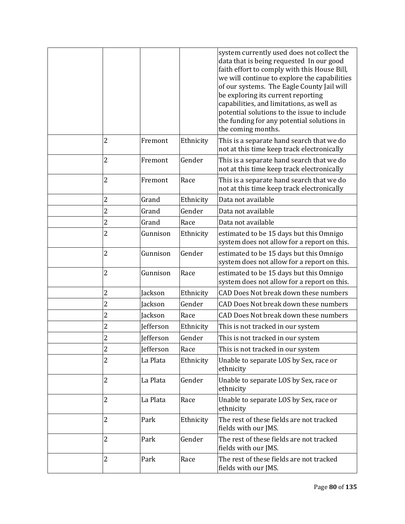|                |                  |           | system currently used does not collect the<br>data that is being requested In our good<br>faith effort to comply with this House Bill,<br>we will continue to explore the capabilities<br>of our systems. The Eagle County Jail will<br>be exploring its current reporting<br>capabilities, and limitations, as well as<br>potential solutions to the issue to include<br>the funding for any potential solutions in<br>the coming months. |
|----------------|------------------|-----------|--------------------------------------------------------------------------------------------------------------------------------------------------------------------------------------------------------------------------------------------------------------------------------------------------------------------------------------------------------------------------------------------------------------------------------------------|
| 2              | Fremont          | Ethnicity | This is a separate hand search that we do<br>not at this time keep track electronically                                                                                                                                                                                                                                                                                                                                                    |
| 2              | Fremont          | Gender    | This is a separate hand search that we do<br>not at this time keep track electronically                                                                                                                                                                                                                                                                                                                                                    |
| 2              | Fremont          | Race      | This is a separate hand search that we do<br>not at this time keep track electronically                                                                                                                                                                                                                                                                                                                                                    |
| 2              | Grand            | Ethnicity | Data not available                                                                                                                                                                                                                                                                                                                                                                                                                         |
| 2              | Grand            | Gender    | Data not available                                                                                                                                                                                                                                                                                                                                                                                                                         |
| 2              | Grand            | Race      | Data not available                                                                                                                                                                                                                                                                                                                                                                                                                         |
| $\overline{2}$ | Gunnison         | Ethnicity | estimated to be 15 days but this Omnigo<br>system does not allow for a report on this.                                                                                                                                                                                                                                                                                                                                                     |
| $\overline{2}$ | Gunnison         | Gender    | estimated to be 15 days but this Omnigo<br>system does not allow for a report on this.                                                                                                                                                                                                                                                                                                                                                     |
| 2              | Gunnison         | Race      | estimated to be 15 days but this Omnigo<br>system does not allow for a report on this.                                                                                                                                                                                                                                                                                                                                                     |
| 2              | Jackson          | Ethnicity | CAD Does Not break down these numbers                                                                                                                                                                                                                                                                                                                                                                                                      |
| 2              | Jackson          | Gender    | CAD Does Not break down these numbers                                                                                                                                                                                                                                                                                                                                                                                                      |
| 2              | Jackson          | Race      | CAD Does Not break down these numbers                                                                                                                                                                                                                                                                                                                                                                                                      |
| 2              | <b>Jefferson</b> | Ethnicity | This is not tracked in our system                                                                                                                                                                                                                                                                                                                                                                                                          |
| 2              | <b>Jefferson</b> | Gender    | This is not tracked in our system                                                                                                                                                                                                                                                                                                                                                                                                          |
| $\overline{c}$ | Jefferson        | Race      | This is not tracked in our system                                                                                                                                                                                                                                                                                                                                                                                                          |
| 2              | La Plata         | Ethnicity | Unable to separate LOS by Sex, race or<br>ethnicity                                                                                                                                                                                                                                                                                                                                                                                        |
| 2              | La Plata         | Gender    | Unable to separate LOS by Sex, race or<br>ethnicity                                                                                                                                                                                                                                                                                                                                                                                        |
| 2              | La Plata         | Race      | Unable to separate LOS by Sex, race or<br>ethnicity                                                                                                                                                                                                                                                                                                                                                                                        |
| 2              | Park             | Ethnicity | The rest of these fields are not tracked<br>fields with our JMS.                                                                                                                                                                                                                                                                                                                                                                           |
| 2              | Park             | Gender    | The rest of these fields are not tracked<br>fields with our JMS.                                                                                                                                                                                                                                                                                                                                                                           |
| 2              | Park             | Race      | The rest of these fields are not tracked<br>fields with our JMS.                                                                                                                                                                                                                                                                                                                                                                           |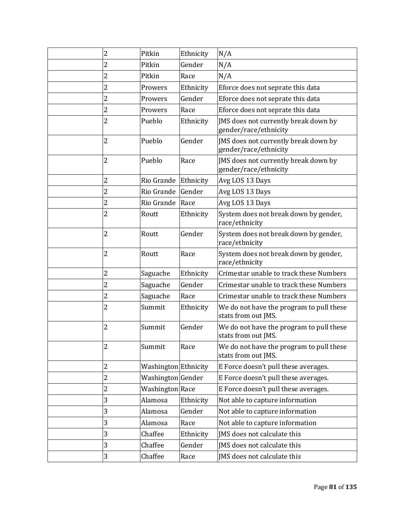| $\overline{c}$          | Pitkin               | Ethnicity | N/A                                                             |
|-------------------------|----------------------|-----------|-----------------------------------------------------------------|
| 2                       | Pitkin               | Gender    | N/A                                                             |
| 2                       | Pitkin               | Race      | N/A                                                             |
| 2                       | Prowers              | Ethnicity | Eforce does not seprate this data                               |
| 2                       | Prowers              | Gender    | Eforce does not seprate this data                               |
| 2                       | Prowers              | Race      | Eforce does not seprate this data                               |
| $\overline{c}$          | Pueblo               | Ethnicity | JMS does not currently break down by<br>gender/race/ethnicity   |
| 2                       | Pueblo               | Gender    | JMS does not currently break down by<br>gender/race/ethnicity   |
| 2                       | Pueblo               | Race      | JMS does not currently break down by<br>gender/race/ethnicity   |
| 2                       | Rio Grande           | Ethnicity | Avg LOS 13 Days                                                 |
| 2                       | Rio Grande           | Gender    | Avg LOS 13 Days                                                 |
| 2                       | Rio Grande           | Race      | Avg LOS 13 Days                                                 |
| $\overline{2}$          | Routt                | Ethnicity | System does not break down by gender,<br>race/ethnicity         |
| 2                       | Routt                | Gender    | System does not break down by gender,<br>race/ethnicity         |
| 2                       | Routt                | Race      | System does not break down by gender,<br>race/ethnicity         |
| 2                       | Saguache             | Ethnicity | Crimestar unable to track these Numbers                         |
| $\overline{c}$          | Saguache             | Gender    | Crimestar unable to track these Numbers                         |
| 2                       | Saguache             | Race      | Crimestar unable to track these Numbers                         |
| 2                       | Summit               | Ethnicity | We do not have the program to pull these<br>stats from out JMS. |
| 2                       | Summit               | Gender    | We do not have the program to pull these<br>stats from out JMS. |
| 2                       | Summit               | Race      | We do not have the program to pull these<br>stats from out JMS. |
| 2                       | Washington Ethnicity |           | E Force doesn't pull these averages.                            |
| $\overline{\mathbf{c}}$ | Washington Gender    |           | E Force doesn't pull these averages.                            |
| $\overline{c}$          | Washington Race      |           | E Force doesn't pull these averages.                            |
| 3                       | Alamosa              | Ethnicity | Not able to capture information                                 |
| 3                       | Alamosa              | Gender    | Not able to capture information                                 |
| 3                       | Alamosa              | Race      | Not able to capture information                                 |
| 3                       | Chaffee              | Ethnicity | JMS does not calculate this                                     |
| 3                       | Chaffee              | Gender    | JMS does not calculate this                                     |
| 3                       | Chaffee              | Race      | JMS does not calculate this                                     |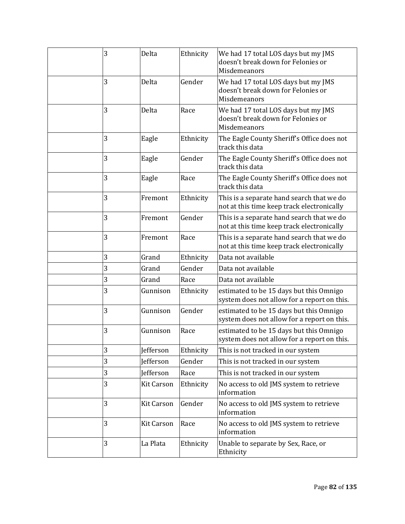| 3 | Delta             | Ethnicity | We had 17 total LOS days but my JMS<br>doesn't break down for Felonies or<br>Misdemeanors |
|---|-------------------|-----------|-------------------------------------------------------------------------------------------|
| 3 | Delta             | Gender    | We had 17 total LOS days but my JMS<br>doesn't break down for Felonies or<br>Misdemeanors |
| 3 | Delta             | Race      | We had 17 total LOS days but my JMS<br>doesn't break down for Felonies or<br>Misdemeanors |
| 3 | Eagle             | Ethnicity | The Eagle County Sheriff's Office does not<br>track this data                             |
| 3 | Eagle             | Gender    | The Eagle County Sheriff's Office does not<br>track this data                             |
| 3 | Eagle             | Race      | The Eagle County Sheriff's Office does not<br>track this data                             |
| 3 | Fremont           | Ethnicity | This is a separate hand search that we do<br>not at this time keep track electronically   |
| 3 | Fremont           | Gender    | This is a separate hand search that we do<br>not at this time keep track electronically   |
| 3 | Fremont           | Race      | This is a separate hand search that we do<br>not at this time keep track electronically   |
| 3 | Grand             | Ethnicity | Data not available                                                                        |
| 3 | Grand             | Gender    | Data not available                                                                        |
| 3 | Grand             | Race      | Data not available                                                                        |
| 3 | Gunnison          | Ethnicity | estimated to be 15 days but this Omnigo<br>system does not allow for a report on this.    |
| 3 | Gunnison          | Gender    | estimated to be 15 days but this Omnigo<br>system does not allow for a report on this.    |
| 3 | Gunnison          | Race      | estimated to be 15 days but this Omnigo<br>system does not allow for a report on this.    |
| 3 | Jefferson         | Ethnicity | This is not tracked in our system                                                         |
| 3 | Jefferson         | Gender    | This is not tracked in our system                                                         |
| 3 | Jefferson         | Race      | This is not tracked in our system                                                         |
| 3 | <b>Kit Carson</b> | Ethnicity | No access to old JMS system to retrieve<br>information                                    |
| 3 | <b>Kit Carson</b> | Gender    | No access to old JMS system to retrieve<br>information                                    |
| 3 | <b>Kit Carson</b> | Race      | No access to old JMS system to retrieve<br>information                                    |
| 3 | La Plata          | Ethnicity | Unable to separate by Sex, Race, or<br>Ethnicity                                          |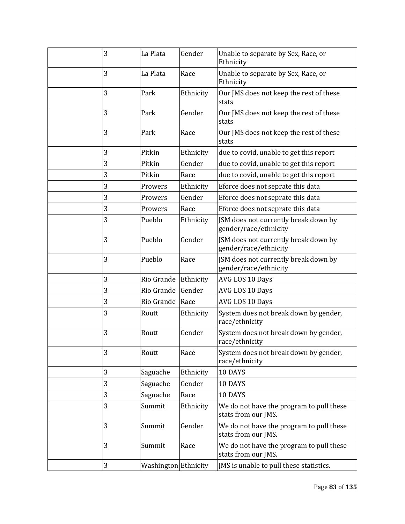| 3 | La Plata             | Gender    | Unable to separate by Sex, Race, or<br>Ethnicity                |
|---|----------------------|-----------|-----------------------------------------------------------------|
| 3 | La Plata             | Race      | Unable to separate by Sex, Race, or<br>Ethnicity                |
| 3 | Park                 | Ethnicity | Our JMS does not keep the rest of these<br>stats                |
| 3 | Park                 | Gender    | Our JMS does not keep the rest of these<br>stats                |
| 3 | Park                 | Race      | Our JMS does not keep the rest of these<br>stats                |
| 3 | Pitkin               | Ethnicity | due to covid, unable to get this report                         |
| 3 | Pitkin               | Gender    | due to covid, unable to get this report                         |
| 3 | Pitkin               | Race      | due to covid, unable to get this report                         |
| 3 | Prowers              | Ethnicity | Eforce does not seprate this data                               |
| 3 | Prowers              | Gender    | Eforce does not seprate this data                               |
| 3 | Prowers              | Race      | Eforce does not seprate this data                               |
| 3 | Pueblo               | Ethnicity | JSM does not currently break down by<br>gender/race/ethnicity   |
| 3 | Pueblo               | Gender    | JSM does not currently break down by<br>gender/race/ethnicity   |
| 3 | Pueblo               | Race      | JSM does not currently break down by<br>gender/race/ethnicity   |
| 3 | Rio Grande Ethnicity |           | AVG LOS 10 Days                                                 |
| 3 | Rio Grande           | Gender    | AVG LOS 10 Days                                                 |
| 3 | Rio Grande           | Race      | AVG LOS 10 Days                                                 |
| 3 | Routt                | Ethnicity | System does not break down by gender,<br>race/ethnicity         |
| 3 | Routt                | Gender    | System does not break down by gender,<br>race/ethnicity         |
| 3 | Routt                | Race      | System does not break down by gender,<br>race/ethnicity         |
| 3 | Saguache             | Ethnicity | 10 DAYS                                                         |
| 3 | Saguache             | Gender    | 10 DAYS                                                         |
| 3 | Saguache             | Race      | 10 DAYS                                                         |
| 3 | Summit               | Ethnicity | We do not have the program to pull these<br>stats from our JMS. |
| 3 | Summit               | Gender    | We do not have the program to pull these<br>stats from our JMS. |
| 3 | Summit               | Race      | We do not have the program to pull these<br>stats from our JMS. |
| 3 | Washington Ethnicity |           | JMS is unable to pull these statistics.                         |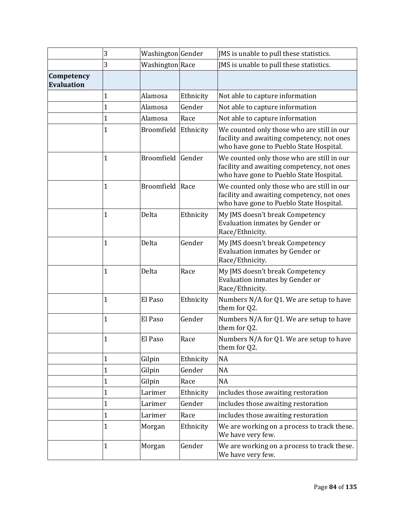|                                 | 3           | Washington Gender      |           | JMS is unable to pull these statistics.                                                                                             |
|---------------------------------|-------------|------------------------|-----------|-------------------------------------------------------------------------------------------------------------------------------------|
|                                 | 3           | <b>Washington</b> Race |           | JMS is unable to pull these statistics.                                                                                             |
| Competency<br><b>Evaluation</b> |             |                        |           |                                                                                                                                     |
|                                 | 1           | Alamosa                | Ethnicity | Not able to capture information                                                                                                     |
|                                 | 1           | Alamosa                | Gender    | Not able to capture information                                                                                                     |
|                                 | $\mathbf 1$ | Alamosa                | Race      | Not able to capture information                                                                                                     |
|                                 | 1           | Broomfield             | Ethnicity | We counted only those who are still in our<br>facility and awaiting competency, not ones<br>who have gone to Pueblo State Hospital. |
|                                 | 1           | <b>Broomfield</b>      | Gender    | We counted only those who are still in our<br>facility and awaiting competency, not ones<br>who have gone to Pueblo State Hospital. |
|                                 | 1           | Broomfield             | Race      | We counted only those who are still in our<br>facility and awaiting competency, not ones<br>who have gone to Pueblo State Hospital. |
|                                 | 1           | Delta                  | Ethnicity | My JMS doesn't break Competency<br>Evaluation inmates by Gender or<br>Race/Ethnicity.                                               |
|                                 | 1           | Delta                  | Gender    | My JMS doesn't break Competency<br>Evaluation inmates by Gender or<br>Race/Ethnicity.                                               |
|                                 | 1           | Delta                  | Race      | My JMS doesn't break Competency<br>Evaluation inmates by Gender or<br>Race/Ethnicity.                                               |
|                                 | 1           | El Paso                | Ethnicity | Numbers N/A for Q1. We are setup to have<br>them for Q2.                                                                            |
|                                 | 1           | El Paso                | Gender    | Numbers N/A for Q1. We are setup to have<br>them for Q2.                                                                            |
|                                 | 1           | El Paso                | Race      | Numbers N/A for Q1. We are setup to have<br>them for Q2.                                                                            |
|                                 | 1           | Gilpin                 | Ethnicity | <b>NA</b>                                                                                                                           |
|                                 | $\mathbf 1$ | Gilpin                 | Gender    | <b>NA</b>                                                                                                                           |
|                                 | $\mathbf 1$ | Gilpin                 | Race      | <b>NA</b>                                                                                                                           |
|                                 | 1           | Larimer                | Ethnicity | includes those awaiting restoration                                                                                                 |
|                                 | $\mathbf 1$ | Larimer                | Gender    | includes those awaiting restoration                                                                                                 |
|                                 | 1           | Larimer                | Race      | includes those awaiting restoration                                                                                                 |
|                                 | 1           | Morgan                 | Ethnicity | We are working on a process to track these.<br>We have very few.                                                                    |
|                                 | 1           | Morgan                 | Gender    | We are working on a process to track these.<br>We have very few.                                                                    |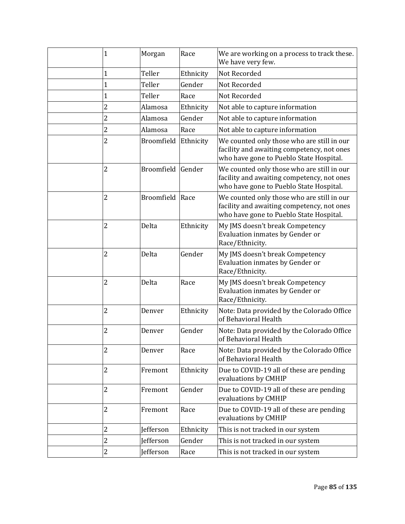| $\mathbf{1}$   | Morgan            | Race      | We are working on a process to track these.<br>We have very few.                                                                    |
|----------------|-------------------|-----------|-------------------------------------------------------------------------------------------------------------------------------------|
| 1              | Teller            | Ethnicity | <b>Not Recorded</b>                                                                                                                 |
| $\mathbf{1}$   | Teller            | Gender    | Not Recorded                                                                                                                        |
| $\mathbf{1}$   | Teller            | Race      | Not Recorded                                                                                                                        |
| $\overline{c}$ | Alamosa           | Ethnicity | Not able to capture information                                                                                                     |
| 2              | Alamosa           | Gender    | Not able to capture information                                                                                                     |
| 2              | Alamosa           | Race      | Not able to capture information                                                                                                     |
| 2              | Broomfield        | Ethnicity | We counted only those who are still in our<br>facility and awaiting competency, not ones<br>who have gone to Pueblo State Hospital. |
| 2              | Broomfield        | Gender    | We counted only those who are still in our<br>facility and awaiting competency, not ones<br>who have gone to Pueblo State Hospital. |
| $\overline{c}$ | <b>Broomfield</b> | Race      | We counted only those who are still in our<br>facility and awaiting competency, not ones<br>who have gone to Pueblo State Hospital. |
| 2              | Delta             | Ethnicity | My JMS doesn't break Competency<br>Evaluation inmates by Gender or<br>Race/Ethnicity.                                               |
| $\overline{c}$ | Delta             | Gender    | My JMS doesn't break Competency<br>Evaluation inmates by Gender or<br>Race/Ethnicity.                                               |
| 2              | Delta             | Race      | My JMS doesn't break Competency<br>Evaluation inmates by Gender or<br>Race/Ethnicity.                                               |
| 2              | Denver            | Ethnicity | Note: Data provided by the Colorado Office<br>of Behavioral Health                                                                  |
| 2              | Denver            | Gender    | Note: Data provided by the Colorado Office<br>of Behavioral Health                                                                  |
| 2              | Denver            | Race      | Note: Data provided by the Colorado Office<br>of Behavioral Health                                                                  |
| 2              | Fremont           | Ethnicity | Due to COVID-19 all of these are pending<br>evaluations by CMHIP                                                                    |
| 2              | Fremont           | Gender    | Due to COVID-19 all of these are pending<br>evaluations by CMHIP                                                                    |
| 2              | Fremont           | Race      | Due to COVID-19 all of these are pending<br>evaluations by CMHIP                                                                    |
| $\overline{c}$ | Jefferson         | Ethnicity | This is not tracked in our system                                                                                                   |
| $\overline{c}$ | <b>Jefferson</b>  | Gender    | This is not tracked in our system                                                                                                   |
| $\overline{c}$ | Jefferson         | Race      | This is not tracked in our system                                                                                                   |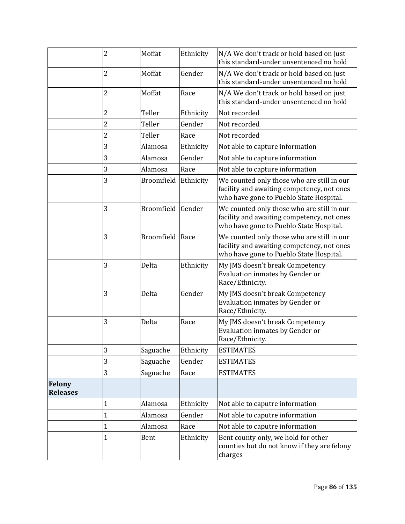|                                  | 2              | Moffat            | Ethnicity | N/A We don't track or hold based on just<br>this standard-under unsentenced no hold                                                 |
|----------------------------------|----------------|-------------------|-----------|-------------------------------------------------------------------------------------------------------------------------------------|
|                                  | 2              | Moffat            | Gender    | N/A We don't track or hold based on just<br>this standard-under unsentenced no hold                                                 |
|                                  | 2              | Moffat            | Race      | N/A We don't track or hold based on just<br>this standard-under unsentenced no hold                                                 |
|                                  | 2              | Teller            | Ethnicity | Not recorded                                                                                                                        |
|                                  | $\overline{c}$ | Teller            | Gender    | Not recorded                                                                                                                        |
|                                  | 2              | Teller            | Race      | Not recorded                                                                                                                        |
|                                  | 3              | Alamosa           | Ethnicity | Not able to capture information                                                                                                     |
|                                  | 3              | Alamosa           | Gender    | Not able to capture information                                                                                                     |
|                                  | 3              | Alamosa           | Race      | Not able to capture information                                                                                                     |
|                                  | 3              | Broomfield        | Ethnicity | We counted only those who are still in our<br>facility and awaiting competency, not ones<br>who have gone to Pueblo State Hospital. |
|                                  | 3              | Broomfield Gender |           | We counted only those who are still in our<br>facility and awaiting competency, not ones<br>who have gone to Pueblo State Hospital. |
|                                  | 3              | Broomfield Race   |           | We counted only those who are still in our<br>facility and awaiting competency, not ones<br>who have gone to Pueblo State Hospital. |
|                                  | 3              | Delta             | Ethnicity | My JMS doesn't break Competency<br>Evaluation inmates by Gender or<br>Race/Ethnicity.                                               |
|                                  | 3              | Delta             | Gender    | My JMS doesn't break Competency<br>Evaluation inmates by Gender or<br>Race/Ethnicity.                                               |
|                                  | 3              | Delta             | Race      | My JMS doesn't break Competency<br>Evaluation inmates by Gender or<br>Race/Ethnicity.                                               |
|                                  | 3              | Saguache          | Ethnicity | <b>ESTIMATES</b>                                                                                                                    |
|                                  | 3              | Saguache          | Gender    | <b>ESTIMATES</b>                                                                                                                    |
|                                  | 3              | Saguache          | Race      | <b>ESTIMATES</b>                                                                                                                    |
| <b>Felony</b><br><b>Releases</b> |                |                   |           |                                                                                                                                     |
|                                  | 1              | Alamosa           | Ethnicity | Not able to caputre information                                                                                                     |
|                                  | $\mathbf 1$    | Alamosa           | Gender    | Not able to caputre information                                                                                                     |
|                                  | $\mathbf 1$    | Alamosa           | Race      | Not able to caputre information                                                                                                     |
|                                  | 1              | Bent              | Ethnicity | Bent county only, we hold for other<br>counties but do not know if they are felony<br>charges                                       |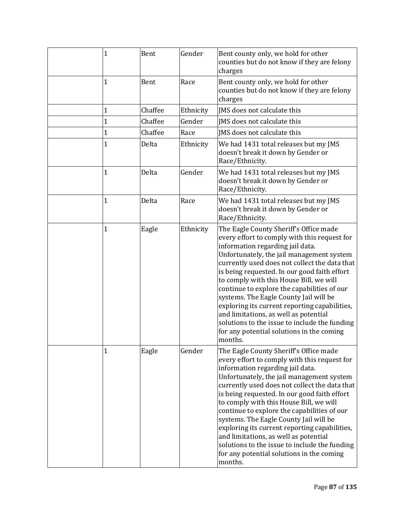| $\mathbf 1$ | Bent    | Gender    | Bent county only, we hold for other<br>counties but do not know if they are felony<br>charges                                                                                                                                                                                                                                                                                                                                                                                                                                                                                                                   |
|-------------|---------|-----------|-----------------------------------------------------------------------------------------------------------------------------------------------------------------------------------------------------------------------------------------------------------------------------------------------------------------------------------------------------------------------------------------------------------------------------------------------------------------------------------------------------------------------------------------------------------------------------------------------------------------|
| 1           | Bent    | Race      | Bent county only, we hold for other<br>counties but do not know if they are felony<br>charges                                                                                                                                                                                                                                                                                                                                                                                                                                                                                                                   |
| 1           | Chaffee | Ethnicity | JMS does not calculate this                                                                                                                                                                                                                                                                                                                                                                                                                                                                                                                                                                                     |
| 1           | Chaffee | Gender    | IMS does not calculate this                                                                                                                                                                                                                                                                                                                                                                                                                                                                                                                                                                                     |
| 1           | Chaffee | Race      | JMS does not calculate this                                                                                                                                                                                                                                                                                                                                                                                                                                                                                                                                                                                     |
| 1           | Delta   | Ethnicity | We had 1431 total releases but my JMS<br>doesn't break it down by Gender or<br>Race/Ethnicity.                                                                                                                                                                                                                                                                                                                                                                                                                                                                                                                  |
| 1           | Delta   | Gender    | We had 1431 total releases but my JMS<br>doesn't break it down by Gender or<br>Race/Ethnicity.                                                                                                                                                                                                                                                                                                                                                                                                                                                                                                                  |
| 1           | Delta   | Race      | We had 1431 total releases but my JMS<br>doesn't break it down by Gender or<br>Race/Ethnicity.                                                                                                                                                                                                                                                                                                                                                                                                                                                                                                                  |
| 1           | Eagle   | Ethnicity | The Eagle County Sheriff's Office made<br>every effort to comply with this request for<br>information regarding jail data.<br>Unfortunately, the jail management system<br>currently used does not collect the data that<br>is being requested. In our good faith effort<br>to comply with this House Bill, we will<br>continue to explore the capabilities of our<br>systems. The Eagle County Jail will be<br>exploring its current reporting capabilities,<br>and limitations, as well as potential<br>solutions to the issue to include the funding<br>for any potential solutions in the coming<br>months. |
| 1           | Eagle   | Gender    | The Eagle County Sheriff's Office made<br>every effort to comply with this request for<br>information regarding jail data.<br>Unfortunately, the jail management system<br>currently used does not collect the data that<br>is being requested. In our good faith effort<br>to comply with this House Bill, we will<br>continue to explore the capabilities of our<br>systems. The Eagle County Jail will be<br>exploring its current reporting capabilities,<br>and limitations, as well as potential<br>solutions to the issue to include the funding<br>for any potential solutions in the coming<br>months. |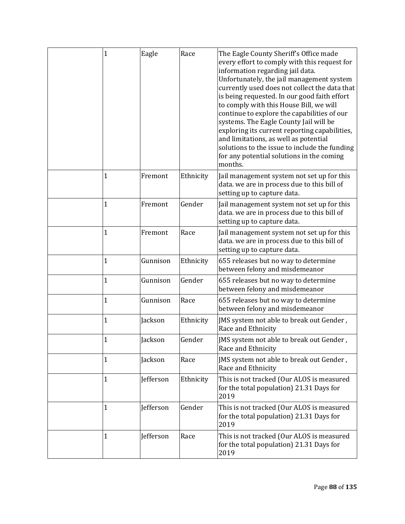| $\mathbf 1$  | Eagle            | Race      | The Eagle County Sheriff's Office made<br>every effort to comply with this request for<br>information regarding jail data.<br>Unfortunately, the jail management system<br>currently used does not collect the data that<br>is being requested. In our good faith effort<br>to comply with this House Bill, we will<br>continue to explore the capabilities of our<br>systems. The Eagle County Jail will be<br>exploring its current reporting capabilities,<br>and limitations, as well as potential<br>solutions to the issue to include the funding<br>for any potential solutions in the coming<br>months. |
|--------------|------------------|-----------|-----------------------------------------------------------------------------------------------------------------------------------------------------------------------------------------------------------------------------------------------------------------------------------------------------------------------------------------------------------------------------------------------------------------------------------------------------------------------------------------------------------------------------------------------------------------------------------------------------------------|
| 1            | Fremont          | Ethnicity | Jail management system not set up for this<br>data. we are in process due to this bill of<br>setting up to capture data.                                                                                                                                                                                                                                                                                                                                                                                                                                                                                        |
| 1            | Fremont          | Gender    | Jail management system not set up for this<br>data. we are in process due to this bill of<br>setting up to capture data.                                                                                                                                                                                                                                                                                                                                                                                                                                                                                        |
| 1            | Fremont          | Race      | Jail management system not set up for this<br>data. we are in process due to this bill of<br>setting up to capture data.                                                                                                                                                                                                                                                                                                                                                                                                                                                                                        |
| 1            | Gunnison         | Ethnicity | 655 releases but no way to determine<br>between felony and misdemeanor                                                                                                                                                                                                                                                                                                                                                                                                                                                                                                                                          |
| $\mathbf 1$  | Gunnison         | Gender    | 655 releases but no way to determine<br>between felony and misdemeanor                                                                                                                                                                                                                                                                                                                                                                                                                                                                                                                                          |
| $\mathbf 1$  | Gunnison         | Race      | 655 releases but no way to determine<br>between felony and misdemeanor                                                                                                                                                                                                                                                                                                                                                                                                                                                                                                                                          |
| 1            | Jackson          | Ethnicity | JMS system not able to break out Gender,<br>Race and Ethnicity                                                                                                                                                                                                                                                                                                                                                                                                                                                                                                                                                  |
| $\mathbf{1}$ | Jackson          | Gender    | JMS system not able to break out Gender,<br>Race and Ethnicity                                                                                                                                                                                                                                                                                                                                                                                                                                                                                                                                                  |
| 1            | Jackson          | Race      | JMS system not able to break out Gender,<br>Race and Ethnicity                                                                                                                                                                                                                                                                                                                                                                                                                                                                                                                                                  |
| $\mathbf{1}$ | <b>Jefferson</b> | Ethnicity | This is not tracked (Our ALOS is measured<br>for the total population) 21.31 Days for<br>2019                                                                                                                                                                                                                                                                                                                                                                                                                                                                                                                   |
| 1            | Jefferson        | Gender    | This is not tracked (Our ALOS is measured<br>for the total population) 21.31 Days for<br>2019                                                                                                                                                                                                                                                                                                                                                                                                                                                                                                                   |
| 1            | Jefferson        | Race      | This is not tracked (Our ALOS is measured<br>for the total population) 21.31 Days for<br>2019                                                                                                                                                                                                                                                                                                                                                                                                                                                                                                                   |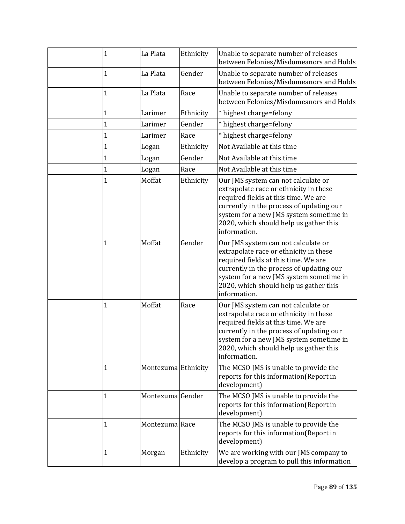| 1            | La Plata            | Ethnicity | Unable to separate number of releases<br>between Felonies/Misdomeanors and Holds                                                                                                                                                                                       |
|--------------|---------------------|-----------|------------------------------------------------------------------------------------------------------------------------------------------------------------------------------------------------------------------------------------------------------------------------|
| 1            | La Plata            | Gender    | Unable to separate number of releases<br>between Felonies/Misdomeanors and Holds                                                                                                                                                                                       |
| 1            | La Plata            | Race      | Unable to separate number of releases<br>between Felonies/Misdomeanors and Holds                                                                                                                                                                                       |
| 1            | Larimer             | Ethnicity | * highest charge=felony                                                                                                                                                                                                                                                |
| 1            | Larimer             | Gender    | * highest charge=felony                                                                                                                                                                                                                                                |
| $\mathbf 1$  | Larimer             | Race      | * highest charge=felony                                                                                                                                                                                                                                                |
| $\mathbf 1$  | Logan               | Ethnicity | Not Available at this time                                                                                                                                                                                                                                             |
| 1            | Logan               | Gender    | Not Available at this time                                                                                                                                                                                                                                             |
| $\mathbf 1$  | Logan               | Race      | Not Available at this time                                                                                                                                                                                                                                             |
| $\mathbf{1}$ | Moffat              | Ethnicity | Our JMS system can not calculate or<br>extrapolate race or ethnicity in these<br>required fields at this time. We are<br>currently in the process of updating our<br>system for a new JMS system sometime in<br>2020, which should help us gather this<br>information. |
| 1            | Moffat              | Gender    | Our JMS system can not calculate or<br>extrapolate race or ethnicity in these<br>required fields at this time. We are<br>currently in the process of updating our<br>system for a new JMS system sometime in<br>2020, which should help us gather this<br>information. |
| 1            | Moffat              | Race      | Our JMS system can not calculate or<br>extrapolate race or ethnicity in these<br>required fields at this time. We are<br>currently in the process of updating our<br>system for a new JMS system sometime in<br>2020, which should help us gather this<br>information. |
| 1            | Montezuma Ethnicity |           | The MCSO JMS is unable to provide the<br>reports for this information(Report in<br>development)                                                                                                                                                                        |
| 1            | Montezuma Gender    |           | The MCSO JMS is unable to provide the<br>reports for this information(Report in<br>development)                                                                                                                                                                        |
| 1            | Montezuma Race      |           | The MCSO JMS is unable to provide the<br>reports for this information(Report in<br>development)                                                                                                                                                                        |
| 1            | Morgan              | Ethnicity | We are working with our JMS company to<br>develop a program to pull this information                                                                                                                                                                                   |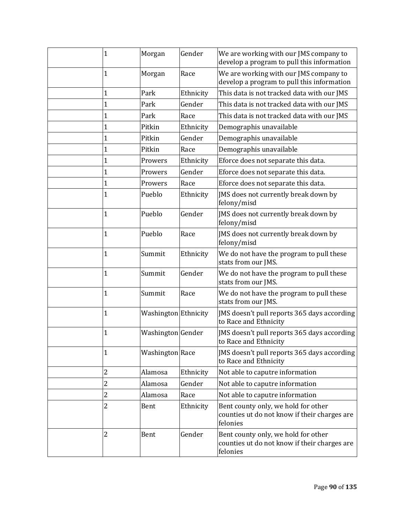| 1                       | Morgan               | Gender    | We are working with our JMS company to<br>develop a program to pull this information            |
|-------------------------|----------------------|-----------|-------------------------------------------------------------------------------------------------|
| 1                       | Morgan               | Race      | We are working with our JMS company to<br>develop a program to pull this information            |
| 1                       | Park                 | Ethnicity | This data is not tracked data with our JMS                                                      |
| 1                       | Park                 | Gender    | This data is not tracked data with our JMS                                                      |
| 1                       | Park                 | Race      | This data is not tracked data with our JMS                                                      |
| 1                       | Pitkin               | Ethnicity | Demographis unavailable                                                                         |
| 1                       | Pitkin               | Gender    | Demographis unavailable                                                                         |
| $\mathbf 1$             | Pitkin               | Race      | Demographis unavailable                                                                         |
| 1                       | Prowers              | Ethnicity | Eforce does not separate this data.                                                             |
| $\mathbf{1}$            | Prowers              | Gender    | Eforce does not separate this data.                                                             |
| $\mathbf{1}$            | Prowers              | Race      | Eforce does not separate this data.                                                             |
| 1                       | Pueblo               | Ethnicity | JMS does not currently break down by<br>felony/misd                                             |
| 1                       | Pueblo               | Gender    | JMS does not currently break down by<br>felony/misd                                             |
| 1                       | Pueblo               | Race      | JMS does not currently break down by<br>felony/misd                                             |
| $\mathbf{1}$            | Summit               | Ethnicity | We do not have the program to pull these<br>stats from our JMS.                                 |
| $\mathbf{1}$            | Summit               | Gender    | We do not have the program to pull these<br>stats from our JMS.                                 |
| $\mathbf{1}$            | Summit               | Race      | We do not have the program to pull these<br>stats from our JMS.                                 |
| 1                       | Washington Ethnicity |           | JMS doesn't pull reports 365 days according<br>to Race and Ethnicity                            |
| 1                       | Washington Gender    |           | JMS doesn't pull reports 365 days according<br>to Race and Ethnicity                            |
| 1                       | Washington Race      |           | JMS doesn't pull reports 365 days according<br>to Race and Ethnicity                            |
| $\overline{\mathbf{c}}$ | Alamosa              | Ethnicity | Not able to caputre information                                                                 |
| 2                       | Alamosa              | Gender    | Not able to caputre information                                                                 |
| 2                       | Alamosa              | Race      | Not able to caputre information                                                                 |
| 2                       | Bent                 | Ethnicity | Bent county only, we hold for other<br>counties ut do not know if their charges are<br>felonies |
| 2                       | Bent                 | Gender    | Bent county only, we hold for other<br>counties ut do not know if their charges are<br>felonies |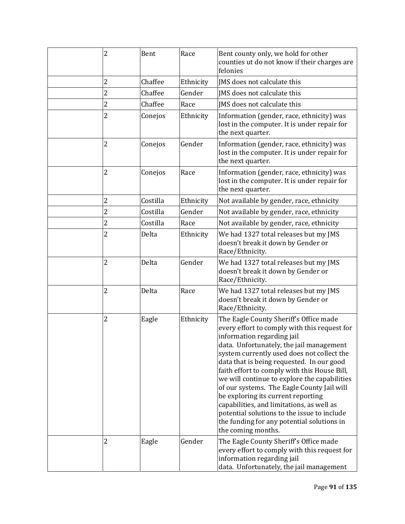| 2              | Bent     | Race      | Bent county only, we hold for other<br>counties ut do not know if their charges are<br>felonies                                                                                                                                                                                                                                                                                                                                                                                                                                                                                                                 |
|----------------|----------|-----------|-----------------------------------------------------------------------------------------------------------------------------------------------------------------------------------------------------------------------------------------------------------------------------------------------------------------------------------------------------------------------------------------------------------------------------------------------------------------------------------------------------------------------------------------------------------------------------------------------------------------|
| 2              | Chaffee  | Ethnicity | JMS does not calculate this                                                                                                                                                                                                                                                                                                                                                                                                                                                                                                                                                                                     |
| $\overline{c}$ | Chaffee  | Gender    | JMS does not calculate this                                                                                                                                                                                                                                                                                                                                                                                                                                                                                                                                                                                     |
| 2              | Chaffee  | Race      | JMS does not calculate this                                                                                                                                                                                                                                                                                                                                                                                                                                                                                                                                                                                     |
| $\overline{2}$ | Conejos  | Ethnicity | Information (gender, race, ethnicity) was<br>lost in the computer. It is under repair for<br>the next quarter.                                                                                                                                                                                                                                                                                                                                                                                                                                                                                                  |
| 2              | Conejos  | Gender    | Information (gender, race, ethnicity) was<br>lost in the computer. It is under repair for<br>the next quarter.                                                                                                                                                                                                                                                                                                                                                                                                                                                                                                  |
| 2              | Conejos  | Race      | Information (gender, race, ethnicity) was<br>lost in the computer. It is under repair for<br>the next quarter.                                                                                                                                                                                                                                                                                                                                                                                                                                                                                                  |
| 2              | Costilla | Ethnicity | Not available by gender, race, ethnicity                                                                                                                                                                                                                                                                                                                                                                                                                                                                                                                                                                        |
| $\overline{c}$ | Costilla | Gender    | Not available by gender, race, ethnicity                                                                                                                                                                                                                                                                                                                                                                                                                                                                                                                                                                        |
| $\overline{c}$ | Costilla | Race      | Not available by gender, race, ethnicity                                                                                                                                                                                                                                                                                                                                                                                                                                                                                                                                                                        |
| $\overline{c}$ | Delta    | Ethnicity | We had 1327 total releases but my JMS<br>doesn't break it down by Gender or<br>Race/Ethnicity.                                                                                                                                                                                                                                                                                                                                                                                                                                                                                                                  |
| $\overline{2}$ | Delta    | Gender    | We had 1327 total releases but my JMS<br>doesn't break it down by Gender or<br>Race/Ethnicity.                                                                                                                                                                                                                                                                                                                                                                                                                                                                                                                  |
| 2              | Delta    | Race      | We had 1327 total releases but my JMS<br>doesn't break it down by Gender or<br>Race/Ethnicity.                                                                                                                                                                                                                                                                                                                                                                                                                                                                                                                  |
| 2              | Eagle    | Ethnicity | The Eagle County Sheriff's Office made<br>every effort to comply with this request for<br>information regarding jail<br>data. Unfortunately, the jail management<br>system currently used does not collect the<br>data that is being requested. In our good<br>faith effort to comply with this House Bill,<br>we will continue to explore the capabilities<br>of our systems. The Eagle County Jail will<br>be exploring its current reporting<br>capabilities, and limitations, as well as<br>potential solutions to the issue to include<br>the funding for any potential solutions in<br>the coming months. |
| 2              | Eagle    | Gender    | The Eagle County Sheriff's Office made<br>every effort to comply with this request for<br>information regarding jail<br>data. Unfortunately, the jail management                                                                                                                                                                                                                                                                                                                                                                                                                                                |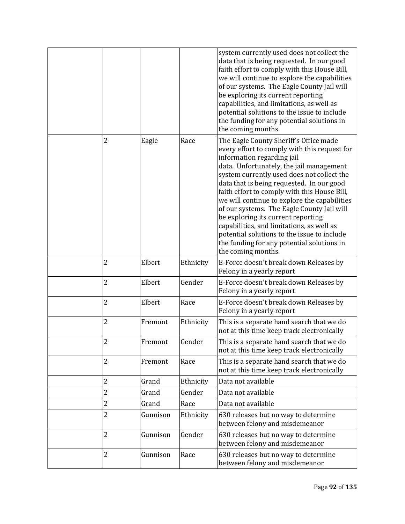|                |          |           | system currently used does not collect the<br>data that is being requested. In our good<br>faith effort to comply with this House Bill,<br>we will continue to explore the capabilities<br>of our systems. The Eagle County Jail will<br>be exploring its current reporting<br>capabilities, and limitations, as well as<br>potential solutions to the issue to include<br>the funding for any potential solutions in<br>the coming months.                                                                                                                                                                     |
|----------------|----------|-----------|-----------------------------------------------------------------------------------------------------------------------------------------------------------------------------------------------------------------------------------------------------------------------------------------------------------------------------------------------------------------------------------------------------------------------------------------------------------------------------------------------------------------------------------------------------------------------------------------------------------------|
| 2              | Eagle    | Race      | The Eagle County Sheriff's Office made<br>every effort to comply with this request for<br>information regarding jail<br>data. Unfortunately, the jail management<br>system currently used does not collect the<br>data that is being requested. In our good<br>faith effort to comply with this House Bill,<br>we will continue to explore the capabilities<br>of our systems. The Eagle County Jail will<br>be exploring its current reporting<br>capabilities, and limitations, as well as<br>potential solutions to the issue to include<br>the funding for any potential solutions in<br>the coming months. |
| $\overline{c}$ | Elbert   | Ethnicity | E-Force doesn't break down Releases by<br>Felony in a yearly report                                                                                                                                                                                                                                                                                                                                                                                                                                                                                                                                             |
| $\overline{2}$ | Elbert   | Gender    | E-Force doesn't break down Releases by<br>Felony in a yearly report                                                                                                                                                                                                                                                                                                                                                                                                                                                                                                                                             |
| $\overline{c}$ | Elbert   | Race      | E-Force doesn't break down Releases by<br>Felony in a yearly report                                                                                                                                                                                                                                                                                                                                                                                                                                                                                                                                             |
| $\overline{c}$ | Fremont  | Ethnicity | This is a separate hand search that we do<br>not at this time keep track electronically                                                                                                                                                                                                                                                                                                                                                                                                                                                                                                                         |
| $\overline{c}$ | Fremont  | Gender    | This is a separate hand search that we do<br>not at this time keep track electronically                                                                                                                                                                                                                                                                                                                                                                                                                                                                                                                         |
| $\overline{c}$ | Fremont  | Race      | This is a separate hand search that we do<br>not at this time keep track electronically                                                                                                                                                                                                                                                                                                                                                                                                                                                                                                                         |
| $\overline{c}$ | Grand    | Ethnicity | Data not available                                                                                                                                                                                                                                                                                                                                                                                                                                                                                                                                                                                              |
| $\overline{c}$ | Grand    | Gender    | Data not available                                                                                                                                                                                                                                                                                                                                                                                                                                                                                                                                                                                              |
| 2              | Grand    | Race      | Data not available                                                                                                                                                                                                                                                                                                                                                                                                                                                                                                                                                                                              |
| $\overline{c}$ | Gunnison | Ethnicity | 630 releases but no way to determine<br>between felony and misdemeanor                                                                                                                                                                                                                                                                                                                                                                                                                                                                                                                                          |
| $\overline{c}$ | Gunnison | Gender    | 630 releases but no way to determine<br>between felony and misdemeanor                                                                                                                                                                                                                                                                                                                                                                                                                                                                                                                                          |
| $\overline{c}$ | Gunnison | Race      | 630 releases but no way to determine<br>between felony and misdemeanor                                                                                                                                                                                                                                                                                                                                                                                                                                                                                                                                          |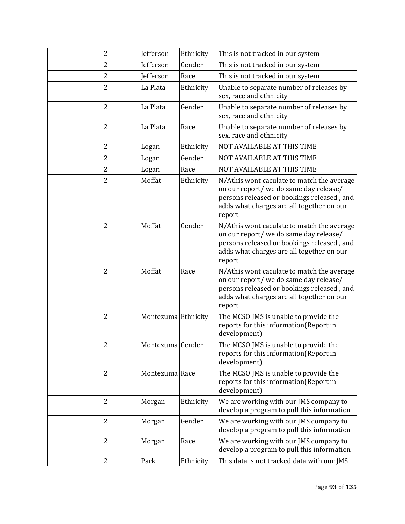| 2              | Jefferson           | Ethnicity | This is not tracked in our system                                                                                                                                                         |
|----------------|---------------------|-----------|-------------------------------------------------------------------------------------------------------------------------------------------------------------------------------------------|
| 2              | <b>Jefferson</b>    | Gender    | This is not tracked in our system                                                                                                                                                         |
| 2              | <b>Jefferson</b>    | Race      | This is not tracked in our system                                                                                                                                                         |
| $\overline{2}$ | La Plata            | Ethnicity | Unable to separate number of releases by<br>sex, race and ethnicity                                                                                                                       |
| 2              | La Plata            | Gender    | Unable to separate number of releases by<br>sex, race and ethnicity                                                                                                                       |
| 2              | La Plata            | Race      | Unable to separate number of releases by<br>sex, race and ethnicity                                                                                                                       |
| 2              | Logan               | Ethnicity | NOT AVAILABLE AT THIS TIME                                                                                                                                                                |
| 2              | Logan               | Gender    | NOT AVAILABLE AT THIS TIME                                                                                                                                                                |
| 2              | Logan               | Race      | NOT AVAILABLE AT THIS TIME                                                                                                                                                                |
| 2              | Moffat              | Ethnicity | N/Athis wont caculate to match the average<br>on our report/ we do same day release/<br>persons released or bookings released, and<br>adds what charges are all together on our<br>report |
| 2              | Moffat              | Gender    | N/Athis wont caculate to match the average<br>on our report/ we do same day release/<br>persons released or bookings released, and<br>adds what charges are all together on our<br>report |
| 2              | Moffat              | Race      | N/Athis wont caculate to match the average<br>on our report/ we do same day release/<br>persons released or bookings released, and<br>adds what charges are all together on our<br>report |
| 2              | Montezuma Ethnicity |           | The MCSO JMS is unable to provide the<br>reports for this information(Report in<br>development)                                                                                           |
| 2              | Montezuma Gender    |           | The MCSO JMS is unable to provide the<br>reports for this information(Report in<br>development)                                                                                           |
| 2              | Montezuma Race      |           | The MCSO JMS is unable to provide the<br>reports for this information(Report in<br>development)                                                                                           |
| 2              | Morgan              | Ethnicity | We are working with our JMS company to<br>develop a program to pull this information                                                                                                      |
| 2              | Morgan              | Gender    | We are working with our JMS company to<br>develop a program to pull this information                                                                                                      |
| 2              | Morgan              | Race      | We are working with our JMS company to<br>develop a program to pull this information                                                                                                      |
| 2              | Park                | Ethnicity | This data is not tracked data with our JMS                                                                                                                                                |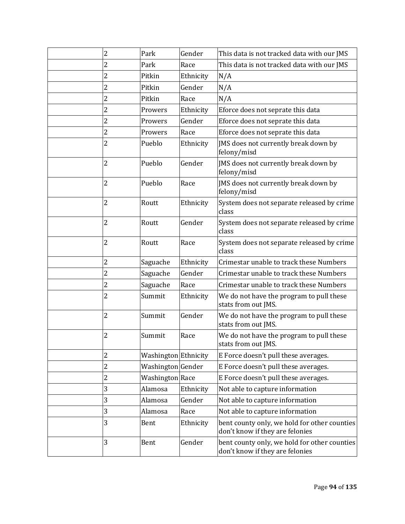| 2              |   | Park                 | Gender    | This data is not tracked data with our JMS                                      |
|----------------|---|----------------------|-----------|---------------------------------------------------------------------------------|
| 2              |   | Park                 | Race      | This data is not tracked data with our JMS                                      |
| 2              |   | Pitkin               | Ethnicity | N/A                                                                             |
| 2              |   | Pitkin               | Gender    | N/A                                                                             |
| 2              |   | Pitkin               | Race      | N/A                                                                             |
| 2              |   | Prowers              | Ethnicity | Eforce does not seprate this data                                               |
| 2              |   | Prowers              | Gender    | Eforce does not seprate this data                                               |
| 2              |   | Prowers              | Race      | Eforce does not seprate this data                                               |
| $\overline{2}$ |   | Pueblo               | Ethnicity | JMS does not currently break down by<br>felony/misd                             |
| 2              |   | Pueblo               | Gender    | JMS does not currently break down by<br>felony/misd                             |
| 2              |   | Pueblo               | Race      | JMS does not currently break down by<br>felony/misd                             |
| 2              |   | Routt                | Ethnicity | System does not separate released by crime<br>class                             |
| 2              |   | Routt                | Gender    | System does not separate released by crime<br>class                             |
| 2              |   | Routt                | Race      | System does not separate released by crime<br>class                             |
| 2              |   | Saguache             | Ethnicity | Crimestar unable to track these Numbers                                         |
| 2              |   | Saguache             | Gender    | Crimestar unable to track these Numbers                                         |
| 2              |   | Saguache             | Race      | Crimestar unable to track these Numbers                                         |
| 2              |   | Summit               | Ethnicity | We do not have the program to pull these<br>stats from out JMS.                 |
| $\overline{c}$ |   | Summit               | Gender    | We do not have the program to pull these<br>stats from out JMS.                 |
| 2              |   | Summit               | Race      | We do not have the program to pull these<br>stats from out JMS.                 |
| 2              |   | Washington Ethnicity |           | E Force doesn't pull these averages.                                            |
| 2              |   | Washington Gender    |           | E Force doesn't pull these averages.                                            |
| $\overline{c}$ |   | Washington Race      |           | E Force doesn't pull these averages.                                            |
| 3              |   | Alamosa              | Ethnicity | Not able to capture information                                                 |
| 3              |   | Alamosa              | Gender    | Not able to capture information                                                 |
| 3              |   | Alamosa              | Race      | Not able to capture information                                                 |
|                | 3 | Bent                 | Ethnicity | bent county only, we hold for other counties<br>don't know if they are felonies |
|                | 3 | Bent                 | Gender    | bent county only, we hold for other counties<br>don't know if they are felonies |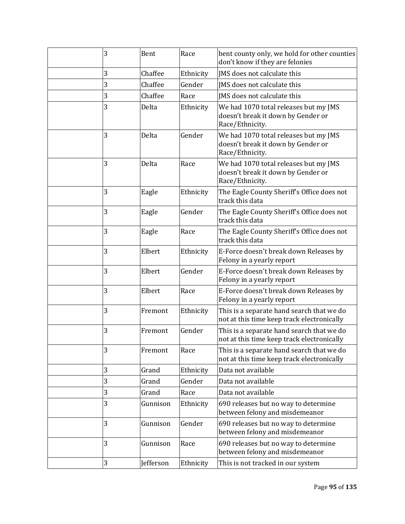| 3 | Bent      | Race      | bent county only, we hold for other counties<br>don't know if they are felonies                |
|---|-----------|-----------|------------------------------------------------------------------------------------------------|
| 3 | Chaffee   | Ethnicity | IMS does not calculate this                                                                    |
| 3 | Chaffee   | Gender    | JMS does not calculate this                                                                    |
| 3 | Chaffee   | Race      | JMS does not calculate this                                                                    |
| 3 | Delta     | Ethnicity | We had 1070 total releases but my JMS<br>doesn't break it down by Gender or<br>Race/Ethnicity. |
| 3 | Delta     | Gender    | We had 1070 total releases but my JMS<br>doesn't break it down by Gender or<br>Race/Ethnicity. |
| 3 | Delta     | Race      | We had 1070 total releases but my JMS<br>doesn't break it down by Gender or<br>Race/Ethnicity. |
| 3 | Eagle     | Ethnicity | The Eagle County Sheriff's Office does not<br>track this data                                  |
| 3 | Eagle     | Gender    | The Eagle County Sheriff's Office does not<br>track this data                                  |
| 3 | Eagle     | Race      | The Eagle County Sheriff's Office does not<br>track this data                                  |
| 3 | Elbert    | Ethnicity | E-Force doesn't break down Releases by<br>Felony in a yearly report                            |
| 3 | Elbert    | Gender    | E-Force doesn't break down Releases by<br>Felony in a yearly report                            |
| 3 | Elbert    | Race      | E-Force doesn't break down Releases by<br>Felony in a yearly report                            |
| 3 | Fremont   | Ethnicity | This is a separate hand search that we do<br>not at this time keep track electronically        |
| 3 | Fremont   | Gender    | This is a separate hand search that we do<br>not at this time keep track electronically        |
| 3 | Fremont   | Race      | This is a separate hand search that we do<br>not at this time keep track electronically        |
| 3 | Grand     | Ethnicity | Data not available                                                                             |
| 3 | Grand     | Gender    | Data not available                                                                             |
| 3 | Grand     | Race      | Data not available                                                                             |
| 3 | Gunnison  | Ethnicity | 690 releases but no way to determine<br>between felony and misdemeanor                         |
| 3 | Gunnison  | Gender    | 690 releases but no way to determine<br>between felony and misdemeanor                         |
| 3 | Gunnison  | Race      | 690 releases but no way to determine<br>between felony and misdemeanor                         |
| 3 | Jefferson | Ethnicity | This is not tracked in our system                                                              |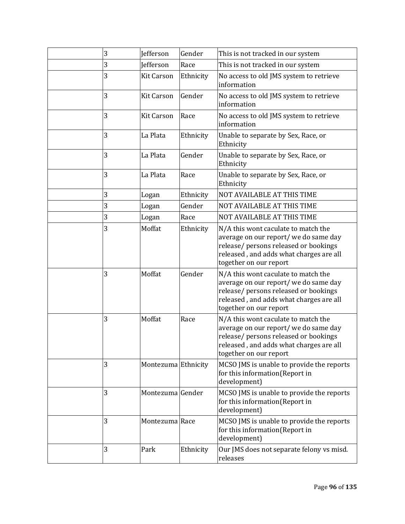| 3 | Jefferson           | Gender    | This is not tracked in our system                                                                                                                                                          |
|---|---------------------|-----------|--------------------------------------------------------------------------------------------------------------------------------------------------------------------------------------------|
| 3 | <b>Jefferson</b>    | Race      | This is not tracked in our system                                                                                                                                                          |
| 3 | <b>Kit Carson</b>   | Ethnicity | No access to old JMS system to retrieve<br>information                                                                                                                                     |
| 3 | <b>Kit Carson</b>   | Gender    | No access to old JMS system to retrieve<br>information                                                                                                                                     |
| 3 | <b>Kit Carson</b>   | Race      | No access to old JMS system to retrieve<br>information                                                                                                                                     |
| 3 | La Plata            | Ethnicity | Unable to separate by Sex, Race, or<br>Ethnicity                                                                                                                                           |
| 3 | La Plata            | Gender    | Unable to separate by Sex, Race, or<br>Ethnicity                                                                                                                                           |
| 3 | La Plata            | Race      | Unable to separate by Sex, Race, or<br>Ethnicity                                                                                                                                           |
| 3 | Logan               | Ethnicity | NOT AVAILABLE AT THIS TIME                                                                                                                                                                 |
| 3 | Logan               | Gender    | NOT AVAILABLE AT THIS TIME                                                                                                                                                                 |
| 3 | Logan               | Race      | NOT AVAILABLE AT THIS TIME                                                                                                                                                                 |
| 3 | Moffat              | Ethnicity | N/A this wont caculate to match the<br>average on our report/ we do same day<br>release/ persons released or bookings<br>released, and adds what charges are all<br>together on our report |
| 3 | Moffat              | Gender    | N/A this wont caculate to match the<br>average on our report/ we do same day<br>release/ persons released or bookings<br>released, and adds what charges are all<br>together on our report |
| 3 | Moffat              | Race      | N/A this wont caculate to match the<br>average on our report/ we do same day<br>release/ persons released or bookings<br>released, and adds what charges are all<br>together on our report |
| 3 | Montezuma Ethnicity |           | MCSO JMS is unable to provide the reports<br>for this information(Report in<br>development)                                                                                                |
| 3 | Montezuma Gender    |           | MCSO JMS is unable to provide the reports<br>for this information(Report in<br>development)                                                                                                |
| 3 | Montezuma Race      |           | MCSO JMS is unable to provide the reports<br>for this information(Report in<br>development)                                                                                                |
| 3 | Park                | Ethnicity | Our JMS does not separate felony vs misd.<br>releases                                                                                                                                      |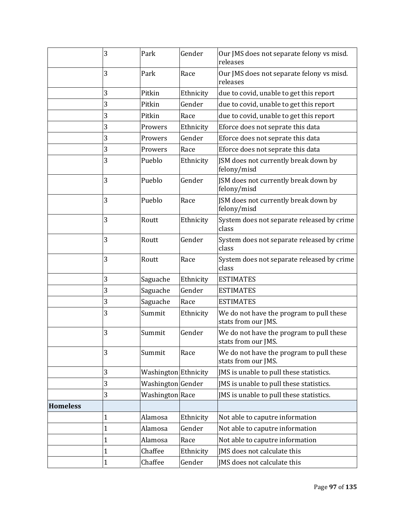|                 | 3            | Park                 | Gender    | Our JMS does not separate felony vs misd.<br>releases           |
|-----------------|--------------|----------------------|-----------|-----------------------------------------------------------------|
|                 | 3            | Park                 | Race      | Our JMS does not separate felony vs misd.<br>releases           |
|                 | 3            | Pitkin               | Ethnicity | due to covid, unable to get this report                         |
|                 | 3            | Pitkin               | Gender    | due to covid, unable to get this report                         |
|                 | 3            | Pitkin               | Race      | due to covid, unable to get this report                         |
|                 | 3            | Prowers              | Ethnicity | Eforce does not seprate this data                               |
|                 | 3            | Prowers              | Gender    | Eforce does not seprate this data                               |
|                 | 3            | Prowers              | Race      | Eforce does not seprate this data                               |
|                 | 3            | Pueblo               | Ethnicity | JSM does not currently break down by<br>felony/misd             |
|                 | 3            | Pueblo               | Gender    | JSM does not currently break down by<br>felony/misd             |
|                 | 3            | Pueblo               | Race      | JSM does not currently break down by<br>felony/misd             |
|                 | 3            | Routt                | Ethnicity | System does not separate released by crime<br>class             |
|                 | 3            | Routt                | Gender    | System does not separate released by crime<br>class             |
|                 | 3            | Routt                | Race      | System does not separate released by crime<br>class             |
|                 | 3            | Saguache             | Ethnicity | <b>ESTIMATES</b>                                                |
|                 | 3            | Saguache             | Gender    | <b>ESTIMATES</b>                                                |
|                 | 3            | Saguache             | Race      | <b>ESTIMATES</b>                                                |
|                 | 3            | Summit               | Ethnicity | We do not have the program to pull these<br>stats from our JMS. |
|                 | 3            | Summit               | Gender    | We do not have the program to pull these<br>stats from our JMS. |
|                 | 3            | Summit               | Race      | We do not have the program to pull these<br>stats from our JMS. |
|                 | 3            | Washington Ethnicity |           | JMS is unable to pull these statistics.                         |
|                 | 3            | Washington Gender    |           | JMS is unable to pull these statistics.                         |
|                 | 3            | Washington Race      |           | JMS is unable to pull these statistics.                         |
| <b>Homeless</b> |              |                      |           |                                                                 |
|                 | $\mathbf{1}$ | Alamosa              | Ethnicity | Not able to caputre information                                 |
|                 | $\mathbf{1}$ | Alamosa              | Gender    | Not able to caputre information                                 |
|                 | $\mathbf{1}$ | Alamosa              | Race      | Not able to caputre information                                 |
|                 | $\mathbf 1$  | Chaffee              | Ethnicity | JMS does not calculate this                                     |
|                 | $\mathbf{1}$ | Chaffee              | Gender    | JMS does not calculate this                                     |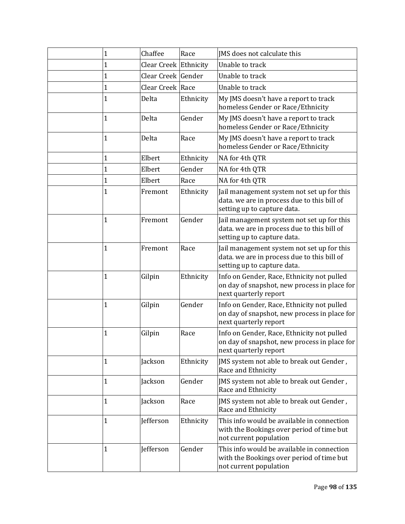| 1            | Chaffee               | Race      | JMS does not calculate this                                                                                              |
|--------------|-----------------------|-----------|--------------------------------------------------------------------------------------------------------------------------|
| 1            | Clear Creek Ethnicity |           | Unable to track                                                                                                          |
| 1            | Clear Creek Gender    |           | Unable to track                                                                                                          |
| $\mathbf 1$  | Clear Creek Race      |           | Unable to track                                                                                                          |
| 1            | Delta                 | Ethnicity | My JMS doesn't have a report to track<br>homeless Gender or Race/Ethnicity                                               |
| 1            | Delta                 | Gender    | My JMS doesn't have a report to track<br>homeless Gender or Race/Ethnicity                                               |
| $\mathbf 1$  | Delta                 | Race      | My JMS doesn't have a report to track<br>homeless Gender or Race/Ethnicity                                               |
| $\mathbf 1$  | Elbert                | Ethnicity | NA for 4th QTR                                                                                                           |
| 1            | Elbert                | Gender    | NA for 4th QTR                                                                                                           |
| 1            | Elbert                | Race      | NA for 4th QTR                                                                                                           |
| 1            | Fremont               | Ethnicity | Jail management system not set up for this<br>data. we are in process due to this bill of<br>setting up to capture data. |
| 1            | Fremont               | Gender    | Jail management system not set up for this<br>data. we are in process due to this bill of<br>setting up to capture data. |
| $\mathbf{1}$ | Fremont               | Race      | Jail management system not set up for this<br>data. we are in process due to this bill of<br>setting up to capture data. |
| $\mathbf{1}$ | Gilpin                | Ethnicity | Info on Gender, Race, Ethnicity not pulled<br>on day of snapshot, new process in place for<br>next quarterly report      |
| 1            | Gilpin                | Gender    | Info on Gender, Race, Ethnicity not pulled<br>on day of snapshot, new process in place for<br>next quarterly report      |
| 1            | Gilpin                | Race      | Info on Gender, Race, Ethnicity not pulled<br>on day of snapshot, new process in place for<br>next quarterly report      |
| 1            | Jackson               | Ethnicity | JMS system not able to break out Gender,<br>Race and Ethnicity                                                           |
| 1            | Jackson               | Gender    | JMS system not able to break out Gender,<br>Race and Ethnicity                                                           |
| $\mathbf{1}$ | Jackson               | Race      | JMS system not able to break out Gender,<br>Race and Ethnicity                                                           |
| $\mathbf{1}$ | Jefferson             | Ethnicity | This info would be available in connection<br>with the Bookings over period of time but<br>not current population        |
| 1            | Jefferson             | Gender    | This info would be available in connection<br>with the Bookings over period of time but<br>not current population        |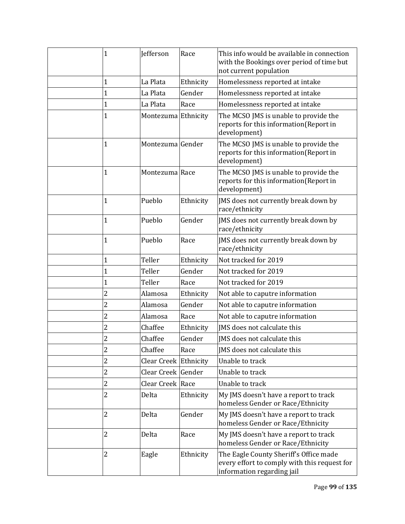| $\mathbf{1}$   | <b>Jefferson</b>      | Race      | This info would be available in connection<br>with the Bookings over period of time but<br>not current population    |
|----------------|-----------------------|-----------|----------------------------------------------------------------------------------------------------------------------|
| $\mathbf{1}$   | La Plata              | Ethnicity | Homelessness reported at intake                                                                                      |
| $\mathbf{1}$   | La Plata              | Gender    | Homelessness reported at intake                                                                                      |
| $\mathbf 1$    | La Plata              | Race      | Homelessness reported at intake                                                                                      |
| $\mathbf{1}$   | Montezuma Ethnicity   |           | The MCSO JMS is unable to provide the<br>reports for this information(Report in<br>development)                      |
| $\mathbf{1}$   | Montezuma Gender      |           | The MCSO JMS is unable to provide the<br>reports for this information(Report in<br>development)                      |
| $\mathbf{1}$   | Montezuma Race        |           | The MCSO JMS is unable to provide the<br>reports for this information(Report in<br>development)                      |
| 1              | Pueblo                | Ethnicity | JMS does not currently break down by<br>race/ethnicity                                                               |
| $\mathbf{1}$   | Pueblo                | Gender    | JMS does not currently break down by<br>race/ethnicity                                                               |
| 1              | Pueblo                | Race      | JMS does not currently break down by<br>race/ethnicity                                                               |
| 1              | Teller                | Ethnicity | Not tracked for 2019                                                                                                 |
| $\mathbf{1}$   | Teller                | Gender    | Not tracked for 2019                                                                                                 |
| $\mathbf{1}$   | Teller                | Race      | Not tracked for 2019                                                                                                 |
| $\overline{c}$ | Alamosa               | Ethnicity | Not able to caputre information                                                                                      |
| $\overline{c}$ | Alamosa               | Gender    | Not able to caputre information                                                                                      |
| $\overline{c}$ | Alamosa               | Race      | Not able to caputre information                                                                                      |
| $\overline{c}$ | Chaffee               | Ethnicity | IMS does not calculate this                                                                                          |
| $\overline{c}$ | Chaffee               | Gender    | JMS does not calculate this                                                                                          |
| 2              | Chaffee               | Race      | IMS does not calculate this                                                                                          |
| $\overline{c}$ | Clear Creek Ethnicity |           | Unable to track                                                                                                      |
| $\overline{2}$ | Clear Creek Gender    |           | Unable to track                                                                                                      |
| $\overline{c}$ | Clear Creek Race      |           | Unable to track                                                                                                      |
| $\overline{2}$ | Delta                 | Ethnicity | My JMS doesn't have a report to track<br>homeless Gender or Race/Ethnicity                                           |
| $\overline{2}$ | Delta                 | Gender    | My JMS doesn't have a report to track<br>homeless Gender or Race/Ethnicity                                           |
| 2              | Delta                 | Race      | My JMS doesn't have a report to track<br>homeless Gender or Race/Ethnicity                                           |
| $\overline{2}$ | Eagle                 | Ethnicity | The Eagle County Sheriff's Office made<br>every effort to comply with this request for<br>information regarding jail |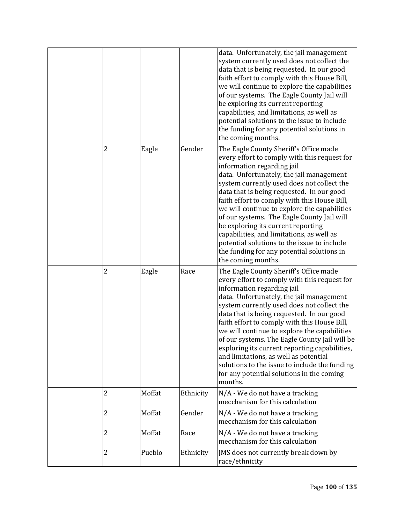|                |        |           | data. Unfortunately, the jail management<br>system currently used does not collect the<br>data that is being requested. In our good<br>faith effort to comply with this House Bill,<br>we will continue to explore the capabilities<br>of our systems. The Eagle County Jail will<br>be exploring its current reporting<br>capabilities, and limitations, as well as<br>potential solutions to the issue to include<br>the funding for any potential solutions in<br>the coming months.                                                                                                                         |
|----------------|--------|-----------|-----------------------------------------------------------------------------------------------------------------------------------------------------------------------------------------------------------------------------------------------------------------------------------------------------------------------------------------------------------------------------------------------------------------------------------------------------------------------------------------------------------------------------------------------------------------------------------------------------------------|
| 2              | Eagle  | Gender    | The Eagle County Sheriff's Office made<br>every effort to comply with this request for<br>information regarding jail<br>data. Unfortunately, the jail management<br>system currently used does not collect the<br>data that is being requested. In our good<br>faith effort to comply with this House Bill,<br>we will continue to explore the capabilities<br>of our systems. The Eagle County Jail will<br>be exploring its current reporting<br>capabilities, and limitations, as well as<br>potential solutions to the issue to include<br>the funding for any potential solutions in<br>the coming months. |
| 2              | Eagle  | Race      | The Eagle County Sheriff's Office made<br>every effort to comply with this request for<br>information regarding jail<br>data. Unfortunately, the jail management<br>system currently used does not collect the<br>data that is being requested. In our good<br>faith effort to comply with this House Bill,<br>we will continue to explore the capabilities<br>of our systems. The Eagle County Jail will be<br>exploring its current reporting capabilities,<br>and limitations, as well as potential<br>solutions to the issue to include the funding<br>for any potential solutions in the coming<br>months. |
| 2              | Moffat | Ethnicity | N/A - We do not have a tracking<br>mecchanism for this calculation                                                                                                                                                                                                                                                                                                                                                                                                                                                                                                                                              |
| $\overline{c}$ | Moffat | Gender    | N/A - We do not have a tracking<br>mecchanism for this calculation                                                                                                                                                                                                                                                                                                                                                                                                                                                                                                                                              |
| $\overline{c}$ | Moffat | Race      | N/A - We do not have a tracking<br>mecchanism for this calculation                                                                                                                                                                                                                                                                                                                                                                                                                                                                                                                                              |
| 2              | Pueblo | Ethnicity | JMS does not currently break down by<br>race/ethnicity                                                                                                                                                                                                                                                                                                                                                                                                                                                                                                                                                          |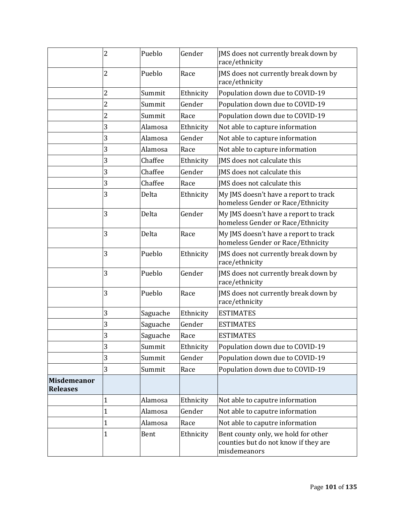|                                       | $\overline{2}$ | Pueblo   | Gender    | JMS does not currently break down by<br>race/ethnicity                                      |
|---------------------------------------|----------------|----------|-----------|---------------------------------------------------------------------------------------------|
|                                       | 2              | Pueblo   | Race      | JMS does not currently break down by<br>race/ethnicity                                      |
|                                       | 2              | Summit   | Ethnicity | Population down due to COVID-19                                                             |
|                                       | 2              | Summit   | Gender    | Population down due to COVID-19                                                             |
|                                       | $\overline{2}$ | Summit   | Race      | Population down due to COVID-19                                                             |
|                                       | 3              | Alamosa  | Ethnicity | Not able to capture information                                                             |
|                                       | 3              | Alamosa  | Gender    | Not able to capture information                                                             |
|                                       | 3              | Alamosa  | Race      | Not able to capture information                                                             |
|                                       | 3              | Chaffee  | Ethnicity | JMS does not calculate this                                                                 |
|                                       | 3              | Chaffee  | Gender    | JMS does not calculate this                                                                 |
|                                       | 3              | Chaffee  | Race      | IMS does not calculate this                                                                 |
|                                       | 3              | Delta    | Ethnicity | My JMS doesn't have a report to track<br>homeless Gender or Race/Ethnicity                  |
|                                       | 3              | Delta    | Gender    | My JMS doesn't have a report to track<br>homeless Gender or Race/Ethnicity                  |
|                                       | 3              | Delta    | Race      | My JMS doesn't have a report to track<br>homeless Gender or Race/Ethnicity                  |
|                                       | 3              | Pueblo   | Ethnicity | JMS does not currently break down by<br>race/ethnicity                                      |
|                                       | 3              | Pueblo   | Gender    | JMS does not currently break down by<br>race/ethnicity                                      |
|                                       | 3              | Pueblo   | Race      | JMS does not currently break down by<br>race/ethnicity                                      |
|                                       | 3              | Saguache | Ethnicity | <b>ESTIMATES</b>                                                                            |
|                                       | 3              | Saguache | Gender    | <b>ESTIMATES</b>                                                                            |
|                                       | 3              | Saguache | Race      | <b>ESTIMATES</b>                                                                            |
|                                       | 3              | Summit   | Ethnicity | Population down due to COVID-19                                                             |
|                                       | 3              | Summit   | Gender    | Population down due to COVID-19                                                             |
|                                       | 3              | Summit   | Race      | Population down due to COVID-19                                                             |
| <b>Misdemeanor</b><br><b>Releases</b> |                |          |           |                                                                                             |
|                                       | 1              | Alamosa  | Ethnicity | Not able to caputre information                                                             |
|                                       | $\mathbf 1$    | Alamosa  | Gender    | Not able to caputre information                                                             |
|                                       | 1              | Alamosa  | Race      | Not able to caputre information                                                             |
|                                       | 1              | Bent     | Ethnicity | Bent county only, we hold for other<br>counties but do not know if they are<br>misdemeanors |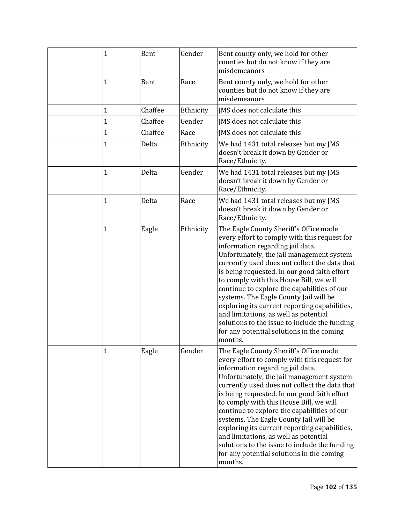| $\mathbf 1$ | Bent    | Gender    | Bent county only, we hold for other<br>counties but do not know if they are<br>misdemeanors                                                                                                                                                                                                                                                                                                                                                                                                                                                                                                                     |
|-------------|---------|-----------|-----------------------------------------------------------------------------------------------------------------------------------------------------------------------------------------------------------------------------------------------------------------------------------------------------------------------------------------------------------------------------------------------------------------------------------------------------------------------------------------------------------------------------------------------------------------------------------------------------------------|
| 1           | Bent    | Race      | Bent county only, we hold for other<br>counties but do not know if they are<br>misdemeanors                                                                                                                                                                                                                                                                                                                                                                                                                                                                                                                     |
| 1           | Chaffee | Ethnicity | JMS does not calculate this                                                                                                                                                                                                                                                                                                                                                                                                                                                                                                                                                                                     |
| 1           | Chaffee | Gender    | IMS does not calculate this                                                                                                                                                                                                                                                                                                                                                                                                                                                                                                                                                                                     |
| 1           | Chaffee | Race      | JMS does not calculate this                                                                                                                                                                                                                                                                                                                                                                                                                                                                                                                                                                                     |
| 1           | Delta   | Ethnicity | We had 1431 total releases but my JMS<br>doesn't break it down by Gender or<br>Race/Ethnicity.                                                                                                                                                                                                                                                                                                                                                                                                                                                                                                                  |
| 1           | Delta   | Gender    | We had 1431 total releases but my JMS<br>doesn't break it down by Gender or<br>Race/Ethnicity.                                                                                                                                                                                                                                                                                                                                                                                                                                                                                                                  |
| 1           | Delta   | Race      | We had 1431 total releases but my JMS<br>doesn't break it down by Gender or<br>Race/Ethnicity.                                                                                                                                                                                                                                                                                                                                                                                                                                                                                                                  |
| 1           | Eagle   | Ethnicity | The Eagle County Sheriff's Office made<br>every effort to comply with this request for<br>information regarding jail data.<br>Unfortunately, the jail management system<br>currently used does not collect the data that<br>is being requested. In our good faith effort<br>to comply with this House Bill, we will<br>continue to explore the capabilities of our<br>systems. The Eagle County Jail will be<br>exploring its current reporting capabilities,<br>and limitations, as well as potential<br>solutions to the issue to include the funding<br>for any potential solutions in the coming<br>months. |
| 1           | Eagle   | Gender    | The Eagle County Sheriff's Office made<br>every effort to comply with this request for<br>information regarding jail data.<br>Unfortunately, the jail management system<br>currently used does not collect the data that<br>is being requested. In our good faith effort<br>to comply with this House Bill, we will<br>continue to explore the capabilities of our<br>systems. The Eagle County Jail will be<br>exploring its current reporting capabilities,<br>and limitations, as well as potential<br>solutions to the issue to include the funding<br>for any potential solutions in the coming<br>months. |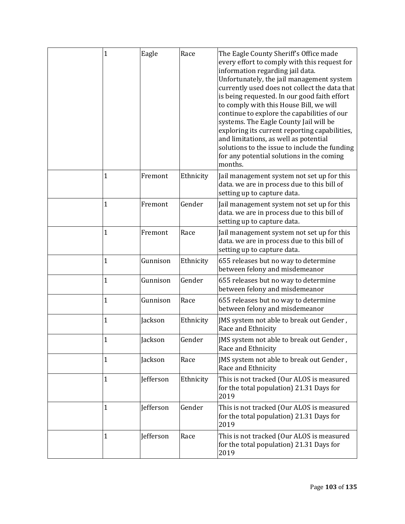| $\mathbf 1$  | Eagle     | Race      | The Eagle County Sheriff's Office made<br>every effort to comply with this request for<br>information regarding jail data.<br>Unfortunately, the jail management system<br>currently used does not collect the data that<br>is being requested. In our good faith effort<br>to comply with this House Bill, we will<br>continue to explore the capabilities of our<br>systems. The Eagle County Jail will be<br>exploring its current reporting capabilities,<br>and limitations, as well as potential<br>solutions to the issue to include the funding<br>for any potential solutions in the coming<br>months. |
|--------------|-----------|-----------|-----------------------------------------------------------------------------------------------------------------------------------------------------------------------------------------------------------------------------------------------------------------------------------------------------------------------------------------------------------------------------------------------------------------------------------------------------------------------------------------------------------------------------------------------------------------------------------------------------------------|
| 1            | Fremont   | Ethnicity | Jail management system not set up for this<br>data. we are in process due to this bill of<br>setting up to capture data.                                                                                                                                                                                                                                                                                                                                                                                                                                                                                        |
| 1            | Fremont   | Gender    | Jail management system not set up for this<br>data. we are in process due to this bill of<br>setting up to capture data.                                                                                                                                                                                                                                                                                                                                                                                                                                                                                        |
| $\mathbf{1}$ | Fremont   | Race      | Jail management system not set up for this<br>data. we are in process due to this bill of<br>setting up to capture data.                                                                                                                                                                                                                                                                                                                                                                                                                                                                                        |
| 1            | Gunnison  | Ethnicity | 655 releases but no way to determine<br>between felony and misdemeanor                                                                                                                                                                                                                                                                                                                                                                                                                                                                                                                                          |
| 1            | Gunnison  | Gender    | 655 releases but no way to determine<br>between felony and misdemeanor                                                                                                                                                                                                                                                                                                                                                                                                                                                                                                                                          |
| 1            | Gunnison  | Race      | 655 releases but no way to determine<br>between felony and misdemeanor                                                                                                                                                                                                                                                                                                                                                                                                                                                                                                                                          |
| 1            | Jackson   | Ethnicity | JMS system not able to break out Gender,<br>Race and Ethnicity                                                                                                                                                                                                                                                                                                                                                                                                                                                                                                                                                  |
| $\mathbf{1}$ | Jackson   | Gender    | JMS system not able to break out Gender,<br>Race and Ethnicity                                                                                                                                                                                                                                                                                                                                                                                                                                                                                                                                                  |
| 1            | Jackson   | Race      | JMS system not able to break out Gender,<br>Race and Ethnicity                                                                                                                                                                                                                                                                                                                                                                                                                                                                                                                                                  |
| $\mathbf{1}$ | Jefferson | Ethnicity | This is not tracked (Our ALOS is measured<br>for the total population) 21.31 Days for<br>2019                                                                                                                                                                                                                                                                                                                                                                                                                                                                                                                   |
| 1            | Jefferson | Gender    | This is not tracked (Our ALOS is measured<br>for the total population) 21.31 Days for<br>2019                                                                                                                                                                                                                                                                                                                                                                                                                                                                                                                   |
| $\mathbf{1}$ | Jefferson | Race      | This is not tracked (Our ALOS is measured<br>for the total population) 21.31 Days for<br>2019                                                                                                                                                                                                                                                                                                                                                                                                                                                                                                                   |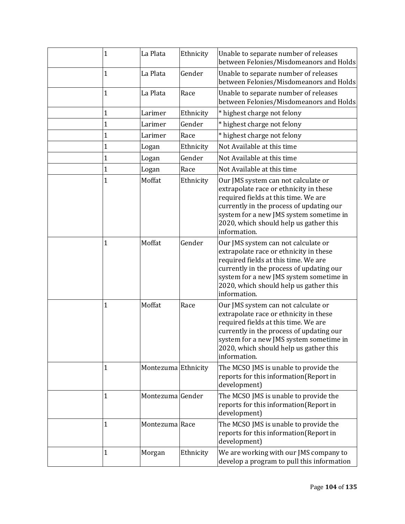| 1           | La Plata            | Ethnicity | Unable to separate number of releases<br>between Felonies/Misdomeanors and Holds                                                                                                                                                                                       |
|-------------|---------------------|-----------|------------------------------------------------------------------------------------------------------------------------------------------------------------------------------------------------------------------------------------------------------------------------|
| 1           | La Plata            | Gender    | Unable to separate number of releases<br>between Felonies/Misdomeanors and Holds                                                                                                                                                                                       |
| 1           | La Plata            | Race      | Unable to separate number of releases<br>between Felonies/Misdomeanors and Holds                                                                                                                                                                                       |
| 1           | Larimer             | Ethnicity | * highest charge not felony                                                                                                                                                                                                                                            |
| 1           | Larimer             | Gender    | * highest charge not felony                                                                                                                                                                                                                                            |
| $\mathbf 1$ | Larimer             | Race      | * highest charge not felony                                                                                                                                                                                                                                            |
| $\mathbf 1$ | Logan               | Ethnicity | Not Available at this time                                                                                                                                                                                                                                             |
| 1           | Logan               | Gender    | Not Available at this time                                                                                                                                                                                                                                             |
| $\mathbf 1$ | Logan               | Race      | Not Available at this time                                                                                                                                                                                                                                             |
| $\mathbf 1$ | Moffat              | Ethnicity | Our JMS system can not calculate or<br>extrapolate race or ethnicity in these<br>required fields at this time. We are<br>currently in the process of updating our<br>system for a new JMS system sometime in<br>2020, which should help us gather this<br>information. |
| 1           | Moffat              | Gender    | Our JMS system can not calculate or<br>extrapolate race or ethnicity in these<br>required fields at this time. We are<br>currently in the process of updating our<br>system for a new JMS system sometime in<br>2020, which should help us gather this<br>information. |
| 1           | Moffat              | Race      | Our JMS system can not calculate or<br>extrapolate race or ethnicity in these<br>required fields at this time. We are<br>currently in the process of updating our<br>system for a new JMS system sometime in<br>2020, which should help us gather this<br>information. |
| 1           | Montezuma Ethnicity |           | The MCSO JMS is unable to provide the<br>reports for this information(Report in<br>development)                                                                                                                                                                        |
| 1           | Montezuma Gender    |           | The MCSO JMS is unable to provide the<br>reports for this information(Report in<br>development)                                                                                                                                                                        |
| 1           | Montezuma Race      |           | The MCSO JMS is unable to provide the<br>reports for this information(Report in<br>development)                                                                                                                                                                        |
| 1           | Morgan              | Ethnicity | We are working with our JMS company to<br>develop a program to pull this information                                                                                                                                                                                   |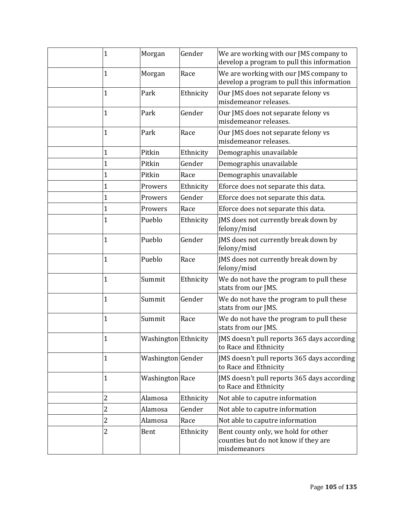| $\mathbf{1}$ | Morgan               | Gender    | We are working with our JMS company to<br>develop a program to pull this information        |
|--------------|----------------------|-----------|---------------------------------------------------------------------------------------------|
| 1            | Morgan               | Race      | We are working with our JMS company to<br>develop a program to pull this information        |
| 1            | Park                 | Ethnicity | Our JMS does not separate felony vs<br>misdemeanor releases.                                |
| 1            | Park                 | Gender    | Our JMS does not separate felony vs<br>misdemeanor releases.                                |
| 1            | Park                 | Race      | Our JMS does not separate felony vs<br>misdemeanor releases.                                |
| $\mathbf{1}$ | Pitkin               | Ethnicity | Demographis unavailable                                                                     |
| 1            | Pitkin               | Gender    | Demographis unavailable                                                                     |
| 1            | Pitkin               | Race      | Demographis unavailable                                                                     |
| $\mathbf 1$  | Prowers              | Ethnicity | Eforce does not separate this data.                                                         |
| 1            | Prowers              | Gender    | Eforce does not separate this data.                                                         |
| 1            | Prowers              | Race      | Eforce does not separate this data.                                                         |
| $\mathbf 1$  | Pueblo               | Ethnicity | JMS does not currently break down by<br>felony/misd                                         |
| $\mathbf 1$  | Pueblo               | Gender    | JMS does not currently break down by<br>felony/misd                                         |
| $\mathbf{1}$ | Pueblo               | Race      | JMS does not currently break down by<br>felony/misd                                         |
| 1            | Summit               | Ethnicity | We do not have the program to pull these<br>stats from our JMS.                             |
| $\mathbf 1$  | Summit               | Gender    | We do not have the program to pull these<br>stats from our JMS.                             |
| 1            | Summit               | Race      | We do not have the program to pull these<br>stats from our JMS.                             |
| 1            | Washington Ethnicity |           | JMS doesn't pull reports 365 days according<br>to Race and Ethnicity                        |
| 1            | Washington Gender    |           | JMS doesn't pull reports 365 days according<br>to Race and Ethnicity                        |
| $\mathbf{1}$ | Washington Race      |           | JMS doesn't pull reports 365 days according<br>to Race and Ethnicity                        |
| 2            | Alamosa              | Ethnicity | Not able to caputre information                                                             |
| 2            | Alamosa              | Gender    | Not able to caputre information                                                             |
| 2            | Alamosa              | Race      | Not able to caputre information                                                             |
| 2            | Bent                 | Ethnicity | Bent county only, we hold for other<br>counties but do not know if they are<br>misdemeanors |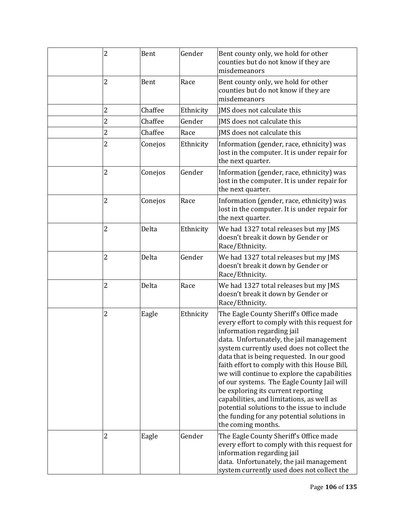| 2              | Bent    | Gender    | Bent county only, we hold for other<br>counties but do not know if they are<br>misdemeanors                                                                                                                                                                                                                                                                                                                                                                                                                                                                                                                     |
|----------------|---------|-----------|-----------------------------------------------------------------------------------------------------------------------------------------------------------------------------------------------------------------------------------------------------------------------------------------------------------------------------------------------------------------------------------------------------------------------------------------------------------------------------------------------------------------------------------------------------------------------------------------------------------------|
| 2              | Bent    | Race      | Bent county only, we hold for other<br>counties but do not know if they are<br>misdemeanors                                                                                                                                                                                                                                                                                                                                                                                                                                                                                                                     |
| 2              | Chaffee | Ethnicity | IMS does not calculate this                                                                                                                                                                                                                                                                                                                                                                                                                                                                                                                                                                                     |
| $\overline{c}$ | Chaffee | Gender    | JMS does not calculate this                                                                                                                                                                                                                                                                                                                                                                                                                                                                                                                                                                                     |
| $\overline{2}$ | Chaffee | Race      | IMS does not calculate this                                                                                                                                                                                                                                                                                                                                                                                                                                                                                                                                                                                     |
| 2              | Conejos | Ethnicity | Information (gender, race, ethnicity) was<br>lost in the computer. It is under repair for<br>the next quarter.                                                                                                                                                                                                                                                                                                                                                                                                                                                                                                  |
| 2              | Conejos | Gender    | Information (gender, race, ethnicity) was<br>lost in the computer. It is under repair for<br>the next quarter.                                                                                                                                                                                                                                                                                                                                                                                                                                                                                                  |
| 2              | Conejos | Race      | Information (gender, race, ethnicity) was<br>lost in the computer. It is under repair for<br>the next quarter.                                                                                                                                                                                                                                                                                                                                                                                                                                                                                                  |
| 2              | Delta   | Ethnicity | We had 1327 total releases but my JMS<br>doesn't break it down by Gender or<br>Race/Ethnicity.                                                                                                                                                                                                                                                                                                                                                                                                                                                                                                                  |
| 2              | Delta   | Gender    | We had 1327 total releases but my JMS<br>doesn't break it down by Gender or<br>Race/Ethnicity.                                                                                                                                                                                                                                                                                                                                                                                                                                                                                                                  |
| 2              | Delta   | Race      | We had 1327 total releases but my JMS<br>doesn't break it down by Gender or<br>Race/Ethnicity.                                                                                                                                                                                                                                                                                                                                                                                                                                                                                                                  |
| 2              | Eagle   | Ethnicity | The Eagle County Sheriff's Office made<br>every effort to comply with this request for<br>information regarding jail<br>data. Unfortunately, the jail management<br>system currently used does not collect the<br>data that is being requested. In our good<br>faith effort to comply with this House Bill,<br>we will continue to explore the capabilities<br>of our systems. The Eagle County Jail will<br>be exploring its current reporting<br>capabilities, and limitations, as well as<br>potential solutions to the issue to include<br>the funding for any potential solutions in<br>the coming months. |
| 2              | Eagle   | Gender    | The Eagle County Sheriff's Office made<br>every effort to comply with this request for<br>information regarding jail<br>data. Unfortunately, the jail management<br>system currently used does not collect the                                                                                                                                                                                                                                                                                                                                                                                                  |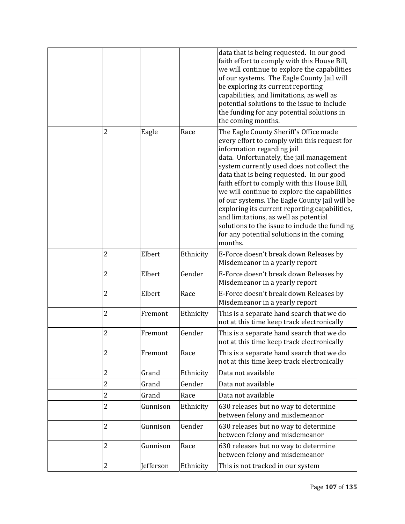|                         |           |           | data that is being requested. In our good<br>faith effort to comply with this House Bill,<br>we will continue to explore the capabilities<br>of our systems. The Eagle County Jail will<br>be exploring its current reporting<br>capabilities, and limitations, as well as<br>potential solutions to the issue to include<br>the funding for any potential solutions in<br>the coming months.                                                                                                                                                                                                                   |
|-------------------------|-----------|-----------|-----------------------------------------------------------------------------------------------------------------------------------------------------------------------------------------------------------------------------------------------------------------------------------------------------------------------------------------------------------------------------------------------------------------------------------------------------------------------------------------------------------------------------------------------------------------------------------------------------------------|
| 2                       | Eagle     | Race      | The Eagle County Sheriff's Office made<br>every effort to comply with this request for<br>information regarding jail<br>data. Unfortunately, the jail management<br>system currently used does not collect the<br>data that is being requested. In our good<br>faith effort to comply with this House Bill,<br>we will continue to explore the capabilities<br>of our systems. The Eagle County Jail will be<br>exploring its current reporting capabilities,<br>and limitations, as well as potential<br>solutions to the issue to include the funding<br>for any potential solutions in the coming<br>months. |
| $\overline{c}$          | Elbert    | Ethnicity | E-Force doesn't break down Releases by<br>Misdemeanor in a yearly report                                                                                                                                                                                                                                                                                                                                                                                                                                                                                                                                        |
| $\overline{c}$          | Elbert    | Gender    | E-Force doesn't break down Releases by<br>Misdemeanor in a yearly report                                                                                                                                                                                                                                                                                                                                                                                                                                                                                                                                        |
| $\overline{2}$          | Elbert    | Race      | E-Force doesn't break down Releases by<br>Misdemeanor in a yearly report                                                                                                                                                                                                                                                                                                                                                                                                                                                                                                                                        |
| $\overline{c}$          | Fremont   | Ethnicity | This is a separate hand search that we do<br>not at this time keep track electronically                                                                                                                                                                                                                                                                                                                                                                                                                                                                                                                         |
| $\overline{c}$          | Fremont   | Gender    | This is a separate hand search that we do<br>not at this time keep track electronically                                                                                                                                                                                                                                                                                                                                                                                                                                                                                                                         |
| $\overline{2}$          | Fremont   | Race      | This is a separate hand search that we do<br>not at this time keep track electronically                                                                                                                                                                                                                                                                                                                                                                                                                                                                                                                         |
| $\overline{\mathbf{c}}$ | Grand     | Ethnicity | Data not available                                                                                                                                                                                                                                                                                                                                                                                                                                                                                                                                                                                              |
| $\overline{2}$          | Grand     | Gender    | Data not available                                                                                                                                                                                                                                                                                                                                                                                                                                                                                                                                                                                              |
| 2                       | Grand     | Race      | Data not available                                                                                                                                                                                                                                                                                                                                                                                                                                                                                                                                                                                              |
| $\overline{c}$          | Gunnison  | Ethnicity | 630 releases but no way to determine<br>between felony and misdemeanor                                                                                                                                                                                                                                                                                                                                                                                                                                                                                                                                          |
| $\overline{c}$          | Gunnison  | Gender    | 630 releases but no way to determine<br>between felony and misdemeanor                                                                                                                                                                                                                                                                                                                                                                                                                                                                                                                                          |
| 2                       | Gunnison  | Race      | 630 releases but no way to determine<br>between felony and misdemeanor                                                                                                                                                                                                                                                                                                                                                                                                                                                                                                                                          |
| 2                       | Jefferson | Ethnicity | This is not tracked in our system                                                                                                                                                                                                                                                                                                                                                                                                                                                                                                                                                                               |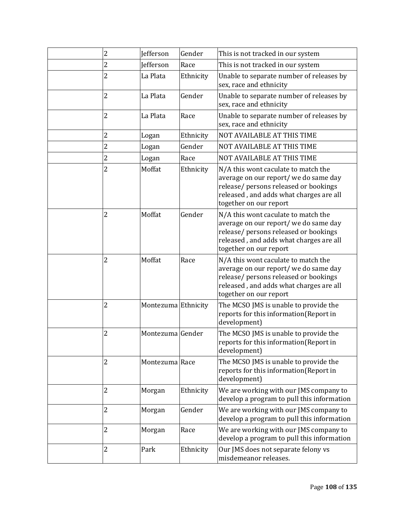| 2              | Jefferson           | Gender    | This is not tracked in our system                                                                                                                                                          |
|----------------|---------------------|-----------|--------------------------------------------------------------------------------------------------------------------------------------------------------------------------------------------|
| 2              | <b>Jefferson</b>    | Race      | This is not tracked in our system                                                                                                                                                          |
| $\overline{c}$ | La Plata            | Ethnicity | Unable to separate number of releases by<br>sex, race and ethnicity                                                                                                                        |
| $\overline{2}$ | La Plata            | Gender    | Unable to separate number of releases by<br>sex, race and ethnicity                                                                                                                        |
| $\overline{c}$ | La Plata            | Race      | Unable to separate number of releases by<br>sex, race and ethnicity                                                                                                                        |
| $\overline{c}$ | Logan               | Ethnicity | <b>NOT AVAILABLE AT THIS TIME</b>                                                                                                                                                          |
| $\overline{c}$ | Logan               | Gender    | <b>NOT AVAILABLE AT THIS TIME</b>                                                                                                                                                          |
| 2              | Logan               | Race      | NOT AVAILABLE AT THIS TIME                                                                                                                                                                 |
| 2              | Moffat              | Ethnicity | N/A this wont caculate to match the<br>average on our report/ we do same day<br>release/ persons released or bookings<br>released, and adds what charges are all<br>together on our report |
| $\overline{c}$ | Moffat              | Gender    | N/A this wont caculate to match the<br>average on our report/ we do same day<br>release/ persons released or bookings<br>released, and adds what charges are all<br>together on our report |
| 2              | Moffat              | Race      | N/A this wont caculate to match the<br>average on our report/ we do same day<br>release/ persons released or bookings<br>released, and adds what charges are all<br>together on our report |
| 2              | Montezuma Ethnicity |           | The MCSO JMS is unable to provide the<br>reports for this information(Report in<br>development)                                                                                            |
| 2              | Montezuma Gender    |           | The MCSO JMS is unable to provide the<br>reports for this information (Report in<br>development)                                                                                           |
| 2              | Montezuma Race      |           | The MCSO JMS is unable to provide the<br>reports for this information(Report in<br>development)                                                                                            |
| 2              | Morgan              | Ethnicity | We are working with our JMS company to<br>develop a program to pull this information                                                                                                       |
| 2              | Morgan              | Gender    | We are working with our JMS company to<br>develop a program to pull this information                                                                                                       |
| 2              | Morgan              | Race      | We are working with our JMS company to<br>develop a program to pull this information                                                                                                       |
| $\overline{2}$ | Park                | Ethnicity | Our JMS does not separate felony vs<br>misdemeanor releases.                                                                                                                               |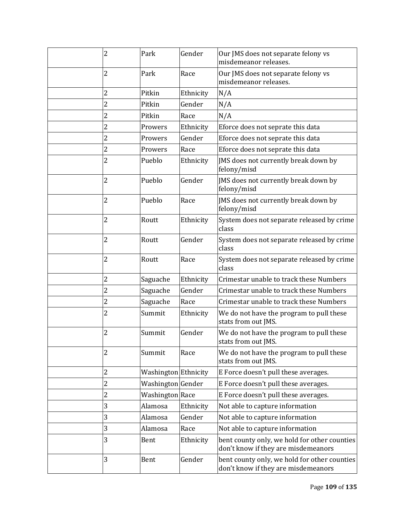| 2              | Park                 | Gender    | Our JMS does not separate felony vs<br>misdemeanor releases.                        |
|----------------|----------------------|-----------|-------------------------------------------------------------------------------------|
| 2              | Park                 | Race      | Our JMS does not separate felony vs<br>misdemeanor releases.                        |
| 2              | Pitkin               | Ethnicity | N/A                                                                                 |
| $\overline{c}$ | Pitkin               | Gender    | N/A                                                                                 |
| $\overline{c}$ | Pitkin               | Race      | N/A                                                                                 |
| $\overline{c}$ | Prowers              | Ethnicity | Eforce does not seprate this data                                                   |
| 2              | Prowers              | Gender    | Eforce does not seprate this data                                                   |
| 2              | Prowers              | Race      | Eforce does not seprate this data                                                   |
| 2              | Pueblo               | Ethnicity | JMS does not currently break down by<br>felony/misd                                 |
| 2              | Pueblo               | Gender    | JMS does not currently break down by<br>felony/misd                                 |
| $\overline{c}$ | Pueblo               | Race      | JMS does not currently break down by<br>felony/misd                                 |
| $\overline{2}$ | Routt                | Ethnicity | System does not separate released by crime<br>class                                 |
| $\overline{c}$ | Routt                | Gender    | System does not separate released by crime<br>class                                 |
| $\overline{2}$ | Routt                | Race      | System does not separate released by crime<br>class                                 |
| 2              | Saguache             | Ethnicity | Crimestar unable to track these Numbers                                             |
| $\overline{c}$ | Saguache             | Gender    | Crimestar unable to track these Numbers                                             |
| $\overline{2}$ | Saguache             | Race      | Crimestar unable to track these Numbers                                             |
| 2              | Summit               | Ethnicity | We do not have the program to pull these<br>stats from out JMS.                     |
| 2              | Summit               | Gender    | We do not have the program to pull these<br>stats from out JMS.                     |
| 2              | Summit               | Race      | We do not have the program to pull these<br>stats from out JMS.                     |
| $\overline{2}$ | Washington Ethnicity |           | E Force doesn't pull these averages.                                                |
| $\overline{c}$ | Washington Gender    |           | E Force doesn't pull these averages.                                                |
| 2              | Washington Race      |           | E Force doesn't pull these averages.                                                |
| 3              | Alamosa              | Ethnicity | Not able to capture information                                                     |
| 3              | Alamosa              | Gender    | Not able to capture information                                                     |
| 3              | Alamosa              | Race      | Not able to capture information                                                     |
| 3              | Bent                 | Ethnicity | bent county only, we hold for other counties<br>don't know if they are misdemeanors |
| 3              | Bent                 | Gender    | bent county only, we hold for other counties<br>don't know if they are misdemeanors |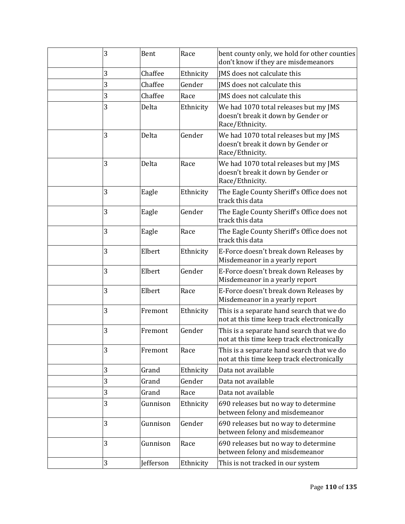| 3 | Bent      | Race      | bent county only, we hold for other counties<br>don't know if they are misdemeanors            |
|---|-----------|-----------|------------------------------------------------------------------------------------------------|
| 3 | Chaffee   | Ethnicity | IMS does not calculate this                                                                    |
| 3 | Chaffee   | Gender    | JMS does not calculate this                                                                    |
| 3 | Chaffee   | Race      | JMS does not calculate this                                                                    |
| 3 | Delta     | Ethnicity | We had 1070 total releases but my JMS<br>doesn't break it down by Gender or<br>Race/Ethnicity. |
| 3 | Delta     | Gender    | We had 1070 total releases but my JMS<br>doesn't break it down by Gender or<br>Race/Ethnicity. |
| 3 | Delta     | Race      | We had 1070 total releases but my JMS<br>doesn't break it down by Gender or<br>Race/Ethnicity. |
| 3 | Eagle     | Ethnicity | The Eagle County Sheriff's Office does not<br>track this data                                  |
| 3 | Eagle     | Gender    | The Eagle County Sheriff's Office does not<br>track this data                                  |
| 3 | Eagle     | Race      | The Eagle County Sheriff's Office does not<br>track this data                                  |
| 3 | Elbert    | Ethnicity | E-Force doesn't break down Releases by<br>Misdemeanor in a yearly report                       |
| 3 | Elbert    | Gender    | E-Force doesn't break down Releases by<br>Misdemeanor in a yearly report                       |
| 3 | Elbert    | Race      | E-Force doesn't break down Releases by<br>Misdemeanor in a yearly report                       |
| 3 | Fremont   | Ethnicity | This is a separate hand search that we do<br>not at this time keep track electronically        |
| 3 | Fremont   | Gender    | This is a separate hand search that we do<br>not at this time keep track electronically        |
| 3 | Fremont   | Race      | This is a separate hand search that we do<br>not at this time keep track electronically        |
| 3 | Grand     | Ethnicity | Data not available                                                                             |
| 3 | Grand     | Gender    | Data not available                                                                             |
| 3 | Grand     | Race      | Data not available                                                                             |
| 3 | Gunnison  | Ethnicity | 690 releases but no way to determine<br>between felony and misdemeanor                         |
| 3 | Gunnison  | Gender    | 690 releases but no way to determine<br>between felony and misdemeanor                         |
| 3 | Gunnison  | Race      | 690 releases but no way to determine<br>between felony and misdemeanor                         |
| 3 | Jefferson | Ethnicity | This is not tracked in our system                                                              |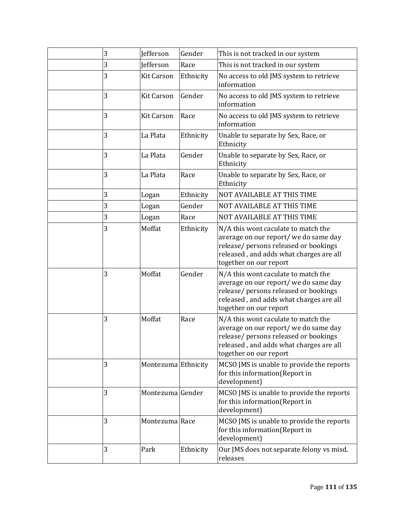| 3 | Jefferson           | Gender    | This is not tracked in our system                                                                                                                                                          |
|---|---------------------|-----------|--------------------------------------------------------------------------------------------------------------------------------------------------------------------------------------------|
| 3 | <b>Jefferson</b>    | Race      | This is not tracked in our system                                                                                                                                                          |
| 3 | <b>Kit Carson</b>   | Ethnicity | No access to old JMS system to retrieve<br>information                                                                                                                                     |
| 3 | <b>Kit Carson</b>   | Gender    | No access to old JMS system to retrieve<br>information                                                                                                                                     |
| 3 | <b>Kit Carson</b>   | Race      | No access to old JMS system to retrieve<br>information                                                                                                                                     |
| 3 | La Plata            | Ethnicity | Unable to separate by Sex, Race, or<br>Ethnicity                                                                                                                                           |
| 3 | La Plata            | Gender    | Unable to separate by Sex, Race, or<br>Ethnicity                                                                                                                                           |
| 3 | La Plata            | Race      | Unable to separate by Sex, Race, or<br>Ethnicity                                                                                                                                           |
| 3 | Logan               | Ethnicity | NOT AVAILABLE AT THIS TIME                                                                                                                                                                 |
| 3 | Logan               | Gender    | NOT AVAILABLE AT THIS TIME                                                                                                                                                                 |
| 3 | Logan               | Race      | NOT AVAILABLE AT THIS TIME                                                                                                                                                                 |
| 3 | Moffat              | Ethnicity | N/A this wont caculate to match the<br>average on our report/ we do same day<br>release/ persons released or bookings<br>released, and adds what charges are all<br>together on our report |
| 3 | Moffat              | Gender    | N/A this wont caculate to match the<br>average on our report/ we do same day<br>release/ persons released or bookings<br>released, and adds what charges are all<br>together on our report |
| 3 | Moffat              | Race      | N/A this wont caculate to match the<br>average on our report/ we do same day<br>release/ persons released or bookings<br>released, and adds what charges are all<br>together on our report |
| 3 | Montezuma Ethnicity |           | MCSO JMS is unable to provide the reports<br>for this information(Report in<br>development)                                                                                                |
| 3 | Montezuma Gender    |           | MCSO JMS is unable to provide the reports<br>for this information(Report in<br>development)                                                                                                |
| 3 | Montezuma Race      |           | MCSO JMS is unable to provide the reports<br>for this information(Report in<br>development)                                                                                                |
| 3 | Park                | Ethnicity | Our JMS does not separate felony vs misd.<br>releases                                                                                                                                      |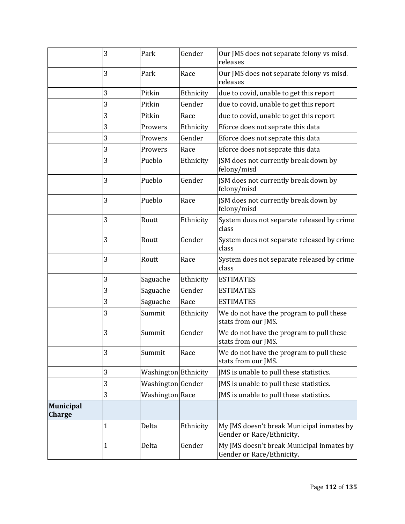|                                   | 3 | Park                 | Gender    | Our JMS does not separate felony vs misd.<br>releases                  |
|-----------------------------------|---|----------------------|-----------|------------------------------------------------------------------------|
|                                   | 3 | Park                 | Race      | Our JMS does not separate felony vs misd.<br>releases                  |
|                                   | 3 | Pitkin               | Ethnicity | due to covid, unable to get this report                                |
|                                   | 3 | Pitkin               | Gender    | due to covid, unable to get this report                                |
|                                   | 3 | Pitkin               | Race      | due to covid, unable to get this report                                |
|                                   | 3 | Prowers              | Ethnicity | Eforce does not seprate this data                                      |
|                                   | 3 | Prowers              | Gender    | Eforce does not seprate this data                                      |
|                                   | 3 | Prowers              | Race      | Eforce does not seprate this data                                      |
|                                   | 3 | Pueblo               | Ethnicity | JSM does not currently break down by<br>felony/misd                    |
|                                   | 3 | Pueblo               | Gender    | JSM does not currently break down by<br>felony/misd                    |
|                                   | 3 | Pueblo               | Race      | JSM does not currently break down by<br>felony/misd                    |
|                                   | 3 | Routt                | Ethnicity | System does not separate released by crime<br>class                    |
|                                   | 3 | Routt                | Gender    | System does not separate released by crime<br>class                    |
|                                   | 3 | Routt                | Race      | System does not separate released by crime<br>class                    |
|                                   | 3 | Saguache             | Ethnicity | <b>ESTIMATES</b>                                                       |
|                                   | 3 | Saguache             | Gender    | <b>ESTIMATES</b>                                                       |
|                                   | 3 | Saguache             | Race      | <b>ESTIMATES</b>                                                       |
|                                   | 3 | Summit               | Ethnicity | We do not have the program to pull these<br>stats from our JMS.        |
|                                   | 3 | Summit               | Gender    | We do not have the program to pull these<br>stats from our JMS.        |
|                                   | 3 | Summit               | Race      | We do not have the program to pull these<br>stats from our JMS.        |
|                                   | 3 | Washington Ethnicity |           | JMS is unable to pull these statistics.                                |
|                                   | 3 | Washington Gender    |           | JMS is unable to pull these statistics.                                |
|                                   | 3 | Washington Race      |           | JMS is unable to pull these statistics.                                |
| <b>Municipal</b><br><b>Charge</b> |   |                      |           |                                                                        |
|                                   | 1 | Delta                | Ethnicity | My JMS doesn't break Municipal inmates by<br>Gender or Race/Ethnicity. |
|                                   | 1 | Delta                | Gender    | My JMS doesn't break Municipal inmates by<br>Gender or Race/Ethnicity. |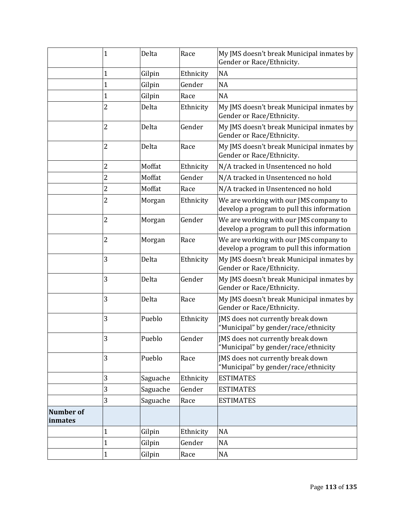|                             | $\mathbf{1}$            | Delta    | Race      | My JMS doesn't break Municipal inmates by<br>Gender or Race/Ethnicity.               |
|-----------------------------|-------------------------|----------|-----------|--------------------------------------------------------------------------------------|
|                             | 1                       | Gilpin   | Ethnicity | <b>NA</b>                                                                            |
|                             | 1                       | Gilpin   | Gender    | <b>NA</b>                                                                            |
|                             | $\mathbf{1}$            | Gilpin   | Race      | <b>NA</b>                                                                            |
|                             | $\overline{2}$          | Delta    | Ethnicity | My JMS doesn't break Municipal inmates by<br>Gender or Race/Ethnicity.               |
|                             | $\overline{2}$          | Delta    | Gender    | My JMS doesn't break Municipal inmates by<br>Gender or Race/Ethnicity.               |
|                             | 2                       | Delta    | Race      | My JMS doesn't break Municipal inmates by<br>Gender or Race/Ethnicity.               |
|                             | $\overline{\mathbf{c}}$ | Moffat   | Ethnicity | N/A tracked in Unsentenced no hold                                                   |
|                             | 2                       | Moffat   | Gender    | N/A tracked in Unsentenced no hold                                                   |
|                             | $\overline{c}$          | Moffat   | Race      | N/A tracked in Unsentenced no hold                                                   |
|                             | $\overline{2}$          | Morgan   | Ethnicity | We are working with our JMS company to<br>develop a program to pull this information |
|                             | $\overline{c}$          | Morgan   | Gender    | We are working with our JMS company to<br>develop a program to pull this information |
|                             | $\overline{c}$          | Morgan   | Race      | We are working with our JMS company to<br>develop a program to pull this information |
|                             | 3                       | Delta    | Ethnicity | My JMS doesn't break Municipal inmates by<br>Gender or Race/Ethnicity.               |
|                             | 3                       | Delta    | Gender    | My JMS doesn't break Municipal inmates by<br>Gender or Race/Ethnicity.               |
|                             | 3                       | Delta    | Race      | My JMS doesn't break Municipal inmates by<br>Gender or Race/Ethnicity.               |
|                             | 3                       | Pueblo   | Ethnicity | JMS does not currently break down<br>"Municipal" by gender/race/ethnicity            |
|                             | 3                       | Pueblo   | Gender    | JMS does not currently break down<br>"Municipal" by gender/race/ethnicity            |
|                             | 3                       | Pueblo   | Race      | JMS does not currently break down<br>"Municipal" by gender/race/ethnicity            |
|                             | 3                       | Saguache | Ethnicity | <b>ESTIMATES</b>                                                                     |
|                             | 3                       | Saguache | Gender    | <b>ESTIMATES</b>                                                                     |
|                             | 3                       | Saguache | Race      | <b>ESTIMATES</b>                                                                     |
| <b>Number of</b><br>inmates |                         |          |           |                                                                                      |
|                             | $\mathbf 1$             | Gilpin   | Ethnicity | $\rm NA$                                                                             |
|                             | $\mathbf{1}$            | Gilpin   | Gender    | <b>NA</b>                                                                            |
|                             | $\mathbf{1}$            | Gilpin   | Race      | NA                                                                                   |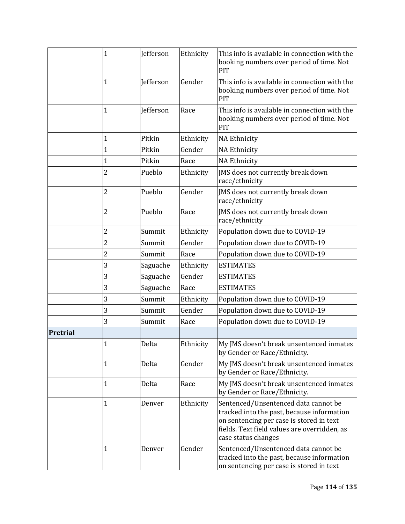|          | $\mathbf{1}$   | Jefferson        | Ethnicity | This info is available in connection with the<br>booking numbers over period of time. Not<br>PIT                                                                                                      |
|----------|----------------|------------------|-----------|-------------------------------------------------------------------------------------------------------------------------------------------------------------------------------------------------------|
|          | $\mathbf{1}$   | Jefferson        | Gender    | This info is available in connection with the<br>booking numbers over period of time. Not<br>PIT                                                                                                      |
|          | $\mathbf{1}$   | <b>Jefferson</b> | Race      | This info is available in connection with the<br>booking numbers over period of time. Not<br>PIT                                                                                                      |
|          | $\mathbf{1}$   | Pitkin           | Ethnicity | <b>NA Ethnicity</b>                                                                                                                                                                                   |
|          | $\mathbf{1}$   | Pitkin           | Gender    | <b>NA Ethnicity</b>                                                                                                                                                                                   |
|          | 1              | Pitkin           | Race      | <b>NA Ethnicity</b>                                                                                                                                                                                   |
|          | $\overline{2}$ | Pueblo           | Ethnicity | JMS does not currently break down<br>race/ethnicity                                                                                                                                                   |
|          | $\overline{2}$ | Pueblo           | Gender    | JMS does not currently break down<br>race/ethnicity                                                                                                                                                   |
|          | 2              | Pueblo           | Race      | JMS does not currently break down<br>race/ethnicity                                                                                                                                                   |
|          | 2              | Summit           | Ethnicity | Population down due to COVID-19                                                                                                                                                                       |
|          | $\overline{c}$ | Summit           | Gender    | Population down due to COVID-19                                                                                                                                                                       |
|          | $\overline{2}$ | Summit           | Race      | Population down due to COVID-19                                                                                                                                                                       |
|          | 3              | Saguache         | Ethnicity | <b>ESTIMATES</b>                                                                                                                                                                                      |
|          | 3              | Saguache         | Gender    | <b>ESTIMATES</b>                                                                                                                                                                                      |
|          | 3              | Saguache         | Race      | <b>ESTIMATES</b>                                                                                                                                                                                      |
|          | 3              | Summit           | Ethnicity | Population down due to COVID-19                                                                                                                                                                       |
|          | 3              | Summit           | Gender    | Population down due to COVID-19                                                                                                                                                                       |
|          | 3              | Summit           | Race      | Population down due to COVID-19                                                                                                                                                                       |
| Pretrial |                |                  |           |                                                                                                                                                                                                       |
|          | $\mathbf{1}$   | Delta            | Ethnicity | My JMS doesn't break unsentenced inmates<br>by Gender or Race/Ethnicity.                                                                                                                              |
|          | $\mathbf{1}$   | Delta            | Gender    | My JMS doesn't break unsentenced inmates<br>by Gender or Race/Ethnicity.                                                                                                                              |
|          | $\mathbf{1}$   | Delta            | Race      | My JMS doesn't break unsentenced inmates<br>by Gender or Race/Ethnicity.                                                                                                                              |
|          | $\mathbf{1}$   | Denver           | Ethnicity | Sentenced/Unsentenced data cannot be<br>tracked into the past, because information<br>on sentencing per case is stored in text<br>fields. Text field values are overridden, as<br>case status changes |
|          | $\mathbf{1}$   | Denver           | Gender    | Sentenced/Unsentenced data cannot be<br>tracked into the past, because information<br>on sentencing per case is stored in text                                                                        |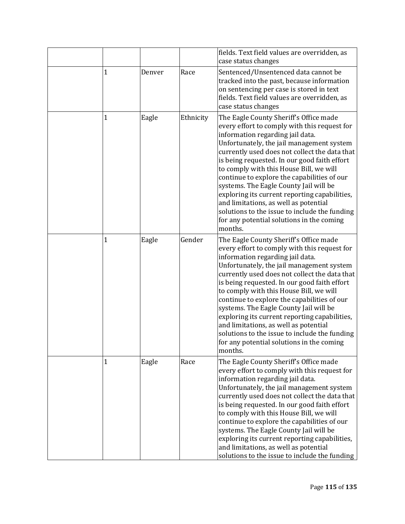|              |        |           | fields. Text field values are overridden, as                                                                                                                                                                                                                                                                                                                                                                                                                                                                                                                                                                    |
|--------------|--------|-----------|-----------------------------------------------------------------------------------------------------------------------------------------------------------------------------------------------------------------------------------------------------------------------------------------------------------------------------------------------------------------------------------------------------------------------------------------------------------------------------------------------------------------------------------------------------------------------------------------------------------------|
|              |        |           | case status changes                                                                                                                                                                                                                                                                                                                                                                                                                                                                                                                                                                                             |
| 1            | Denver | Race      | Sentenced/Unsentenced data cannot be<br>tracked into the past, because information<br>on sentencing per case is stored in text<br>fields. Text field values are overridden, as<br>case status changes                                                                                                                                                                                                                                                                                                                                                                                                           |
| $\mathbf{1}$ | Eagle  | Ethnicity | The Eagle County Sheriff's Office made<br>every effort to comply with this request for<br>information regarding jail data.<br>Unfortunately, the jail management system<br>currently used does not collect the data that<br>is being requested. In our good faith effort<br>to comply with this House Bill, we will<br>continue to explore the capabilities of our<br>systems. The Eagle County Jail will be<br>exploring its current reporting capabilities,<br>and limitations, as well as potential<br>solutions to the issue to include the funding<br>for any potential solutions in the coming<br>months. |
| 1            | Eagle  | Gender    | The Eagle County Sheriff's Office made<br>every effort to comply with this request for<br>information regarding jail data.<br>Unfortunately, the jail management system<br>currently used does not collect the data that<br>is being requested. In our good faith effort<br>to comply with this House Bill, we will<br>continue to explore the capabilities of our<br>systems. The Eagle County Jail will be<br>exploring its current reporting capabilities,<br>and limitations, as well as potential<br>solutions to the issue to include the funding<br>for any potential solutions in the coming<br>months. |
| 1            | Eagle  | Race      | The Eagle County Sheriff's Office made<br>every effort to comply with this request for<br>information regarding jail data.<br>Unfortunately, the jail management system<br>currently used does not collect the data that<br>is being requested. In our good faith effort<br>to comply with this House Bill, we will<br>continue to explore the capabilities of our<br>systems. The Eagle County Jail will be<br>exploring its current reporting capabilities,<br>and limitations, as well as potential<br>solutions to the issue to include the funding                                                         |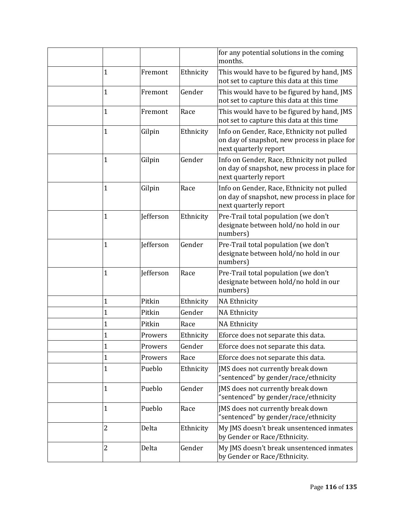|                |           |           | for any potential solutions in the coming<br>months.                                                                |
|----------------|-----------|-----------|---------------------------------------------------------------------------------------------------------------------|
| 1              | Fremont   | Ethnicity | This would have to be figured by hand, JMS<br>not set to capture this data at this time                             |
| $\mathbf 1$    | Fremont   | Gender    | This would have to be figured by hand, JMS<br>not set to capture this data at this time                             |
| $\mathbf{1}$   | Fremont   | Race      | This would have to be figured by hand, JMS<br>not set to capture this data at this time                             |
| $\mathbf{1}$   | Gilpin    | Ethnicity | Info on Gender, Race, Ethnicity not pulled<br>on day of snapshot, new process in place for<br>next quarterly report |
| 1              | Gilpin    | Gender    | Info on Gender, Race, Ethnicity not pulled<br>on day of snapshot, new process in place for<br>next quarterly report |
| $\mathbf{1}$   | Gilpin    | Race      | Info on Gender, Race, Ethnicity not pulled<br>on day of snapshot, new process in place for<br>next quarterly report |
| $\mathbf{1}$   | Jefferson | Ethnicity | Pre-Trail total population (we don't<br>designate between hold/no hold in our<br>numbers)                           |
| $\mathbf{1}$   | Jefferson | Gender    | Pre-Trail total population (we don't<br>designate between hold/no hold in our<br>numbers)                           |
| $\mathbf{1}$   | Jefferson | Race      | Pre-Trail total population (we don't<br>designate between hold/no hold in our<br>numbers)                           |
| $\mathbf{1}$   | Pitkin    | Ethnicity | <b>NA Ethnicity</b>                                                                                                 |
| 1              | Pitkin    | Gender    | <b>NA Ethnicity</b>                                                                                                 |
| $\mathbf{1}$   | Pitkin    | Race      | <b>NA Ethnicity</b>                                                                                                 |
| 1              | Prowers   | Ethnicity | Eforce does not separate this data.                                                                                 |
| 1              | Prowers   | Gender    | Eforce does not separate this data.                                                                                 |
| $\mathbf{1}$   | Prowers   | Race      | Eforce does not separate this data.                                                                                 |
| $\mathbf 1$    | Pueblo    | Ethnicity | JMS does not currently break down<br>"sentenced" by gender/race/ethnicity                                           |
| $\mathbf{1}$   | Pueblo    | Gender    | JMS does not currently break down<br>'sentenced" by gender/race/ethnicity                                           |
| $\mathbf{1}$   | Pueblo    | Race      | JMS does not currently break down<br>"sentenced" by gender/race/ethnicity                                           |
| 2              | Delta     | Ethnicity | My JMS doesn't break unsentenced inmates<br>by Gender or Race/Ethnicity.                                            |
| $\overline{2}$ | Delta     | Gender    | My JMS doesn't break unsentenced inmates<br>by Gender or Race/Ethnicity.                                            |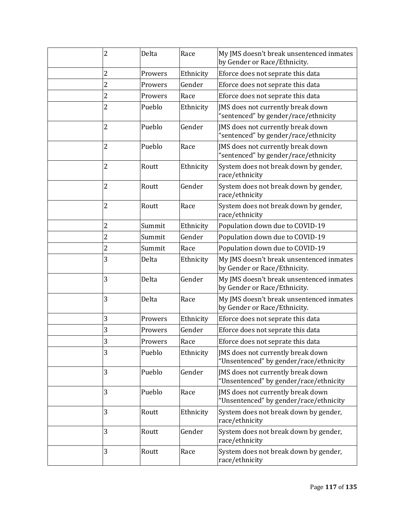| $\overline{2}$ | Delta   | Race      | My JMS doesn't break unsentenced inmates<br>by Gender or Race/Ethnicity.    |
|----------------|---------|-----------|-----------------------------------------------------------------------------|
| 2              | Prowers | Ethnicity | Eforce does not seprate this data                                           |
| 2              | Prowers | Gender    | Eforce does not seprate this data                                           |
| $\overline{c}$ | Prowers | Race      | Eforce does not seprate this data                                           |
| $\overline{2}$ | Pueblo  | Ethnicity | JMS does not currently break down<br>'sentenced" by gender/race/ethnicity   |
| 2              | Pueblo  | Gender    | JMS does not currently break down<br>"sentenced" by gender/race/ethnicity   |
| 2              | Pueblo  | Race      | JMS does not currently break down<br>'sentenced" by gender/race/ethnicity   |
| 2              | Routt   | Ethnicity | System does not break down by gender,<br>race/ethnicity                     |
| $\overline{2}$ | Routt   | Gender    | System does not break down by gender,<br>race/ethnicity                     |
| $\overline{2}$ | Routt   | Race      | System does not break down by gender,<br>race/ethnicity                     |
| 2              | Summit  | Ethnicity | Population down due to COVID-19                                             |
| 2              | Summit  | Gender    | Population down due to COVID-19                                             |
| 2              | Summit  | Race      | Population down due to COVID-19                                             |
| 3              | Delta   | Ethnicity | My JMS doesn't break unsentenced inmates<br>by Gender or Race/Ethnicity.    |
| 3              | Delta   | Gender    | My JMS doesn't break unsentenced inmates<br>by Gender or Race/Ethnicity.    |
| 3              | Delta   | Race      | My JMS doesn't break unsentenced inmates<br>by Gender or Race/Ethnicity.    |
| 3              | Prowers | Ethnicity | Eforce does not seprate this data                                           |
| 3              | Prowers | Gender    | Eforce does not seprate this data                                           |
| 3              | Prowers | Race      | Eforce does not seprate this data                                           |
| 3              | Pueblo  | Ethnicity | JMS does not currently break down<br>"Unsentenced" by gender/race/ethnicity |
| 3              | Pueblo  | Gender    | JMS does not currently break down<br>"Unsentenced" by gender/race/ethnicity |
| 3              | Pueblo  | Race      | JMS does not currently break down<br>"Unsentenced" by gender/race/ethnicity |
| 3              | Routt   | Ethnicity | System does not break down by gender,<br>race/ethnicity                     |
| 3              | Routt   | Gender    | System does not break down by gender,<br>race/ethnicity                     |
| 3              | Routt   | Race      | System does not break down by gender,<br>race/ethnicity                     |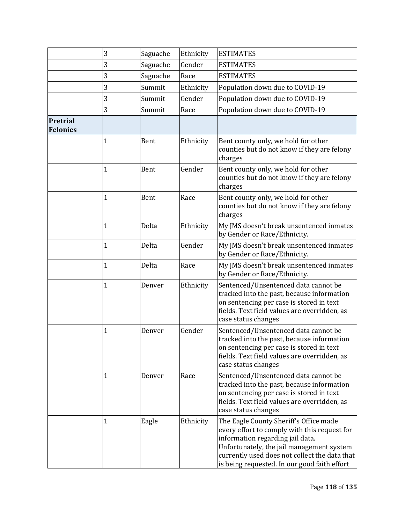|                             | 3              | Saguache | Ethnicity | <b>ESTIMATES</b>                                                                                                                                                                                                                                                         |
|-----------------------------|----------------|----------|-----------|--------------------------------------------------------------------------------------------------------------------------------------------------------------------------------------------------------------------------------------------------------------------------|
|                             | 3              | Saguache | Gender    | <b>ESTIMATES</b>                                                                                                                                                                                                                                                         |
|                             | 3              | Saguache | Race      | <b>ESTIMATES</b>                                                                                                                                                                                                                                                         |
|                             | 3              | Summit   | Ethnicity | Population down due to COVID-19                                                                                                                                                                                                                                          |
|                             | 3              | Summit   | Gender    | Population down due to COVID-19                                                                                                                                                                                                                                          |
|                             | 3              | Summit   | Race      | Population down due to COVID-19                                                                                                                                                                                                                                          |
| Pretrial<br><b>Felonies</b> |                |          |           |                                                                                                                                                                                                                                                                          |
|                             | 1              | Bent     | Ethnicity | Bent county only, we hold for other<br>counties but do not know if they are felony<br>charges                                                                                                                                                                            |
|                             | 1              | Bent     | Gender    | Bent county only, we hold for other<br>counties but do not know if they are felony<br>charges                                                                                                                                                                            |
|                             | 1              | Bent     | Race      | Bent county only, we hold for other<br>counties but do not know if they are felony<br>charges                                                                                                                                                                            |
|                             | 1              | Delta    | Ethnicity | My JMS doesn't break unsentenced inmates<br>by Gender or Race/Ethnicity.                                                                                                                                                                                                 |
|                             | 1              | Delta    | Gender    | My JMS doesn't break unsentenced inmates<br>by Gender or Race/Ethnicity.                                                                                                                                                                                                 |
|                             | 1              | Delta    | Race      | My JMS doesn't break unsentenced inmates<br>by Gender or Race/Ethnicity.                                                                                                                                                                                                 |
|                             | $\overline{1}$ | Denver   | Ethnicity | Sentenced/Unsentenced data cannot be<br>tracked into the past, because information<br>on sentencing per case is stored in text<br>fields. Text field values are overridden, as<br>case status changes                                                                    |
|                             | 1              | Denver   | Gender    | Sentenced/Unsentenced data cannot be<br>tracked into the past, because information<br>on sentencing per case is stored in text<br>fields. Text field values are overridden, as<br>case status changes                                                                    |
|                             | 1              | Denver   | Race      | Sentenced/Unsentenced data cannot be<br>tracked into the past, because information<br>on sentencing per case is stored in text<br>fields. Text field values are overridden, as<br>case status changes                                                                    |
|                             | 1              | Eagle    | Ethnicity | The Eagle County Sheriff's Office made<br>every effort to comply with this request for<br>information regarding jail data.<br>Unfortunately, the jail management system<br>currently used does not collect the data that<br>is being requested. In our good faith effort |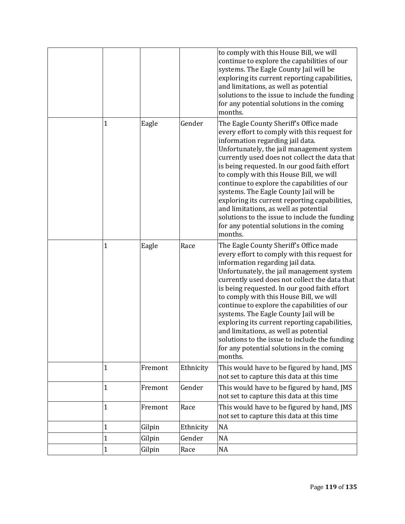|              |         |           | to comply with this House Bill, we will<br>continue to explore the capabilities of our<br>systems. The Eagle County Jail will be<br>exploring its current reporting capabilities,<br>and limitations, as well as potential<br>solutions to the issue to include the funding<br>for any potential solutions in the coming<br>months.                                                                                                                                                                                                                                                                             |
|--------------|---------|-----------|-----------------------------------------------------------------------------------------------------------------------------------------------------------------------------------------------------------------------------------------------------------------------------------------------------------------------------------------------------------------------------------------------------------------------------------------------------------------------------------------------------------------------------------------------------------------------------------------------------------------|
| 1            | Eagle   | Gender    | The Eagle County Sheriff's Office made<br>every effort to comply with this request for<br>information regarding jail data.<br>Unfortunately, the jail management system<br>currently used does not collect the data that<br>is being requested. In our good faith effort<br>to comply with this House Bill, we will<br>continue to explore the capabilities of our<br>systems. The Eagle County Jail will be<br>exploring its current reporting capabilities,<br>and limitations, as well as potential<br>solutions to the issue to include the funding<br>for any potential solutions in the coming<br>months. |
| $\mathbf{1}$ | Eagle   | Race      | The Eagle County Sheriff's Office made<br>every effort to comply with this request for<br>information regarding jail data.<br>Unfortunately, the jail management system<br>currently used does not collect the data that<br>is being requested. In our good faith effort<br>to comply with this House Bill, we will<br>continue to explore the capabilities of our<br>systems. The Eagle County Jail will be<br>exploring its current reporting capabilities,<br>and limitations, as well as potential<br>solutions to the issue to include the funding<br>for any potential solutions in the coming<br>months. |
| $\mathbf{1}$ | Fremont | Ethnicity | This would have to be figured by hand, JMS<br>not set to capture this data at this time                                                                                                                                                                                                                                                                                                                                                                                                                                                                                                                         |
| $\mathbf 1$  | Fremont | Gender    | This would have to be figured by hand, JMS<br>not set to capture this data at this time                                                                                                                                                                                                                                                                                                                                                                                                                                                                                                                         |
| $\mathbf 1$  | Fremont | Race      | This would have to be figured by hand, JMS<br>not set to capture this data at this time                                                                                                                                                                                                                                                                                                                                                                                                                                                                                                                         |
| $\mathbf 1$  | Gilpin  | Ethnicity | <b>NA</b>                                                                                                                                                                                                                                                                                                                                                                                                                                                                                                                                                                                                       |
| 1            | Gilpin  | Gender    | NA                                                                                                                                                                                                                                                                                                                                                                                                                                                                                                                                                                                                              |
| $\mathbf 1$  | Gilpin  | Race      | NA                                                                                                                                                                                                                                                                                                                                                                                                                                                                                                                                                                                                              |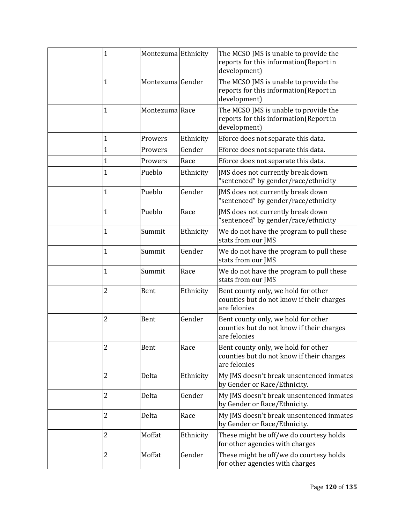| $\mathbf 1$    |                | Montezuma Ethnicity | The MCSO JMS is unable to provide the<br>reports for this information(Report in<br>development)  |
|----------------|----------------|---------------------|--------------------------------------------------------------------------------------------------|
| $\mathbf 1$    |                | Montezuma Gender    | The MCSO JMS is unable to provide the<br>reports for this information(Report in<br>development)  |
| $\mathbf{1}$   | Montezuma Race |                     | The MCSO JMS is unable to provide the<br>reports for this information(Report in<br>development)  |
| 1              | Prowers        | Ethnicity           | Eforce does not separate this data.                                                              |
| 1              | Prowers        | Gender              | Eforce does not separate this data.                                                              |
| 1              | Prowers        | Race                | Eforce does not separate this data.                                                              |
| $\mathbf 1$    | Pueblo         | Ethnicity           | JMS does not currently break down<br>"sentenced" by gender/race/ethnicity                        |
| 1              | Pueblo         | Gender              | JMS does not currently break down<br>"sentenced" by gender/race/ethnicity                        |
| 1              | Pueblo         | Race                | JMS does not currently break down<br>"sentenced" by gender/race/ethnicity                        |
| 1              | Summit         | Ethnicity           | We do not have the program to pull these<br>stats from our JMS                                   |
| 1              | Summit         | Gender              | We do not have the program to pull these<br>stats from our JMS                                   |
| 1              | Summit         | Race                | We do not have the program to pull these<br>stats from our JMS                                   |
| $\overline{c}$ | Bent           | Ethnicity           | Bent county only, we hold for other<br>counties but do not know if their charges<br>are felonies |
| 2              | Bent           | Gender              | Bent county only, we hold for other<br>counties but do not know if their charges<br>are felonies |
| 2              | Bent           | Race                | Bent county only, we hold for other<br>counties but do not know if their charges<br>are felonies |
| 2              | Delta          | Ethnicity           | My JMS doesn't break unsentenced inmates<br>by Gender or Race/Ethnicity.                         |
| 2              | Delta          | Gender              | My JMS doesn't break unsentenced inmates<br>by Gender or Race/Ethnicity.                         |
| 2              | Delta          | Race                | My JMS doesn't break unsentenced inmates<br>by Gender or Race/Ethnicity.                         |
| 2              | Moffat         | Ethnicity           | These might be off/we do courtesy holds<br>for other agencies with charges                       |
| 2              | Moffat         | Gender              | These might be off/we do courtesy holds<br>for other agencies with charges                       |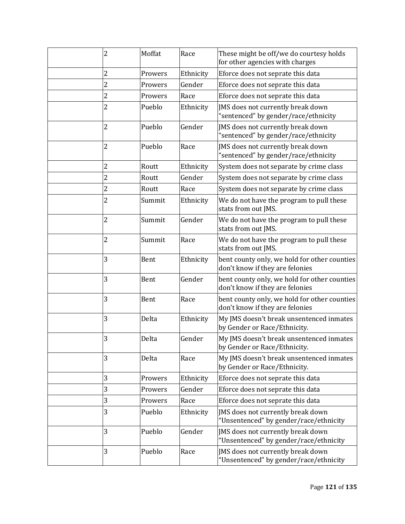| 2              | Moffat  | Race      | These might be off/we do courtesy holds<br>for other agencies with charges      |
|----------------|---------|-----------|---------------------------------------------------------------------------------|
| 2              | Prowers | Ethnicity | Eforce does not seprate this data                                               |
| 2              | Prowers | Gender    | Eforce does not seprate this data                                               |
| $\overline{2}$ | Prowers | Race      | Eforce does not seprate this data                                               |
| 2              | Pueblo  | Ethnicity | JMS does not currently break down<br>"sentenced" by gender/race/ethnicity       |
| $\overline{2}$ | Pueblo  | Gender    | JMS does not currently break down<br>"sentenced" by gender/race/ethnicity       |
| $\overline{2}$ | Pueblo  | Race      | JMS does not currently break down<br>"sentenced" by gender/race/ethnicity       |
| $\overline{c}$ | Routt   | Ethnicity | System does not separate by crime class                                         |
| 2              | Routt   | Gender    | System does not separate by crime class                                         |
| 2              | Routt   | Race      | System does not separate by crime class                                         |
| 2              | Summit  | Ethnicity | We do not have the program to pull these<br>stats from out JMS.                 |
| 2              | Summit  | Gender    | We do not have the program to pull these<br>stats from out JMS.                 |
| 2              | Summit  | Race      | We do not have the program to pull these<br>stats from out JMS.                 |
| 3              | Bent    | Ethnicity | bent county only, we hold for other counties<br>don't know if they are felonies |
| 3              | Bent    | Gender    | bent county only, we hold for other counties<br>don't know if they are felonies |
| 3              | Bent    | Race      | bent county only, we hold for other counties<br>don't know if they are felonies |
| 3              | Delta   | Ethnicity | My JMS doesn't break unsentenced inmates<br>by Gender or Race/Ethnicity.        |
| 3              | Delta   | Gender    | My JMS doesn't break unsentenced inmates<br>by Gender or Race/Ethnicity.        |
| 3              | Delta   | Race      | My JMS doesn't break unsentenced inmates<br>by Gender or Race/Ethnicity.        |
| 3              | Prowers | Ethnicity | Eforce does not seprate this data                                               |
| 3              | Prowers | Gender    | Eforce does not seprate this data                                               |
| 3              | Prowers | Race      | Eforce does not seprate this data                                               |
| 3              | Pueblo  | Ethnicity | JMS does not currently break down<br>"Unsentenced" by gender/race/ethnicity     |
| 3              | Pueblo  | Gender    | JMS does not currently break down<br>"Unsentenced" by gender/race/ethnicity     |
| 3              | Pueblo  | Race      | JMS does not currently break down<br>"Unsentenced" by gender/race/ethnicity     |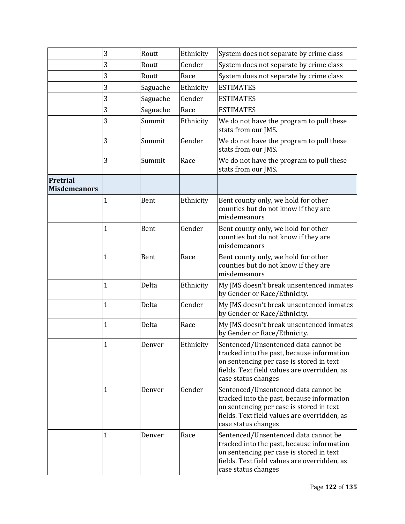|                                 | 3            | Routt    | Ethnicity | System does not separate by crime class                                                                                                                                                               |
|---------------------------------|--------------|----------|-----------|-------------------------------------------------------------------------------------------------------------------------------------------------------------------------------------------------------|
|                                 | 3            | Routt    | Gender    | System does not separate by crime class                                                                                                                                                               |
|                                 | 3            | Routt    | Race      | System does not separate by crime class                                                                                                                                                               |
|                                 | 3            | Saguache | Ethnicity | <b>ESTIMATES</b>                                                                                                                                                                                      |
|                                 | 3            | Saguache | Gender    | <b>ESTIMATES</b>                                                                                                                                                                                      |
|                                 | 3            | Saguache | Race      | <b>ESTIMATES</b>                                                                                                                                                                                      |
|                                 | 3            | Summit   | Ethnicity | We do not have the program to pull these<br>stats from our JMS.                                                                                                                                       |
|                                 | 3            | Summit   | Gender    | We do not have the program to pull these<br>stats from our JMS.                                                                                                                                       |
|                                 | 3            | Summit   | Race      | We do not have the program to pull these<br>stats from our JMS.                                                                                                                                       |
| Pretrial<br><b>Misdemeanors</b> |              |          |           |                                                                                                                                                                                                       |
|                                 | 1            | Bent     | Ethnicity | Bent county only, we hold for other<br>counties but do not know if they are<br>misdemeanors                                                                                                           |
|                                 | $\mathbf{1}$ | Bent     | Gender    | Bent county only, we hold for other<br>counties but do not know if they are<br>misdemeanors                                                                                                           |
|                                 | 1            | Bent     | Race      | Bent county only, we hold for other<br>counties but do not know if they are<br>misdemeanors                                                                                                           |
|                                 | $\mathbf{1}$ | Delta    | Ethnicity | My JMS doesn't break unsentenced inmates<br>by Gender or Race/Ethnicity.                                                                                                                              |
|                                 | 1            | Delta    | Gender    | My JMS doesn't break unsentenced inmates<br>by Gender or Race/Ethnicity.                                                                                                                              |
|                                 | $\mathbf{1}$ | Delta    | Race      | My JMS doesn't break unsentenced inmates<br>by Gender or Race/Ethnicity.                                                                                                                              |
|                                 | $\mathbf{1}$ | Denver   | Ethnicity | Sentenced/Unsentenced data cannot be<br>tracked into the past, because information<br>on sentencing per case is stored in text<br>fields. Text field values are overridden, as<br>case status changes |
|                                 | 1            | Denver   | Gender    | Sentenced/Unsentenced data cannot be<br>tracked into the past, because information<br>on sentencing per case is stored in text<br>fields. Text field values are overridden, as<br>case status changes |
|                                 | 1            | Denver   | Race      | Sentenced/Unsentenced data cannot be<br>tracked into the past, because information<br>on sentencing per case is stored in text<br>fields. Text field values are overridden, as<br>case status changes |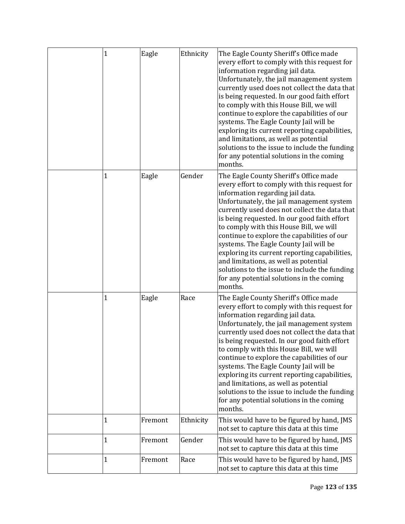| $\mathbf 1$ | Eagle   | Ethnicity | The Eagle County Sheriff's Office made<br>every effort to comply with this request for<br>information regarding jail data.<br>Unfortunately, the jail management system<br>currently used does not collect the data that<br>is being requested. In our good faith effort<br>to comply with this House Bill, we will<br>continue to explore the capabilities of our<br>systems. The Eagle County Jail will be<br>exploring its current reporting capabilities,<br>and limitations, as well as potential<br>solutions to the issue to include the funding<br>for any potential solutions in the coming<br>months. |
|-------------|---------|-----------|-----------------------------------------------------------------------------------------------------------------------------------------------------------------------------------------------------------------------------------------------------------------------------------------------------------------------------------------------------------------------------------------------------------------------------------------------------------------------------------------------------------------------------------------------------------------------------------------------------------------|
| 1           | Eagle   | Gender    | The Eagle County Sheriff's Office made<br>every effort to comply with this request for<br>information regarding jail data.<br>Unfortunately, the jail management system<br>currently used does not collect the data that<br>is being requested. In our good faith effort<br>to comply with this House Bill, we will<br>continue to explore the capabilities of our<br>systems. The Eagle County Jail will be<br>exploring its current reporting capabilities,<br>and limitations, as well as potential<br>solutions to the issue to include the funding<br>for any potential solutions in the coming<br>months. |
| 1           | Eagle   | Race      | The Eagle County Sheriff's Office made<br>every effort to comply with this request for<br>information regarding jail data.<br>Unfortunately, the jail management system<br>currently used does not collect the data that<br>is being requested. In our good faith effort<br>to comply with this House Bill, we will<br>continue to explore the capabilities of our<br>systems. The Eagle County Jail will be<br>exploring its current reporting capabilities,<br>and limitations, as well as potential<br>solutions to the issue to include the funding<br>for any potential solutions in the coming<br>months. |
| 1           | Fremont | Ethnicity | This would have to be figured by hand, JMS<br>not set to capture this data at this time                                                                                                                                                                                                                                                                                                                                                                                                                                                                                                                         |
| 1           | Fremont | Gender    | This would have to be figured by hand, JMS<br>not set to capture this data at this time                                                                                                                                                                                                                                                                                                                                                                                                                                                                                                                         |
| 1           | Fremont | Race      | This would have to be figured by hand, JMS<br>not set to capture this data at this time                                                                                                                                                                                                                                                                                                                                                                                                                                                                                                                         |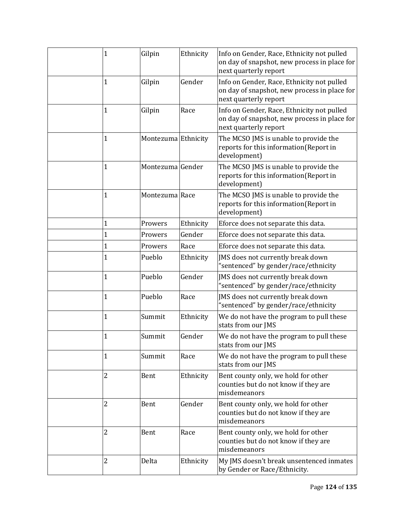| $\mathbf 1$    | Gilpin              | Ethnicity | Info on Gender, Race, Ethnicity not pulled<br>on day of snapshot, new process in place for<br>next quarterly report |
|----------------|---------------------|-----------|---------------------------------------------------------------------------------------------------------------------|
| 1              | Gilpin              | Gender    | Info on Gender, Race, Ethnicity not pulled<br>on day of snapshot, new process in place for<br>next quarterly report |
| 1              | Gilpin              | Race      | Info on Gender, Race, Ethnicity not pulled<br>on day of snapshot, new process in place for<br>next quarterly report |
| 1              | Montezuma Ethnicity |           | The MCSO JMS is unable to provide the<br>reports for this information(Report in<br>development)                     |
| $\mathbf 1$    | Montezuma Gender    |           | The MCSO JMS is unable to provide the<br>reports for this information(Report in<br>development)                     |
| 1              | Montezuma Race      |           | The MCSO JMS is unable to provide the<br>reports for this information(Report in<br>development)                     |
| 1              | Prowers             | Ethnicity | Eforce does not separate this data.                                                                                 |
| $\mathbf 1$    | Prowers             | Gender    | Eforce does not separate this data.                                                                                 |
| 1              | Prowers             | Race      | Eforce does not separate this data.                                                                                 |
| 1              | Pueblo              | Ethnicity | JMS does not currently break down<br>"sentenced" by gender/race/ethnicity                                           |
| $\mathbf 1$    | Pueblo              | Gender    | JMS does not currently break down<br>"sentenced" by gender/race/ethnicity                                           |
| 1              | Pueblo              | Race      | JMS does not currently break down<br>"sentenced" by gender/race/ethnicity                                           |
| 1              | Summit              | Ethnicity | We do not have the program to pull these<br>stats from our JMS                                                      |
| 1              | Summit              | Gender    | We do not have the program to pull these<br>stats from our JMS                                                      |
| 1              | Summit              | Race      | We do not have the program to pull these<br>stats from our JMS                                                      |
| $\overline{2}$ | Bent                | Ethnicity | Bent county only, we hold for other<br>counties but do not know if they are<br>misdemeanors                         |
| $\overline{2}$ | Bent                | Gender    | Bent county only, we hold for other<br>counties but do not know if they are<br>misdemeanors                         |
| 2              | Bent                | Race      | Bent county only, we hold for other<br>counties but do not know if they are<br>misdemeanors                         |
| 2              | Delta               | Ethnicity | My JMS doesn't break unsentenced inmates<br>by Gender or Race/Ethnicity.                                            |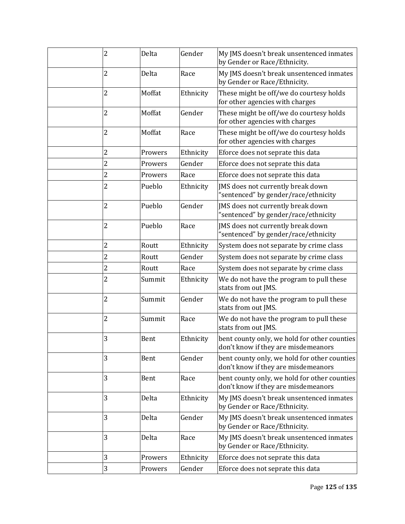| 2              | Delta   | Gender    | My JMS doesn't break unsentenced inmates<br>by Gender or Race/Ethnicity.            |
|----------------|---------|-----------|-------------------------------------------------------------------------------------|
| 2              | Delta   | Race      | My JMS doesn't break unsentenced inmates<br>by Gender or Race/Ethnicity.            |
| 2              | Moffat  | Ethnicity | These might be off/we do courtesy holds<br>for other agencies with charges          |
| 2              | Moffat  | Gender    | These might be off/we do courtesy holds<br>for other agencies with charges          |
| 2              | Moffat  | Race      | These might be off/we do courtesy holds<br>for other agencies with charges          |
| 2              | Prowers | Ethnicity | Eforce does not seprate this data                                                   |
| 2              | Prowers | Gender    | Eforce does not seprate this data                                                   |
| $\overline{c}$ | Prowers | Race      | Eforce does not seprate this data                                                   |
| 2              | Pueblo  | Ethnicity | JMS does not currently break down<br>"sentenced" by gender/race/ethnicity           |
| 2              | Pueblo  | Gender    | JMS does not currently break down<br>"sentenced" by gender/race/ethnicity           |
| 2              | Pueblo  | Race      | JMS does not currently break down<br>"sentenced" by gender/race/ethnicity           |
| 2              | Routt   | Ethnicity | System does not separate by crime class                                             |
| 2              | Routt   | Gender    | System does not separate by crime class                                             |
| 2              | Routt   | Race      | System does not separate by crime class                                             |
| 2              | Summit  | Ethnicity | We do not have the program to pull these<br>stats from out JMS.                     |
| 2              | Summit  | Gender    | We do not have the program to pull these<br>stats from out JMS.                     |
| 2              | Summit  | Race      | We do not have the program to pull these<br>stats from out JMS.                     |
| 3              | Bent    | Ethnicity | bent county only, we hold for other counties<br>don't know if they are misdemeanors |
| 3              | Bent    | Gender    | bent county only, we hold for other counties<br>don't know if they are misdemeanors |
| 3              | Bent    | Race      | bent county only, we hold for other counties<br>don't know if they are misdemeanors |
| 3              | Delta   | Ethnicity | My JMS doesn't break unsentenced inmates<br>by Gender or Race/Ethnicity.            |
| 3              | Delta   | Gender    | My JMS doesn't break unsentenced inmates<br>by Gender or Race/Ethnicity.            |
| 3              | Delta   | Race      | My JMS doesn't break unsentenced inmates<br>by Gender or Race/Ethnicity.            |
| 3              | Prowers | Ethnicity | Eforce does not seprate this data                                                   |
| 3              | Prowers | Gender    | Eforce does not seprate this data                                                   |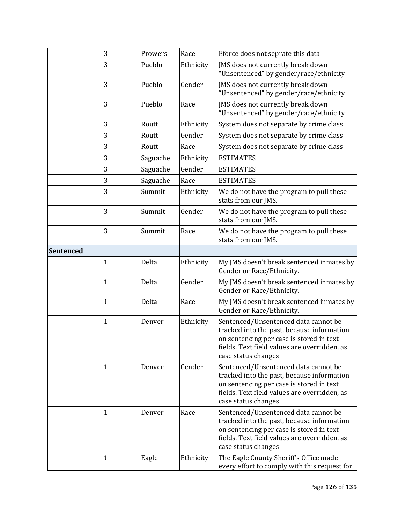|           | 3            | Prowers  | Race      | Eforce does not seprate this data                                                                                                                                                                     |
|-----------|--------------|----------|-----------|-------------------------------------------------------------------------------------------------------------------------------------------------------------------------------------------------------|
|           | 3            | Pueblo   | Ethnicity | JMS does not currently break down<br>"Unsentenced" by gender/race/ethnicity                                                                                                                           |
|           | 3            | Pueblo   | Gender    | JMS does not currently break down<br>"Unsentenced" by gender/race/ethnicity                                                                                                                           |
|           | 3            | Pueblo   | Race      | JMS does not currently break down<br>"Unsentenced" by gender/race/ethnicity                                                                                                                           |
|           | 3            | Routt    | Ethnicity | System does not separate by crime class                                                                                                                                                               |
|           | 3            | Routt    | Gender    | System does not separate by crime class                                                                                                                                                               |
|           | 3            | Routt    | Race      | System does not separate by crime class                                                                                                                                                               |
|           | 3            | Saguache | Ethnicity | <b>ESTIMATES</b>                                                                                                                                                                                      |
|           | 3            | Saguache | Gender    | <b>ESTIMATES</b>                                                                                                                                                                                      |
|           | 3            | Saguache | Race      | <b>ESTIMATES</b>                                                                                                                                                                                      |
|           | 3            | Summit   | Ethnicity | We do not have the program to pull these<br>stats from our JMS.                                                                                                                                       |
|           | 3            | Summit   | Gender    | We do not have the program to pull these<br>stats from our JMS.                                                                                                                                       |
|           | 3            | Summit   | Race      | We do not have the program to pull these<br>stats from our JMS.                                                                                                                                       |
| Sentenced |              |          |           |                                                                                                                                                                                                       |
|           | 1            | Delta    | Ethnicity | My JMS doesn't break sentenced inmates by<br>Gender or Race/Ethnicity.                                                                                                                                |
|           | 1            | Delta    | Gender    | My JMS doesn't break sentenced inmates by<br>Gender or Race/Ethnicity.                                                                                                                                |
|           | $\mathbf{1}$ | Delta    | Race      | My JMS doesn't break sentenced inmates by<br>Gender or Race/Ethnicity.                                                                                                                                |
|           | 1            | Denver   | Ethnicity | Sentenced/Unsentenced data cannot be<br>tracked into the past, because information<br>on sentencing per case is stored in text<br>fields. Text field values are overridden, as<br>case status changes |
|           | $\mathbf{1}$ | Denver   | Gender    | Sentenced/Unsentenced data cannot be<br>tracked into the past, because information<br>on sentencing per case is stored in text<br>fields. Text field values are overridden, as<br>case status changes |
|           | 1            | Denver   | Race      | Sentenced/Unsentenced data cannot be<br>tracked into the past, because information<br>on sentencing per case is stored in text<br>fields. Text field values are overridden, as<br>case status changes |
|           | 1            | Eagle    | Ethnicity | The Eagle County Sheriff's Office made<br>every effort to comply with this request for                                                                                                                |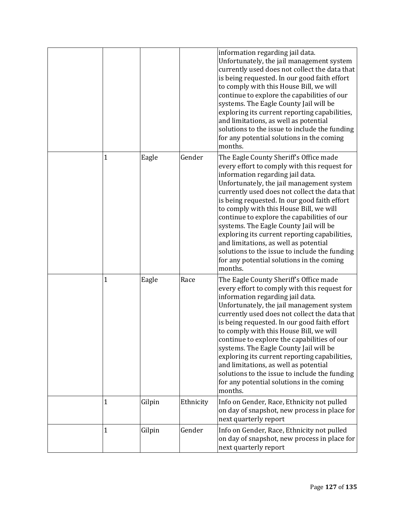|   |        |           | information regarding jail data.<br>Unfortunately, the jail management system<br>currently used does not collect the data that<br>is being requested. In our good faith effort<br>to comply with this House Bill, we will<br>continue to explore the capabilities of our<br>systems. The Eagle County Jail will be<br>exploring its current reporting capabilities,<br>and limitations, as well as potential<br>solutions to the issue to include the funding<br>for any potential solutions in the coming<br>months.                                                                                           |
|---|--------|-----------|-----------------------------------------------------------------------------------------------------------------------------------------------------------------------------------------------------------------------------------------------------------------------------------------------------------------------------------------------------------------------------------------------------------------------------------------------------------------------------------------------------------------------------------------------------------------------------------------------------------------|
| 1 | Eagle  | Gender    | The Eagle County Sheriff's Office made<br>every effort to comply with this request for<br>information regarding jail data.<br>Unfortunately, the jail management system<br>currently used does not collect the data that<br>is being requested. In our good faith effort<br>to comply with this House Bill, we will<br>continue to explore the capabilities of our<br>systems. The Eagle County Jail will be<br>exploring its current reporting capabilities,<br>and limitations, as well as potential<br>solutions to the issue to include the funding<br>for any potential solutions in the coming<br>months. |
| 1 | Eagle  | Race      | The Eagle County Sheriff's Office made<br>every effort to comply with this request for<br>information regarding jail data.<br>Unfortunately, the jail management system<br>currently used does not collect the data that<br>is being requested. In our good faith effort<br>to comply with this House Bill, we will<br>continue to explore the capabilities of our<br>systems. The Eagle County Jail will be<br>exploring its current reporting capabilities,<br>and limitations, as well as potential<br>solutions to the issue to include the funding<br>for any potential solutions in the coming<br>months. |
| 1 | Gilpin | Ethnicity | Info on Gender, Race, Ethnicity not pulled<br>on day of snapshot, new process in place for<br>next quarterly report                                                                                                                                                                                                                                                                                                                                                                                                                                                                                             |
| 1 | Gilpin | Gender    | Info on Gender, Race, Ethnicity not pulled<br>on day of snapshot, new process in place for<br>next quarterly report                                                                                                                                                                                                                                                                                                                                                                                                                                                                                             |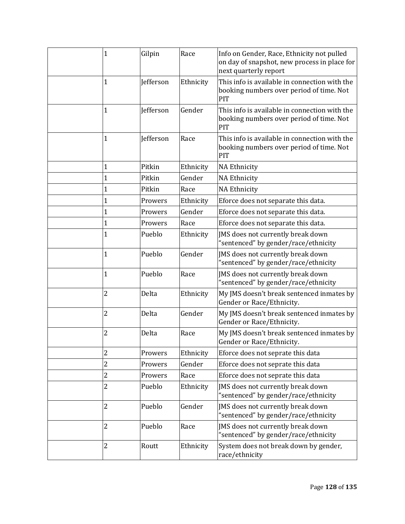| 1              | Gilpin           | Race      | Info on Gender, Race, Ethnicity not pulled<br>on day of snapshot, new process in place for<br>next quarterly report |
|----------------|------------------|-----------|---------------------------------------------------------------------------------------------------------------------|
| $\mathbf{1}$   | Jefferson        | Ethnicity | This info is available in connection with the<br>booking numbers over period of time. Not<br>PIT                    |
| $\mathbf{1}$   | Jefferson        | Gender    | This info is available in connection with the<br>booking numbers over period of time. Not<br>PIT                    |
| 1              | <b>Jefferson</b> | Race      | This info is available in connection with the<br>booking numbers over period of time. Not<br>PIT                    |
| 1              | Pitkin           | Ethnicity | <b>NA Ethnicity</b>                                                                                                 |
| 1              | Pitkin           | Gender    | <b>NA Ethnicity</b>                                                                                                 |
| $\mathbf{1}$   | Pitkin           | Race      | <b>NA Ethnicity</b>                                                                                                 |
| 1              | Prowers          | Ethnicity | Eforce does not separate this data.                                                                                 |
| $\mathbf{1}$   | Prowers          | Gender    | Eforce does not separate this data.                                                                                 |
| $\mathbf{1}$   | Prowers          | Race      | Eforce does not separate this data.                                                                                 |
| 1              | Pueblo           | Ethnicity | JMS does not currently break down<br>"sentenced" by gender/race/ethnicity                                           |
| $\mathbf{1}$   | Pueblo           | Gender    | JMS does not currently break down<br>"sentenced" by gender/race/ethnicity                                           |
| $\mathbf 1$    | Pueblo           | Race      | JMS does not currently break down<br>"sentenced" by gender/race/ethnicity                                           |
| $\overline{2}$ | Delta            | Ethnicity | My JMS doesn't break sentenced inmates by<br>Gender or Race/Ethnicity.                                              |
| $\overline{2}$ | Delta            | Gender    | My JMS doesn't break sentenced inmates by<br>Gender or Race/Ethnicity.                                              |
| $\overline{c}$ | Delta            | Race      | My JMS doesn't break sentenced inmates by<br>Gender or Race/Ethnicity.                                              |
| $\overline{c}$ | Prowers          | Ethnicity | Eforce does not seprate this data                                                                                   |
| $\overline{c}$ | Prowers          | Gender    | Eforce does not seprate this data                                                                                   |
| $\overline{c}$ | Prowers          | Race      | Eforce does not seprate this data                                                                                   |
| $\overline{c}$ | Pueblo           | Ethnicity | JMS does not currently break down<br>"sentenced" by gender/race/ethnicity                                           |
| $\overline{2}$ | Pueblo           | Gender    | JMS does not currently break down<br>"sentenced" by gender/race/ethnicity                                           |
| $\overline{2}$ | Pueblo           | Race      | JMS does not currently break down<br>"sentenced" by gender/race/ethnicity                                           |
| $\overline{c}$ | Routt            | Ethnicity | System does not break down by gender,<br>race/ethnicity                                                             |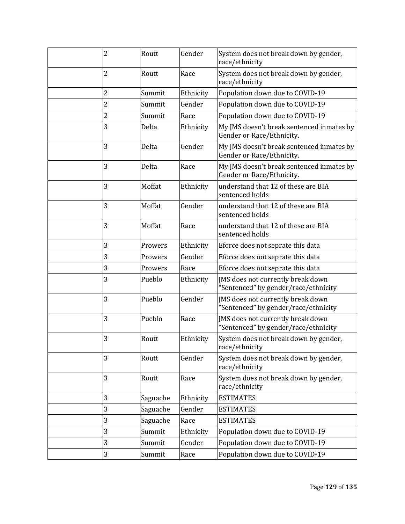| 2 | Routt    | Gender    | System does not break down by gender,<br>race/ethnicity                   |
|---|----------|-----------|---------------------------------------------------------------------------|
| 2 | Routt    | Race      | System does not break down by gender,<br>race/ethnicity                   |
| 2 | Summit   | Ethnicity | Population down due to COVID-19                                           |
| 2 | Summit   | Gender    | Population down due to COVID-19                                           |
| 2 | Summit   | Race      | Population down due to COVID-19                                           |
| 3 | Delta    | Ethnicity | My JMS doesn't break sentenced inmates by<br>Gender or Race/Ethnicity.    |
| 3 | Delta    | Gender    | My JMS doesn't break sentenced inmates by<br>Gender or Race/Ethnicity.    |
| 3 | Delta    | Race      | My JMS doesn't break sentenced inmates by<br>Gender or Race/Ethnicity.    |
| 3 | Moffat   | Ethnicity | understand that 12 of these are BIA<br>sentenced holds                    |
| 3 | Moffat   | Gender    | understand that 12 of these are BIA<br>sentenced holds                    |
| 3 | Moffat   | Race      | understand that 12 of these are BIA<br>sentenced holds                    |
| 3 | Prowers  | Ethnicity | Eforce does not seprate this data                                         |
| 3 | Prowers  | Gender    | Eforce does not seprate this data                                         |
| 3 | Prowers  | Race      | Eforce does not seprate this data                                         |
| 3 | Pueblo   | Ethnicity | JMS does not currently break down<br>"Sentenced" by gender/race/ethnicity |
| 3 | Pueblo   | Gender    | JMS does not currently break down<br>"Sentenced" by gender/race/ethnicity |
| 3 | Pueblo   | Race      | JMS does not currently break down<br>"Sentenced" by gender/race/ethnicity |
| 3 | Routt    | Ethnicity | System does not break down by gender,<br>race/ethnicity                   |
| 3 | Routt    | Gender    | System does not break down by gender,<br>race/ethnicity                   |
| 3 | Routt    | Race      | System does not break down by gender,<br>race/ethnicity                   |
| 3 | Saguache | Ethnicity | <b>ESTIMATES</b>                                                          |
| 3 | Saguache | Gender    | <b>ESTIMATES</b>                                                          |
| 3 | Saguache | Race      | <b>ESTIMATES</b>                                                          |
| 3 | Summit   | Ethnicity | Population down due to COVID-19                                           |
| 3 | Summit   | Gender    | Population down due to COVID-19                                           |
| 3 | Summit   | Race      | Population down due to COVID-19                                           |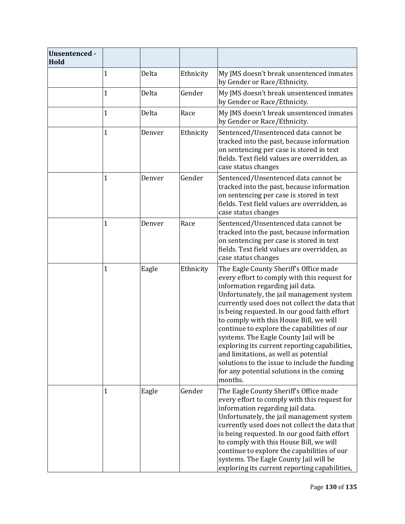| <b>Unsentenced -</b><br>Hold |              |        |           |                                                                                                                                                                                                                                                                                                                                                                                                                                                                                                                                                                                                                 |
|------------------------------|--------------|--------|-----------|-----------------------------------------------------------------------------------------------------------------------------------------------------------------------------------------------------------------------------------------------------------------------------------------------------------------------------------------------------------------------------------------------------------------------------------------------------------------------------------------------------------------------------------------------------------------------------------------------------------------|
|                              | 1            | Delta  | Ethnicity | My JMS doesn't break unsentenced inmates<br>by Gender or Race/Ethnicity.                                                                                                                                                                                                                                                                                                                                                                                                                                                                                                                                        |
|                              | $\mathbf 1$  | Delta  | Gender    | My JMS doesn't break unsentenced inmates<br>by Gender or Race/Ethnicity.                                                                                                                                                                                                                                                                                                                                                                                                                                                                                                                                        |
|                              | $\mathbf 1$  | Delta  | Race      | My JMS doesn't break unsentenced inmates<br>by Gender or Race/Ethnicity.                                                                                                                                                                                                                                                                                                                                                                                                                                                                                                                                        |
|                              | $\mathbf 1$  | Denver | Ethnicity | Sentenced/Unsentenced data cannot be<br>tracked into the past, because information<br>on sentencing per case is stored in text<br>fields. Text field values are overridden, as<br>case status changes                                                                                                                                                                                                                                                                                                                                                                                                           |
|                              | 1            | Denver | Gender    | Sentenced/Unsentenced data cannot be<br>tracked into the past, because information<br>on sentencing per case is stored in text<br>fields. Text field values are overridden, as<br>case status changes                                                                                                                                                                                                                                                                                                                                                                                                           |
|                              | 1            | Denver | Race      | Sentenced/Unsentenced data cannot be<br>tracked into the past, because information<br>on sentencing per case is stored in text<br>fields. Text field values are overridden, as<br>case status changes                                                                                                                                                                                                                                                                                                                                                                                                           |
|                              | $\mathbf{1}$ | Eagle  | Ethnicity | The Eagle County Sheriff's Office made<br>every effort to comply with this request for<br>information regarding jail data.<br>Unfortunately, the jail management system<br>currently used does not collect the data that<br>is being requested. In our good faith effort<br>to comply with this House Bill, we will<br>continue to explore the capabilities of our<br>systems. The Eagle County Jail will be<br>exploring its current reporting capabilities,<br>and limitations, as well as potential<br>solutions to the issue to include the funding<br>for any potential solutions in the coming<br>months. |
|                              | 1            | Eagle  | Gender    | The Eagle County Sheriff's Office made<br>every effort to comply with this request for<br>information regarding jail data.<br>Unfortunately, the jail management system<br>currently used does not collect the data that<br>is being requested. In our good faith effort<br>to comply with this House Bill, we will<br>continue to explore the capabilities of our<br>systems. The Eagle County Jail will be<br>exploring its current reporting capabilities,                                                                                                                                                   |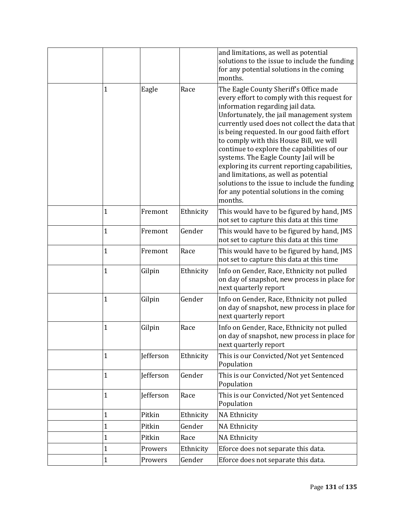|              |           |           | and limitations, as well as potential<br>solutions to the issue to include the funding<br>for any potential solutions in the coming<br>months.                                                                                                                                                                                                                                                                                                                                                                                                                                                                  |
|--------------|-----------|-----------|-----------------------------------------------------------------------------------------------------------------------------------------------------------------------------------------------------------------------------------------------------------------------------------------------------------------------------------------------------------------------------------------------------------------------------------------------------------------------------------------------------------------------------------------------------------------------------------------------------------------|
| 1            | Eagle     | Race      | The Eagle County Sheriff's Office made<br>every effort to comply with this request for<br>information regarding jail data.<br>Unfortunately, the jail management system<br>currently used does not collect the data that<br>is being requested. In our good faith effort<br>to comply with this House Bill, we will<br>continue to explore the capabilities of our<br>systems. The Eagle County Jail will be<br>exploring its current reporting capabilities,<br>and limitations, as well as potential<br>solutions to the issue to include the funding<br>for any potential solutions in the coming<br>months. |
| 1            | Fremont   | Ethnicity | This would have to be figured by hand, JMS<br>not set to capture this data at this time                                                                                                                                                                                                                                                                                                                                                                                                                                                                                                                         |
| 1            | Fremont   | Gender    | This would have to be figured by hand, JMS<br>not set to capture this data at this time                                                                                                                                                                                                                                                                                                                                                                                                                                                                                                                         |
| 1            | Fremont   | Race      | This would have to be figured by hand, JMS<br>not set to capture this data at this time                                                                                                                                                                                                                                                                                                                                                                                                                                                                                                                         |
| 1            | Gilpin    | Ethnicity | Info on Gender, Race, Ethnicity not pulled<br>on day of snapshot, new process in place for<br>next quarterly report                                                                                                                                                                                                                                                                                                                                                                                                                                                                                             |
| 1            | Gilpin    | Gender    | Info on Gender, Race, Ethnicity not pulled<br>on day of snapshot, new process in place for<br>next quarterly report                                                                                                                                                                                                                                                                                                                                                                                                                                                                                             |
| 1            | Gilpin    | Race      | Info on Gender, Race, Ethnicity not pulled<br>on day of snapshot, new process in place for<br>next quarterly report                                                                                                                                                                                                                                                                                                                                                                                                                                                                                             |
| 1            | Jefferson | Ethnicity | This is our Convicted/Not yet Sentenced<br>Population                                                                                                                                                                                                                                                                                                                                                                                                                                                                                                                                                           |
| $\mathbf{1}$ | Jefferson | Gender    | This is our Convicted/Not yet Sentenced<br>Population                                                                                                                                                                                                                                                                                                                                                                                                                                                                                                                                                           |
| $\mathbf{1}$ | Jefferson | Race      | This is our Convicted/Not yet Sentenced<br>Population                                                                                                                                                                                                                                                                                                                                                                                                                                                                                                                                                           |
| 1            | Pitkin    | Ethnicity | <b>NA Ethnicity</b>                                                                                                                                                                                                                                                                                                                                                                                                                                                                                                                                                                                             |
| $\mathbf 1$  | Pitkin    | Gender    | <b>NA Ethnicity</b>                                                                                                                                                                                                                                                                                                                                                                                                                                                                                                                                                                                             |
| 1            | Pitkin    | Race      | <b>NA Ethnicity</b>                                                                                                                                                                                                                                                                                                                                                                                                                                                                                                                                                                                             |
| 1            | Prowers   | Ethnicity | Eforce does not separate this data.                                                                                                                                                                                                                                                                                                                                                                                                                                                                                                                                                                             |
| $\mathbf 1$  | Prowers   | Gender    | Eforce does not separate this data.                                                                                                                                                                                                                                                                                                                                                                                                                                                                                                                                                                             |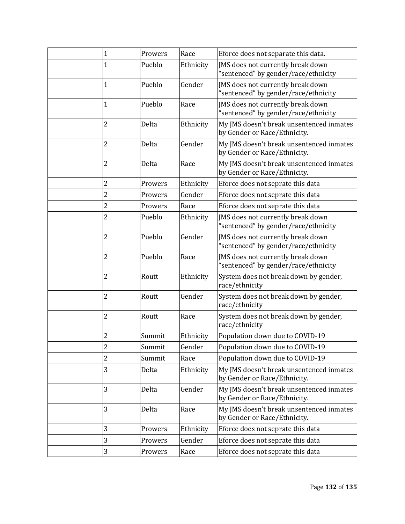| $\mathbf{1}$   | Prowers | Race      | Eforce does not separate this data.                                       |
|----------------|---------|-----------|---------------------------------------------------------------------------|
| 1              | Pueblo  | Ethnicity | JMS does not currently break down<br>"sentenced" by gender/race/ethnicity |
| $\mathbf 1$    | Pueblo  | Gender    | JMS does not currently break down<br>"sentenced" by gender/race/ethnicity |
| 1              | Pueblo  | Race      | JMS does not currently break down<br>"sentenced" by gender/race/ethnicity |
| 2              | Delta   | Ethnicity | My JMS doesn't break unsentenced inmates<br>by Gender or Race/Ethnicity.  |
| 2              | Delta   | Gender    | My JMS doesn't break unsentenced inmates<br>by Gender or Race/Ethnicity.  |
| 2              | Delta   | Race      | My JMS doesn't break unsentenced inmates<br>by Gender or Race/Ethnicity.  |
| 2              | Prowers | Ethnicity | Eforce does not seprate this data                                         |
| $\overline{c}$ | Prowers | Gender    | Eforce does not seprate this data                                         |
| 2              | Prowers | Race      | Eforce does not seprate this data                                         |
| 2              | Pueblo  | Ethnicity | JMS does not currently break down<br>"sentenced" by gender/race/ethnicity |
| $\overline{c}$ | Pueblo  | Gender    | JMS does not currently break down<br>"sentenced" by gender/race/ethnicity |
| 2              | Pueblo  | Race      | JMS does not currently break down<br>"sentenced" by gender/race/ethnicity |
| 2              | Routt   | Ethnicity | System does not break down by gender,<br>race/ethnicity                   |
| 2              | Routt   | Gender    | System does not break down by gender,<br>race/ethnicity                   |
| 2              | Routt   | Race      | System does not break down by gender,<br>race/ethnicity                   |
| 2              | Summit  | Ethnicity | Population down due to COVID-19                                           |
| 2              | Summit  | Gender    | Population down due to COVID-19                                           |
| 2              | Summit  | Race      | Population down due to COVID-19                                           |
| 3              | Delta   | Ethnicity | My JMS doesn't break unsentenced inmates<br>by Gender or Race/Ethnicity.  |
| 3              | Delta   | Gender    | My JMS doesn't break unsentenced inmates<br>by Gender or Race/Ethnicity.  |
| 3              | Delta   | Race      | My JMS doesn't break unsentenced inmates<br>by Gender or Race/Ethnicity.  |
| 3              | Prowers | Ethnicity | Eforce does not seprate this data                                         |
| 3              | Prowers | Gender    | Eforce does not seprate this data                                         |
| 3              | Prowers | Race      | Eforce does not seprate this data                                         |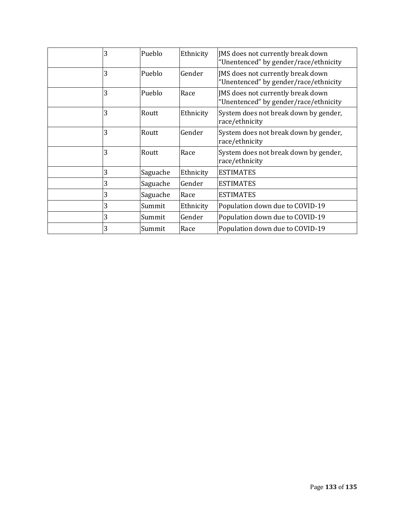| 3 | Pueblo   | Ethnicity | JMS does not currently break down<br>"Unentenced" by gender/race/ethnicity |
|---|----------|-----------|----------------------------------------------------------------------------|
| 3 | Pueblo   | Gender    | JMS does not currently break down<br>"Unentenced" by gender/race/ethnicity |
| 3 | Pueblo   | Race      | JMS does not currently break down<br>"Unentenced" by gender/race/ethnicity |
| 3 | Routt    | Ethnicity | System does not break down by gender,<br>race/ethnicity                    |
| 3 | Routt    | Gender    | System does not break down by gender,<br>race/ethnicity                    |
| 3 | Routt    | Race      | System does not break down by gender,<br>race/ethnicity                    |
| 3 | Saguache | Ethnicity | <b>ESTIMATES</b>                                                           |
| 3 | Saguache | Gender    | <b>ESTIMATES</b>                                                           |
| 3 | Saguache | Race      | <b>ESTIMATES</b>                                                           |
| 3 | Summit   | Ethnicity | Population down due to COVID-19                                            |
| 3 | Summit   | Gender    | Population down due to COVID-19                                            |
| 3 | Summit   | Race      | Population down due to COVID-19                                            |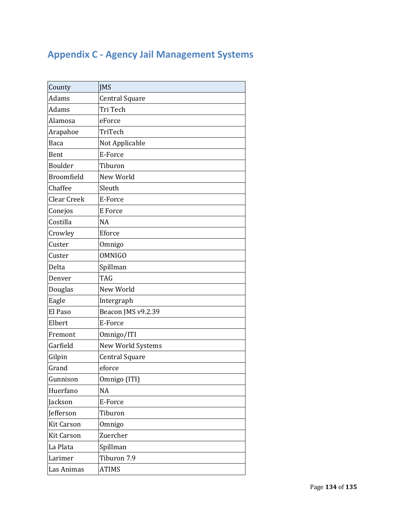## **Appendix C ‐ Agency Jail Management Systems**

| County            | <b>JMS</b>            |  |  |
|-------------------|-----------------------|--|--|
| Adams             | <b>Central Square</b> |  |  |
| Adams             | Tri Tech              |  |  |
| Alamosa           | eForce                |  |  |
| Arapahoe          | TriTech               |  |  |
| Baca              | Not Applicable        |  |  |
| Bent              | E-Force               |  |  |
| <b>Boulder</b>    | Tiburon               |  |  |
| <b>Broomfield</b> | New World             |  |  |
| Chaffee           | Sleuth                |  |  |
| Clear Creek       | E-Force               |  |  |
| Conejos           | E Force               |  |  |
| Costilla          | <b>NA</b>             |  |  |
| Crowley           | Eforce                |  |  |
| Custer            | Omnigo                |  |  |
| Custer            | <b>OMNIGO</b>         |  |  |
| Delta             | Spillman              |  |  |
| Denver            | <b>TAG</b>            |  |  |
| Douglas           | New World             |  |  |
| Eagle             | Intergraph            |  |  |
| El Paso           | Beacon JMS v9.2.39    |  |  |
| Elbert            | E-Force               |  |  |
| Fremont           | Omnigo/ITI            |  |  |
| Garfield          | New World Systems     |  |  |
| Gilpin            | <b>Central Square</b> |  |  |
| Grand             | eforce                |  |  |
| Gunnison          | Omnigo (ITI)          |  |  |
| Huerfano          | <b>NA</b>             |  |  |
| <b>Jackson</b>    | E-Force               |  |  |
| <b>Jefferson</b>  | Tiburon               |  |  |
| <b>Kit Carson</b> | Omnigo                |  |  |
| <b>Kit Carson</b> | Zuercher              |  |  |
| La Plata          | Spillman              |  |  |
| Larimer           | Tiburon 7.9           |  |  |
| Las Animas        | <b>ATIMS</b>          |  |  |